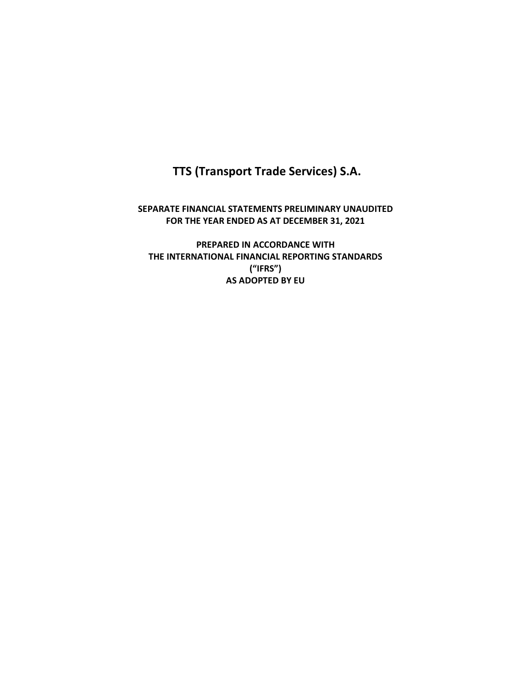# **TTS (Transport Trade Services) S.A.**

# **SEPARATE FINANCIAL STATEMENTS PRELIMINARY UNAUDITED FOR THE YEAR ENDED AS AT DECEMBER 31, 2021**

**PREPARED IN ACCORDANCE WITH THE INTERNATIONAL FINANCIAL REPORTING STANDARDS ("IFRS") AS ADOPTED BY EU**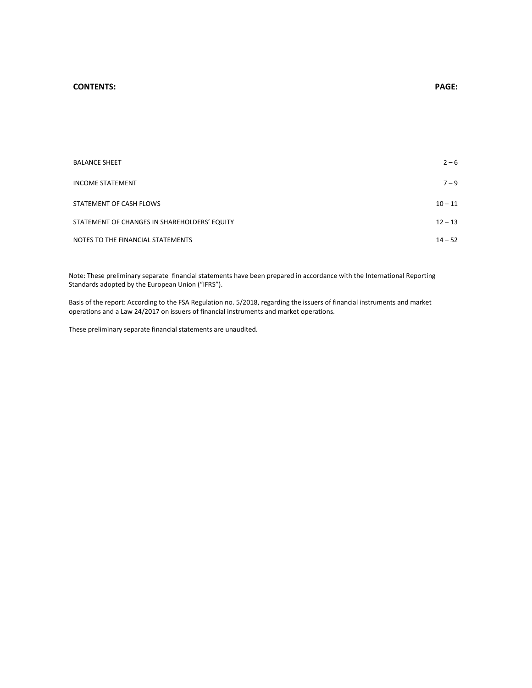# **CONTENTS: PAGE:**

| BALANCE SHEET                                | $2 - 6$   |  |  |
|----------------------------------------------|-----------|--|--|
| INCOME STATEMENT                             | $7 - 9$   |  |  |
| STATEMENT OF CASH FLOWS                      | $10 - 11$ |  |  |
| STATEMENT OF CHANGES IN SHAREHOLDERS' EQUITY | $12 - 13$ |  |  |
| NOTES TO THE FINANCIAL STATEMENTS            | $14 - 52$ |  |  |

Note: These preliminary separate financial statements have been prepared in accordance with the International Reporting Standards adopted by the European Union ("IFRS").

Basis of the report: According to the FSA Regulation no. 5/2018, regarding the issuers of financial instruments and market operations and a Law 24/2017 on issuers of financial instruments and market operations.

These preliminary separate financial statements are unaudited.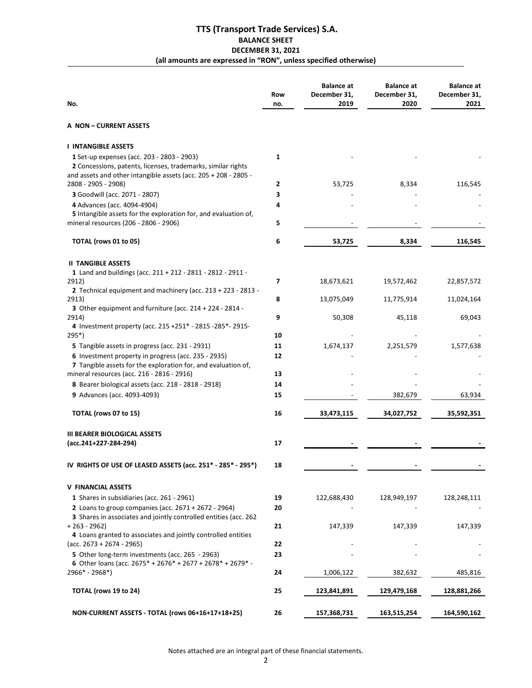| No.                                                                                                                                                                           | Row<br>no. | <b>Balance at</b><br>December 31.<br>2019 | <b>Balance at</b><br>December 31,<br>2020 | <b>Balance at</b><br>December 31,<br>2021 |
|-------------------------------------------------------------------------------------------------------------------------------------------------------------------------------|------------|-------------------------------------------|-------------------------------------------|-------------------------------------------|
| A NON-CURRENT ASSETS                                                                                                                                                          |            |                                           |                                           |                                           |
| <b>I INTANGIBLE ASSETS</b>                                                                                                                                                    |            |                                           |                                           |                                           |
| 1 Set-up expenses (acc. 203 - 2803 - 2903)<br>2 Concessions, patents, licenses, trademarks, similar rights<br>and assets and other intangible assets (acc. 205 + 208 - 2805 - | 1          |                                           |                                           |                                           |
| 2808 - 2905 - 2908)                                                                                                                                                           | 2          | 53,725                                    | 8,334                                     | 116,545                                   |
| 3 Goodwill (acc. 2071 - 2807)                                                                                                                                                 | 3          |                                           |                                           |                                           |
| 4 Advances (acc. 4094-4904)                                                                                                                                                   | 4          |                                           |                                           |                                           |
| 5 Intangible assets for the exploration for, and evaluation of,                                                                                                               |            |                                           |                                           |                                           |
| mineral resources (206 - 2806 - 2906)                                                                                                                                         | 5          |                                           |                                           |                                           |
| TOTAL (rows 01 to 05)                                                                                                                                                         | 6          | 53,725                                    | 8,334                                     | 116,545                                   |
| <b>II TANGIBLE ASSETS</b>                                                                                                                                                     |            |                                           |                                           |                                           |
| 1 Land and buildings (acc. 211 + 212 - 2811 - 2812 - 2911 -                                                                                                                   |            |                                           |                                           |                                           |
| 2912)<br>2 Technical equipment and machinery (acc. 213 + 223 - 2813 -                                                                                                         | 7          | 18,673,621                                | 19,572,462                                | 22,857,572                                |
| 2913)                                                                                                                                                                         | 8          | 13,075,049                                | 11,775,914                                | 11,024,164                                |
| 3 Other equipment and furniture (acc. $214 + 224 - 2814 -$                                                                                                                    |            |                                           |                                           |                                           |
| 2914)                                                                                                                                                                         | 9          | 50,308                                    | 45,118                                    | 69,043                                    |
| 4 Investment property (acc. 215 +251* - 2815 -285*- 2915-<br>$295*)$                                                                                                          | 10         |                                           |                                           |                                           |
| 5 Tangible assets in progress (acc. 231 - 2931)                                                                                                                               | 11         | 1,674,137                                 | 2,251,579                                 | 1,577,638                                 |
| 6 Investment property in progress (acc. 235 - 2935)                                                                                                                           | 12         |                                           |                                           |                                           |
| 7 Tangible assets for the exploration for, and evaluation of,                                                                                                                 |            |                                           |                                           |                                           |
| mineral resources (acc. 216 - 2816 - 2916)                                                                                                                                    | 13         |                                           |                                           |                                           |
| 8 Bearer biological assets (acc. 218 - 2818 - 2918)                                                                                                                           | 14         |                                           |                                           |                                           |
| 9 Advances (acc. 4093-4093)                                                                                                                                                   | 15         |                                           | 382,679                                   | 63,934                                    |
| TOTAL (rows 07 to 15)                                                                                                                                                         | 16         | 33,473,115                                | 34,027,752                                | 35,592,351                                |
| <b>III BEARER BIOLOGICAL ASSETS</b>                                                                                                                                           |            |                                           |                                           |                                           |
| (acc.241+227-284-294)                                                                                                                                                         | 17         |                                           |                                           |                                           |
| IV RIGHTS OF USE OF LEASED ASSETS (acc. 251* - 285* - 295*)                                                                                                                   | 18         |                                           |                                           |                                           |
| <b>V FINANCIAL ASSETS</b>                                                                                                                                                     |            |                                           |                                           |                                           |
| 1 Shares in subsidiaries (acc. 261 - 2961)                                                                                                                                    | 19         | 122,688,430                               | 128,949,197                               | 128,248,111                               |
| 2 Loans to group companies (acc. 2671 + 2672 - 2964)                                                                                                                          | 20         |                                           |                                           |                                           |
| 3 Shares in associates and jointly controlled entities (acc. 262<br>$+263 - 2962$                                                                                             | 21         | 147,339                                   | 147,339                                   | 147,339                                   |
| 4 Loans granted to associates and jointly controlled entities<br>$(acc. 2673 + 2674 - 2965)$                                                                                  | 22         |                                           |                                           |                                           |
| 5 Other long-term investments (acc. 265 - 2963)                                                                                                                               | 23         |                                           |                                           |                                           |
| 6 Other loans (acc. $2675* + 2676* + 2677 + 2678* + 2679* -$                                                                                                                  |            |                                           |                                           |                                           |
| $2966* - 2968*)$                                                                                                                                                              | 24         | 1,006,122                                 | 382,632                                   | 485,816                                   |
| TOTAL (rows 19 to 24)                                                                                                                                                         | 25         | 123,841,891                               | 129,479,168                               | 128,881,266                               |
| NON-CURRENT ASSETS - TOTAL (rows 06+16+17+18+25)                                                                                                                              | 26         | 157,368,731                               | 163,515,254                               | 164,590,162                               |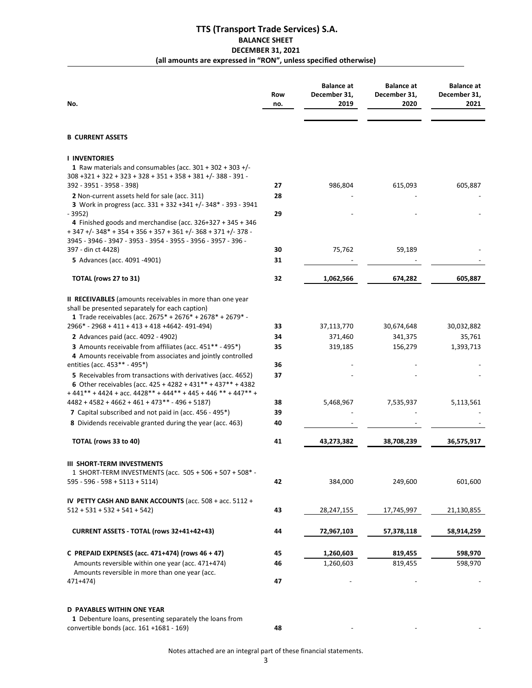| No.                                                                                                                                                                                    | Row<br>no. | <b>Balance at</b><br>December 31,<br>2019 | <b>Balance</b> at<br>December 31,<br>2020 | <b>Balance at</b><br>December 31.<br>2021 |
|----------------------------------------------------------------------------------------------------------------------------------------------------------------------------------------|------------|-------------------------------------------|-------------------------------------------|-------------------------------------------|
| <b>B CURRENT ASSETS</b>                                                                                                                                                                |            |                                           |                                           |                                           |
| <b>I INVENTORIES</b>                                                                                                                                                                   |            |                                           |                                           |                                           |
| 1 Raw materials and consumables (acc. $301 + 302 + 303 +$ /-<br>$308 + 321 + 322 + 323 + 328 + 351 + 358 + 381 + (-388 - 391 -$                                                        |            |                                           |                                           |                                           |
| 392 - 3951 - 3958 - 398)                                                                                                                                                               | 27         | 986,804                                   | 615,093                                   | 605,887                                   |
| 2 Non-current assets held for sale (acc. 311)<br>3 Work in progress (acc. 331 + 332 + 341 +/- 348* - 393 - 3941                                                                        | 28         |                                           |                                           |                                           |
| - 3952)<br>4 Finished goods and merchandise (acc. 326+327 + 345 + 346<br>$+347$ +/-348* +354 +356 +357 +361 +/-368 +371 +/-378 -                                                       | 29         |                                           |                                           |                                           |
| 3945 - 3946 - 3947 - 3953 - 3954 - 3955 - 3956 - 3957 - 396 -                                                                                                                          |            |                                           |                                           |                                           |
| 397 - din ct 4428)<br>5 Advances (acc. 4091 -4901)                                                                                                                                     | 30<br>31   | 75,762                                    | 59,189                                    |                                           |
| TOTAL (rows 27 to 31)                                                                                                                                                                  | 32         | 1,062,566                                 | 674,282                                   | 605,887                                   |
| <b>II RECEIVABLES</b> (amounts receivables in more than one year                                                                                                                       |            |                                           |                                           |                                           |
| shall be presented separately for each caption)                                                                                                                                        |            |                                           |                                           |                                           |
| 1 Trade receivables (acc. 2675* + 2676* + 2678* + 2679* -                                                                                                                              |            |                                           |                                           |                                           |
| $2966* - 2968 + 411 + 413 + 418 + 4642 - 491 - 494$                                                                                                                                    | 33         | 37,113,770                                | 30,674,648                                | 30,032,882                                |
| 2 Advances paid (acc. 4092 - 4902)                                                                                                                                                     | 34         | 371,460                                   | 341,375                                   | 35,761                                    |
| 3 Amounts receivable from affiliates (acc. 451** - 495*)<br>4 Amounts receivable from associates and jointly controlled                                                                | 35         | 319,185                                   | 156,279                                   | 1,393,713                                 |
| entities (acc. 453** - 495*)                                                                                                                                                           | 36         |                                           |                                           |                                           |
| 5 Receivables from transactions with derivatives (acc. 4652)<br>6 Other receivables (acc. $425 + 4282 + 431** + 437** + 4382$<br>$+441***+4424+acc. 4428***+444***+445+446***+447***+$ | 37         |                                           |                                           |                                           |
| $4482 + 4582 + 4662 + 461 + 473$ ** - 496 + 5187)                                                                                                                                      | 38         | 5,468,967                                 | 7,535,937                                 | 5,113,561                                 |
| 7 Capital subscribed and not paid in (acc. 456 - 495*)                                                                                                                                 | 39         |                                           |                                           |                                           |
| 8 Dividends receivable granted during the year (acc. 463)                                                                                                                              | 40         |                                           |                                           |                                           |
| TOTAL (rows 33 to 40)                                                                                                                                                                  | 41         | 43,273,382                                | 38,708,239                                | 36,575,917                                |
| III SHORT-TERM INVESTMENTS                                                                                                                                                             |            |                                           |                                           |                                           |
| 1 SHORT-TERM INVESTMENTS (acc. 505 + 506 + 507 + 508* -                                                                                                                                |            |                                           |                                           |                                           |
| $595 - 596 - 598 + 5113 + 5114$                                                                                                                                                        | 42         | 384,000                                   | 249,600                                   | 601,600                                   |
| IV PETTY CASH AND BANK ACCOUNTS (acc. 508 + acc. 5112 +                                                                                                                                |            |                                           |                                           |                                           |
| $512 + 531 + 532 + 541 + 542$                                                                                                                                                          | 43         | 28,247,155                                | 17,745,997                                | 21,130,855                                |
| CURRENT ASSETS - TOTAL (rows 32+41+42+43)                                                                                                                                              | 44         | 72,967,103                                | 57,378,118                                | 58,914,259                                |
| C PREPAID EXPENSES (acc. 471+474) (rows 46 + 47)                                                                                                                                       | 45         | 1,260,603                                 | 819,455                                   | 598,970                                   |
| Amounts reversible within one year (acc. 471+474)<br>Amounts reversible in more than one year (acc.                                                                                    | 46         | 1,260,603                                 | 819,455                                   | 598,970                                   |
| 471+474)                                                                                                                                                                               | 47         |                                           |                                           |                                           |
| <b>D PAYABLES WITHIN ONE YEAR</b>                                                                                                                                                      |            |                                           |                                           |                                           |
| 1 Debenture loans, presenting separately the loans from                                                                                                                                |            |                                           |                                           |                                           |
| convertible bonds (acc. 161 +1681 - 169)                                                                                                                                               | 48         |                                           |                                           |                                           |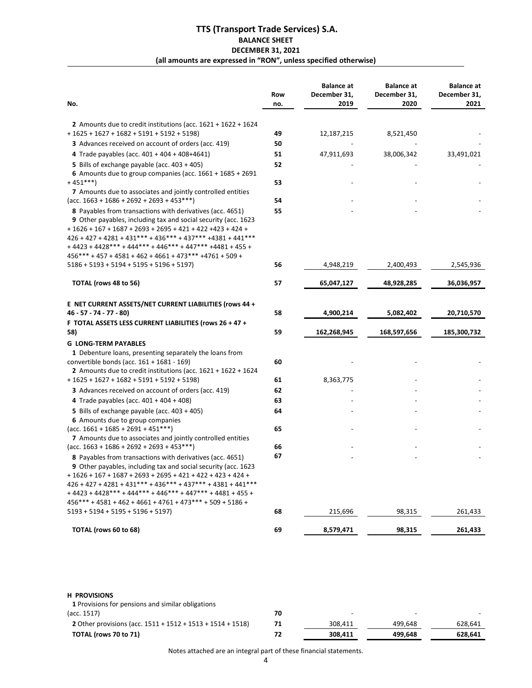| 49<br>50<br>51<br>52<br>53<br>54<br>55<br>56<br>57<br>58<br>59 | 12,187,215<br>47,911,693<br>4,948,219<br>65,047,127<br>4,900,214 | 8,521,450<br>38,006,342<br>2,400,493<br>48,928,285<br>5,082,402 |                                       |
|----------------------------------------------------------------|------------------------------------------------------------------|-----------------------------------------------------------------|---------------------------------------|
|                                                                |                                                                  |                                                                 | 33,491,021                            |
|                                                                |                                                                  |                                                                 |                                       |
|                                                                |                                                                  |                                                                 |                                       |
|                                                                |                                                                  |                                                                 |                                       |
|                                                                |                                                                  |                                                                 |                                       |
|                                                                |                                                                  |                                                                 |                                       |
|                                                                |                                                                  |                                                                 |                                       |
|                                                                |                                                                  |                                                                 |                                       |
|                                                                |                                                                  |                                                                 |                                       |
|                                                                |                                                                  |                                                                 |                                       |
|                                                                |                                                                  |                                                                 | 2,545,936<br>36,036,957<br>20,710,570 |
|                                                                |                                                                  |                                                                 |                                       |
|                                                                |                                                                  |                                                                 |                                       |
|                                                                |                                                                  |                                                                 |                                       |
|                                                                |                                                                  |                                                                 |                                       |
|                                                                |                                                                  |                                                                 |                                       |
|                                                                | 162,268,945                                                      | 168,597,656                                                     | 185,300,732                           |
|                                                                |                                                                  |                                                                 |                                       |
|                                                                |                                                                  |                                                                 |                                       |
| 60                                                             |                                                                  |                                                                 |                                       |
|                                                                |                                                                  |                                                                 |                                       |
|                                                                |                                                                  |                                                                 |                                       |
|                                                                |                                                                  |                                                                 |                                       |
|                                                                |                                                                  |                                                                 |                                       |
|                                                                |                                                                  |                                                                 |                                       |
|                                                                |                                                                  |                                                                 |                                       |
|                                                                |                                                                  |                                                                 |                                       |
| 66                                                             |                                                                  |                                                                 |                                       |
| 67                                                             |                                                                  |                                                                 |                                       |
|                                                                |                                                                  |                                                                 |                                       |
|                                                                |                                                                  |                                                                 |                                       |
|                                                                |                                                                  |                                                                 |                                       |
|                                                                |                                                                  |                                                                 |                                       |
|                                                                |                                                                  |                                                                 | 261,433                               |
| 69                                                             | 8,579,471                                                        | 98,315                                                          | 261,433                               |
|                                                                | 61<br>62<br>63<br>64<br>65<br>68                                 | 8,363,775<br>215,696                                            | 98,315                                |

| 1 Provisions for pensions and similar obligations             |    |         |         |         |
|---------------------------------------------------------------|----|---------|---------|---------|
| (acc. 1517)                                                   | 70 |         | -       |         |
| 2 Other provisions (acc. $1511 + 1512 + 1513 + 1514 + 1518$ ) | 71 | 308.411 | 499.648 | 628.641 |
| TOTAL (rows 70 to 71)                                         | 72 | 308.411 | 499.648 | 628.641 |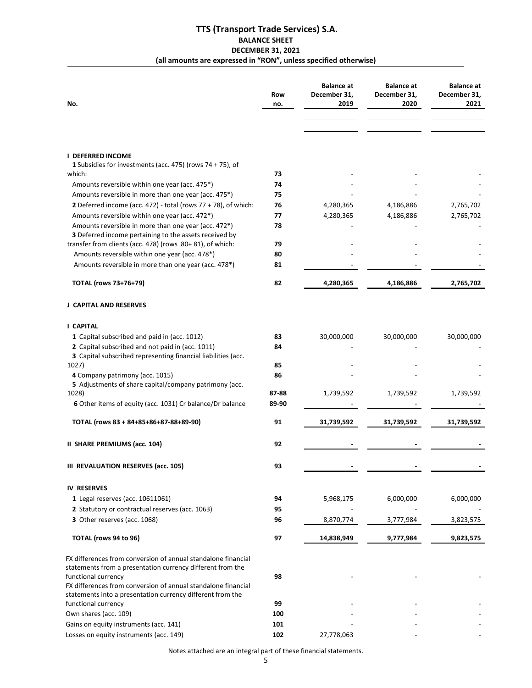| No.                                                                                                                         | Row<br>no. | <b>Balance at</b><br>December 31,<br>2019 | <b>Balance at</b><br>December 31,<br>2020 | <b>Balance at</b><br>December 31,<br>2021 |
|-----------------------------------------------------------------------------------------------------------------------------|------------|-------------------------------------------|-------------------------------------------|-------------------------------------------|
|                                                                                                                             |            |                                           |                                           |                                           |
|                                                                                                                             |            |                                           |                                           |                                           |
| <b>I DEFERRED INCOME</b><br>1 Subsidies for investments (acc. 475) (rows $74 + 75$ ), of                                    |            |                                           |                                           |                                           |
| which:                                                                                                                      | 73         |                                           |                                           |                                           |
| Amounts reversible within one year (acc. 475*)                                                                              | 74         |                                           |                                           |                                           |
| Amounts reversible in more than one year (acc. 475*)                                                                        | 75         |                                           |                                           |                                           |
| 2 Deferred income (acc. 472) - total (rows $77 + 78$ ), of which:                                                           | 76         | 4,280,365                                 | 4,186,886                                 | 2,765,702<br>2,765,702                    |
| Amounts reversible within one year (acc. 472*)<br>Amounts reversible in more than one year (acc. 472*)                      | 77<br>78   | 4,280,365                                 | 4,186,886                                 |                                           |
| 3 Deferred income pertaining to the assets received by<br>transfer from clients (acc. 478) (rows 80+81), of which:          | 79         |                                           |                                           |                                           |
| Amounts reversible within one year (acc. 478*)                                                                              | 80         |                                           |                                           |                                           |
| Amounts reversible in more than one year (acc. 478*)                                                                        | 81         |                                           |                                           |                                           |
| <b>TOTAL (rows 73+76+79)</b>                                                                                                | 82         | 4,280,365                                 | 4,186,886                                 | 2,765,702                                 |
| J CAPITAL AND RESERVES                                                                                                      |            |                                           |                                           |                                           |
| <b>I CAPITAL</b>                                                                                                            |            |                                           |                                           |                                           |
| 1 Capital subscribed and paid in (acc. 1012)                                                                                | 83         | 30,000,000                                | 30,000,000                                | 30,000,000                                |
| 2 Capital subscribed and not paid in (acc. 1011)<br>3 Capital subscribed representing financial liabilities (acc.           | 84         |                                           |                                           |                                           |
| 1027)                                                                                                                       | 85         |                                           |                                           |                                           |
| 4 Company patrimony (acc. 1015)<br>5 Adjustments of share capital/company patrimony (acc.                                   | 86         |                                           |                                           |                                           |
| 1028)                                                                                                                       | 87-88      | 1,739,592                                 | 1,739,592                                 | 1,739,592                                 |
| 6 Other items of equity (acc. 1031) Cr balance/Dr balance                                                                   | 89-90      |                                           |                                           |                                           |
| TOTAL (rows 83 + 84+85+86+87-88+89-90)                                                                                      | 91         | 31,739,592                                | 31,739,592                                | 31,739,592                                |
| II SHARE PREMIUMS (acc. 104)                                                                                                | 92         |                                           |                                           |                                           |
| III REVALUATION RESERVES (acc. 105)                                                                                         | 93         |                                           |                                           |                                           |
| <b>IV RESERVES</b>                                                                                                          |            |                                           |                                           |                                           |
| 1 Legal reserves (acc. 10611061)                                                                                            | 94         | 5,968,175                                 | 6,000,000                                 | 6,000,000                                 |
| 2 Statutory or contractual reserves (acc. 1063)                                                                             | 95         |                                           |                                           |                                           |
| 3 Other reserves (acc. 1068)                                                                                                | 96         | 8,870,774                                 | 3,777,984                                 | 3,823,575                                 |
| TOTAL (rows 94 to 96)                                                                                                       | 97         | 14,838,949                                | 9,777,984                                 | 9,823,575                                 |
| FX differences from conversion of annual standalone financial<br>statements from a presentation currency different from the |            |                                           |                                           |                                           |
| functional currency                                                                                                         | 98         |                                           |                                           |                                           |
| FX differences from conversion of annual standalone financial<br>statements into a presentation currency different from the |            |                                           |                                           |                                           |
| functional currency                                                                                                         | 99         |                                           |                                           |                                           |
| Own shares (acc. 109)                                                                                                       | 100        |                                           |                                           |                                           |
| Gains on equity instruments (acc. 141)                                                                                      | 101        |                                           |                                           |                                           |
| Losses on equity instruments (acc. 149)                                                                                     | 102        | 27,778,063                                |                                           |                                           |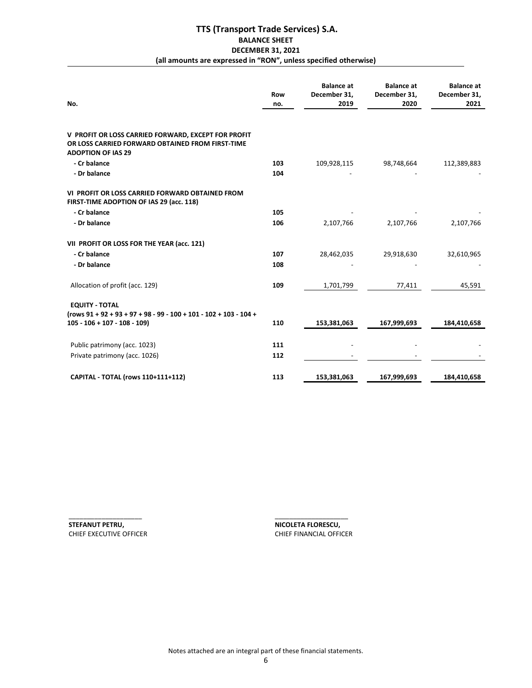| No.                                                                                                                                  | Row<br>no. | <b>Balance</b> at<br>December 31,<br>2019 | <b>Balance at</b><br>December 31,<br>2020 | <b>Balance at</b><br>December 31,<br>2021 |
|--------------------------------------------------------------------------------------------------------------------------------------|------------|-------------------------------------------|-------------------------------------------|-------------------------------------------|
| V PROFIT OR LOSS CARRIED FORWARD, EXCEPT FOR PROFIT<br>OR LOSS CARRIED FORWARD OBTAINED FROM FIRST-TIME<br><b>ADOPTION OF IAS 29</b> |            |                                           |                                           |                                           |
| - Cr balance                                                                                                                         | 103        | 109,928,115                               | 98,748,664                                | 112,389,883                               |
| - Dr balance                                                                                                                         | 104        |                                           |                                           |                                           |
| VI PROFIT OR LOSS CARRIED FORWARD OBTAINED FROM<br>FIRST-TIME ADOPTION OF IAS 29 (acc. 118)                                          |            |                                           |                                           |                                           |
| - Cr balance                                                                                                                         | 105        |                                           |                                           |                                           |
| - Dr balance                                                                                                                         | 106        | 2,107,766                                 | 2,107,766                                 | 2,107,766                                 |
| VII PROFIT OR LOSS FOR THE YEAR (acc. 121)                                                                                           |            |                                           |                                           |                                           |
| - Cr balance                                                                                                                         | 107        | 28,462,035                                | 29,918,630                                | 32,610,965                                |
| - Dr balance                                                                                                                         | 108        |                                           |                                           |                                           |
| Allocation of profit (acc. 129)                                                                                                      | 109        | 1,701,799                                 | 77,411                                    | 45,591                                    |
| <b>EQUITY - TOTAL</b><br>$(rows 91 + 92 + 93 + 97 + 98 - 99 - 100 + 101 - 102 + 103 - 104 +$<br>$105 - 106 + 107 - 108 - 109$        | 110        | 153,381,063                               | 167,999,693                               | 184,410,658                               |
|                                                                                                                                      |            |                                           |                                           |                                           |
| Public patrimony (acc. 1023)                                                                                                         | 111        |                                           |                                           |                                           |
| Private patrimony (acc. 1026)                                                                                                        | 112        |                                           |                                           |                                           |
| CAPITAL - TOTAL (rows 110+111+112)                                                                                                   | 113        | 153,381,063                               | 167,999,693                               | 184,410,658                               |

**STEFANUT PETRU, COLETA FLORESCU,** 

CHIEF EXECUTIVE OFFICER CHIEF FINANCIAL OFFICER

Notes attached are an integral part of these financial statements.

 $\frac{1}{2}$  , and the set of the set of the set of the set of the set of the set of the set of the set of the set of the set of the set of the set of the set of the set of the set of the set of the set of the set of the set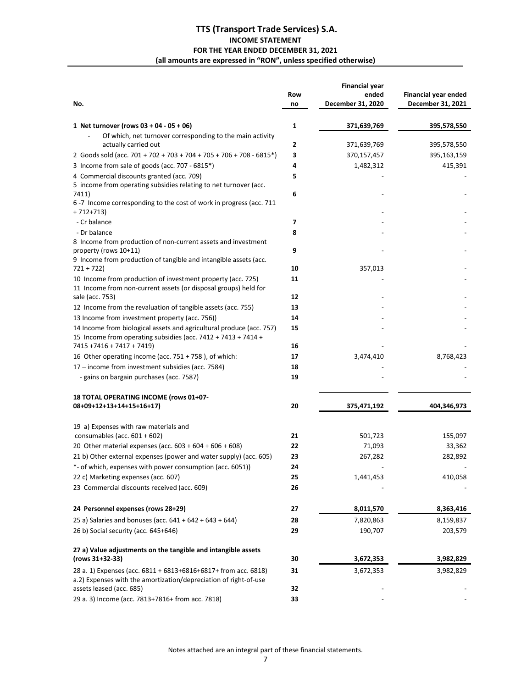# **TTS (Transport Trade Services) S.A. INCOME STATEMENT FOR THE YEAR ENDED DECEMBER 31, 2021 (all amounts are expressed in "RON", unless specified otherwise)**

| No.                                                                                                                                   | Row<br>no | <b>Financial year</b><br>ended<br>December 31, 2020 | <b>Financial year ended</b><br>December 31, 2021 |
|---------------------------------------------------------------------------------------------------------------------------------------|-----------|-----------------------------------------------------|--------------------------------------------------|
| 1 Net turnover (rows 03 + 04 - 05 + 06)                                                                                               | 1         | 371,639,769                                         | 395,578,550                                      |
| Of which, net turnover corresponding to the main activity<br>actually carried out                                                     | 2         | 371,639,769                                         | 395,578,550                                      |
| 2 Goods sold (acc. 701 + 702 + 703 + 704 + 705 + 706 + 708 - 6815*)                                                                   | 3         | 370,157,457                                         | 395,163,159                                      |
| 3 Income from sale of goods (acc. 707 - 6815*)                                                                                        | 4         | 1,482,312                                           | 415,391                                          |
| 4 Commercial discounts granted (acc. 709)                                                                                             | 5         |                                                     |                                                  |
| 5 income from operating subsidies relating to net turnover (acc.<br>7411)                                                             | 6         |                                                     |                                                  |
| 6-7 Income corresponding to the cost of work in progress (acc. 711<br>+ 712+713)                                                      |           |                                                     |                                                  |
| - Cr balance                                                                                                                          | 7         |                                                     |                                                  |
| - Dr balance                                                                                                                          | 8         |                                                     |                                                  |
| 8 Income from production of non-current assets and investment                                                                         |           |                                                     |                                                  |
| property (rows 10+11)                                                                                                                 | 9         |                                                     |                                                  |
| 9 Income from production of tangible and intangible assets (acc.                                                                      |           |                                                     |                                                  |
| $721 + 722$                                                                                                                           | 10        | 357,013                                             |                                                  |
| 10 Income from production of investment property (acc. 725)<br>11 Income from non-current assets (or disposal groups) held for        | 11        |                                                     |                                                  |
| sale (acc. 753)                                                                                                                       | 12        |                                                     |                                                  |
| 12 Income from the revaluation of tangible assets (acc. 755)                                                                          | 13        |                                                     |                                                  |
| 13 Income from investment property (acc. 756))                                                                                        | 14        |                                                     |                                                  |
| 14 Income from biological assets and agricultural produce (acc. 757)<br>15 Income from operating subsidies (acc. 7412 + 7413 + 7414 + | 15        |                                                     |                                                  |
| 7415 +7416 + 7417 + 7419)                                                                                                             | 16        |                                                     |                                                  |
| 16 Other operating income (acc. 751 + 758), of which:                                                                                 | 17        | 3,474,410                                           | 8,768,423                                        |
| 17 – income from investment subsidies (acc. 7584)                                                                                     | 18        |                                                     |                                                  |
| - gains on bargain purchases (acc. 7587)                                                                                              | 19        |                                                     |                                                  |
| 18 TOTAL OPERATING INCOME (rows 01+07-                                                                                                |           |                                                     |                                                  |
| 08+09+12+13+14+15+16+17)                                                                                                              | 20        | 375,471,192                                         | 404,346,973                                      |
| 19 a) Expenses with raw materials and                                                                                                 |           |                                                     |                                                  |
| consumables (acc. $601 + 602$ )                                                                                                       | 21        | 501,723                                             | 155,097                                          |
| 20 Other material expenses (acc. $603 + 604 + 606 + 608$ )                                                                            | 22        | 71,093                                              | 33,362                                           |
| 21 b) Other external expenses (power and water supply) (acc. 605)                                                                     | 23        | 267,282                                             | 282,892                                          |
| *- of which, expenses with power consumption (acc. 6051))                                                                             | 24        |                                                     |                                                  |
| 22 c) Marketing expenses (acc. 607)                                                                                                   | 25        | 1,441,453                                           | 410,058                                          |
| 23 Commercial discounts received (acc. 609)                                                                                           | 26        |                                                     |                                                  |
| 24 Personnel expenses (rows 28+29)                                                                                                    | 27        | 8,011,570                                           | 8,363,416                                        |
| 25 a) Salaries and bonuses (acc. $641 + 642 + 643 + 644$ )                                                                            | 28        | 7,820,863                                           | 8,159,837                                        |
| 26 b) Social security (acc. 645+646)                                                                                                  | 29        | 190,707                                             | 203,579                                          |
| 27 a) Value adjustments on the tangible and intangible assets                                                                         |           |                                                     |                                                  |
| (rows 31+32-33)                                                                                                                       | 30        | 3,672,353                                           | 3,982,829                                        |
| 28 a. 1) Expenses (acc. 6811 + 6813+6816+6817+ from acc. 6818)<br>a.2) Expenses with the amortization/depreciation of right-of-use    | 31        | 3,672,353                                           | 3,982,829                                        |
| assets leased (acc. 685)                                                                                                              | 32        |                                                     |                                                  |
| 29 a. 3) Income (acc. 7813+7816+ from acc. 7818)                                                                                      | 33        |                                                     |                                                  |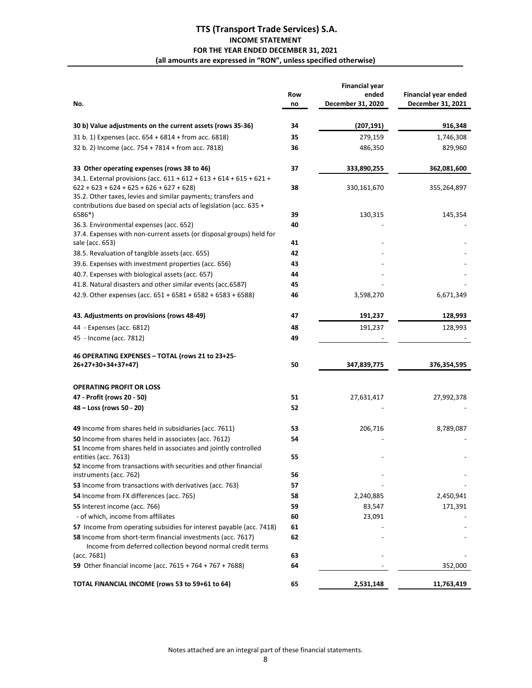# **TTS (Transport Trade Services) S.A. INCOME STATEMENT FOR THE YEAR ENDED DECEMBER 31, 2021 (all amounts are expressed in "RON", unless specified otherwise)**

|                                                                      |     | <b>Financial year</b> |                             |
|----------------------------------------------------------------------|-----|-----------------------|-----------------------------|
|                                                                      | Row | ended                 | <b>Financial year ended</b> |
| No.                                                                  | no  | December 31, 2020     | December 31, 2021           |
| 30 b) Value adjustments on the current assets (rows 35-36)           | 34  | (207, 191)            | 916,348                     |
| 31 b. 1) Expenses (acc. 654 + 6814 + from acc. 6818)                 | 35  | 279,159               | 1,746,308                   |
| 32 b. 2) Income (acc. 754 + 7814 + from acc. 7818)                   | 36  | 486,350               | 829,960                     |
| 33 Other operating expenses (rows 38 to 46)                          | 37  | 333,890,255           | 362,081,600                 |
| 34.1. External provisions (acc. 611 + 612 + 613 + 614 + 615 + 621 +  |     |                       |                             |
| $622 + 623 + 624 + 625 + 626 + 627 + 628$                            | 38  | 330,161,670           | 355,264,897                 |
| 35.2. Other taxes, levies and similar payments; transfers and        |     |                       |                             |
| contributions due based on special acts of legislation (acc. 635 +   |     |                       |                             |
| 6586*)                                                               | 39  | 130,315               | 145,354                     |
| 36.3. Environmental expenses (acc. 652)                              | 40  |                       |                             |
| 37.4. Expenses with non-current assets (or disposal groups) held for |     |                       |                             |
| sale (acc. 653)                                                      | 41  |                       |                             |
| 38.5. Revaluation of tangible assets (acc. 655)                      | 42  |                       |                             |
| 39.6. Expenses with investment properties (acc. 656)                 | 43  |                       |                             |
| 40.7. Expenses with biological assets (acc. 657)                     | 44  |                       |                             |
| 41.8. Natural disasters and other similar events (acc.6587)          | 45  |                       |                             |
| 42.9. Other expenses (acc. 651 + 6581 + 6582 + 6583 + 6588)          | 46  | 3,598,270             | 6,671,349                   |
| 43. Adjustments on provisions (rows 48-49)                           | 47  | 191,237               | 128,993                     |
| 44 - Expenses (acc. 6812)                                            | 48  | 191,237               | 128,993                     |
| 45 - Income (acc. 7812)                                              | 49  |                       |                             |
| 46 OPERATING EXPENSES - TOTAL (rows 21 to 23+25-                     |     |                       |                             |
| 26+27+30+34+37+47)                                                   | 50  | 347,839,775           | 376,354,595                 |
|                                                                      |     |                       |                             |
| <b>OPERATING PROFIT OR LOSS</b>                                      |     |                       |                             |
| 47 - Profit (rows 20 - 50)                                           | 51  | 27,631,417            | 27,992,378                  |
| 48 - Loss (rows 50 - 20)                                             | 52  |                       |                             |
| 49 Income from shares held in subsidiaries (acc. 7611)               | 53  | 206,716               | 8,789,087                   |
| 50 Income from shares held in associates (acc. 7612)                 | 54  |                       |                             |
| 51 Income from shares held in associates and jointly controlled      |     |                       |                             |
| entities (acc. 7613)                                                 | 55  |                       |                             |
| 52 Income from transactions with securities and other financial      |     |                       |                             |
| instruments (acc. 762)                                               | 56  |                       |                             |
| 53 Income from transactions with derivatives (acc. 763)              | 57  |                       |                             |
| 54 Income from FX differences (acc. 765)                             | 58  | 2,240,885             | 2,450,941                   |
| 55 Interest income (acc. 766)                                        | 59  | 83,547                | 171,391                     |
| - of which, income from affiliates                                   | 60  | 23,091                |                             |
| 57 Income from operating subsidies for interest payable (acc. 7418)  | 61  |                       |                             |
| 58 Income from short-term financial investments (acc. 7617)          | 62  |                       |                             |
| Income from deferred collection beyond normal credit terms           |     |                       |                             |
| (acc. 7681)                                                          | 63  |                       |                             |
| 59 Other financial income (acc. 7615 + 764 + 767 + 7688)             | 64  |                       | 352,000                     |
| TOTAL FINANCIAL INCOME (rows 53 to 59+61 to 64)                      | 65  | 2,531,148             | 11,763,419                  |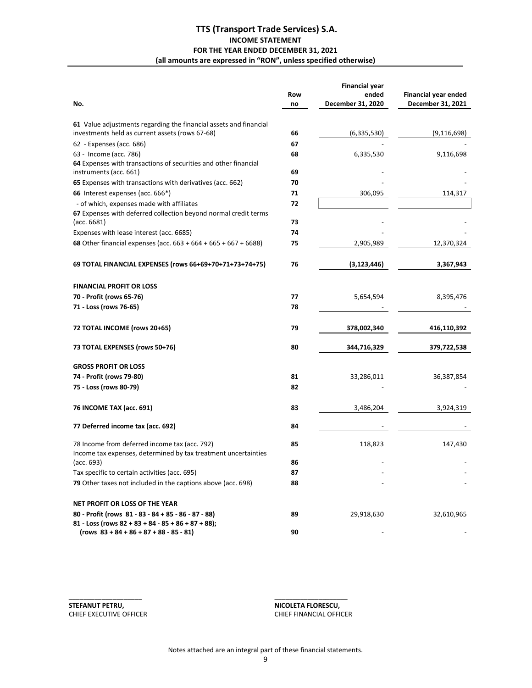# **TTS (Transport Trade Services) S.A. INCOME STATEMENT FOR THE YEAR ENDED DECEMBER 31, 2021 (all amounts are expressed in "RON", unless specified otherwise)**

|                                                                                                    | Row | <b>Financial year</b><br>ended | Financial year ended |
|----------------------------------------------------------------------------------------------------|-----|--------------------------------|----------------------|
| No.                                                                                                | no  | December 31, 2020              | December 31, 2021    |
| 61 Value adjustments regarding the financial assets and financial                                  |     |                                |                      |
| investments held as current assets (rows 67-68)                                                    | 66  | (6,335,530)                    | (9, 116, 698)        |
| 62 - Expenses (acc. 686)                                                                           | 67  |                                |                      |
| 63 - Income (acc. 786)                                                                             | 68  | 6,335,530                      | 9,116,698            |
| 64 Expenses with transactions of securities and other financial<br>instruments (acc. 661)          | 69  |                                |                      |
| 65 Expenses with transactions with derivatives (acc. 662)                                          | 70  |                                |                      |
| 66 Interest expenses (acc. 666*)                                                                   | 71  | 306,095                        | 114,317              |
| - of which, expenses made with affiliates                                                          | 72  |                                |                      |
| 67 Expenses with deferred collection beyond normal credit terms                                    |     |                                |                      |
| (acc. 6681)                                                                                        | 73  |                                |                      |
| Expenses with lease interest (acc. 6685)                                                           | 74  |                                |                      |
| 68 Other financial expenses (acc. $663 + 664 + 665 + 667 + 6688$ )                                 | 75  | 2,905,989                      | 12,370,324           |
| 69 TOTAL FINANCIAL EXPENSES (rows 66+69+70+71+73+74+75)                                            | 76  | (3, 123, 446)                  | 3,367,943            |
| <b>FINANCIAL PROFIT OR LOSS</b>                                                                    |     |                                |                      |
| 70 - Profit (rows 65-76)                                                                           | 77  | 5,654,594                      | 8,395,476            |
| 71 - Loss (rows 76-65)                                                                             | 78  |                                |                      |
|                                                                                                    |     |                                |                      |
| 72 TOTAL INCOME (rows 20+65)                                                                       | 79  | 378,002,340                    | 416,110,392          |
| 73 TOTAL EXPENSES (rows 50+76)                                                                     | 80  | 344,716,329                    | 379,722,538          |
| <b>GROSS PROFIT OR LOSS</b>                                                                        |     |                                |                      |
| 74 - Profit (rows 79-80)                                                                           | 81  | 33,286,011                     | 36,387,854           |
| 75 - Loss (rows 80-79)                                                                             | 82  |                                |                      |
| 76 INCOME TAX (acc. 691)                                                                           | 83  | 3,486,204                      | 3,924,319            |
|                                                                                                    |     |                                |                      |
| 77 Deferred income tax (acc. 692)                                                                  | 84  |                                |                      |
| 78 Income from deferred income tax (acc. 792)                                                      | 85  | 118,823                        | 147,430              |
| Income tax expenses, determined by tax treatment uncertainties                                     |     |                                |                      |
| (acc. 693)                                                                                         | 86  |                                |                      |
| Tax specific to certain activities (acc. 695)                                                      | 87  |                                |                      |
| 79 Other taxes not included in the captions above (acc. 698)                                       | 88  |                                |                      |
| NET PROFIT OR LOSS OF THE YEAR                                                                     |     |                                |                      |
| 80 - Profit (rows 81 - 83 - 84 + 85 - 86 - 87 - 88)                                                | 89  | 29,918,630                     | 32,610,965           |
| 81 - Loss (rows $82 + 83 + 84 - 85 + 86 + 87 + 88$ );<br>$(rows 83 + 84 + 86 + 87 + 88 - 85 - 81)$ | 90  |                                |                      |

STEFANUT PETRU, **NICOLETA FLORESCU,** CHIEF EXECUTIVE OFFICER CHIEF FINANCIAL OFFICER

Notes attached are an integral part of these financial statements.

 $\frac{1}{2}$  , the contribution of the contribution of the contribution of the contribution of the contribution of the contribution of the contribution of the contribution of the contribution of the contribution of the contr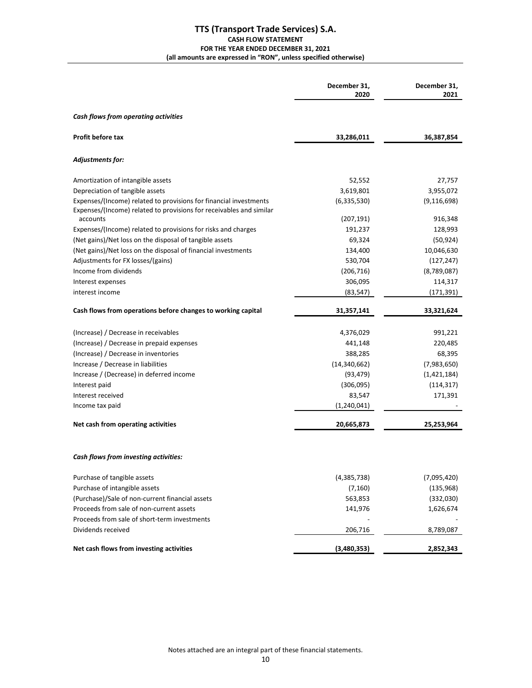# **TTS (Transport Trade Services) S.A. CASH FLOW STATEMENT FOR THE YEAR ENDED DECEMBER 31, 2021 (all amounts are expressed in "RON", unless specified otherwise)**

|                                                                                                                                          | December 31,<br>2020  | December 31,<br>2021 |
|------------------------------------------------------------------------------------------------------------------------------------------|-----------------------|----------------------|
| Cash flows from operating activities                                                                                                     |                       |                      |
| Profit before tax                                                                                                                        | 33,286,011            | 36,387,854           |
| Adjustments for:                                                                                                                         |                       |                      |
| Amortization of intangible assets                                                                                                        | 52,552                | 27,757               |
| Depreciation of tangible assets                                                                                                          | 3,619,801             | 3,955,072            |
| Expenses/(Income) related to provisions for financial investments<br>Expenses/(Income) related to provisions for receivables and similar | (6, 335, 530)         | (9, 116, 698)        |
| accounts                                                                                                                                 | (207, 191)            | 916,348              |
| Expenses/(Income) related to provisions for risks and charges                                                                            | 191,237               | 128,993              |
| (Net gains)/Net loss on the disposal of tangible assets                                                                                  | 69,324                | (50, 924)            |
| (Net gains)/Net loss on the disposal of financial investments                                                                            | 134,400               | 10,046,630           |
| Adjustments for FX losses/(gains)                                                                                                        | 530,704               | (127, 247)           |
| Income from dividends                                                                                                                    | (206, 716)<br>306,095 | (8,789,087)          |
| Interest expenses                                                                                                                        |                       | 114,317              |
| interest income                                                                                                                          | (83, 547)             | (171, 391)           |
| Cash flows from operations before changes to working capital                                                                             | 31,357,141            | 33,321,624           |
| (Increase) / Decrease in receivables                                                                                                     | 4,376,029             | 991,221              |
| (Increase) / Decrease in prepaid expenses                                                                                                | 441,148               | 220,485              |
| (Increase) / Decrease in inventories                                                                                                     | 388,285               | 68,395               |
| Increase / Decrease in liabilities                                                                                                       | (14, 340, 662)        | (7,983,650)          |
| Increase / (Decrease) in deferred income                                                                                                 | (93, 479)             | (1,421,184)          |
| Interest paid                                                                                                                            | (306,095)             | (114, 317)           |
| Interest received                                                                                                                        | 83,547                | 171,391              |
| Income tax paid                                                                                                                          | (1, 240, 041)         |                      |
| Net cash from operating activities                                                                                                       | 20,665,873            | 25,253,964           |
| Cash flows from investing activities:                                                                                                    |                       |                      |
| Purchase of tangible assets                                                                                                              | (4,385,738)           | (7,095,420)          |
| Purchase of intangible assets                                                                                                            | (7, 160)              | (135,968)            |
| (Purchase)/Sale of non-current financial assets                                                                                          | 563,853               | (332,030)            |
| Proceeds from sale of non-current assets                                                                                                 | 141,976               | 1,626,674            |
| Proceeds from sale of short-term investments                                                                                             |                       |                      |
| Dividends received                                                                                                                       | 206,716               | 8,789,087            |
| Net cash flows from investing activities                                                                                                 | (3,480,353)           | 2,852,343            |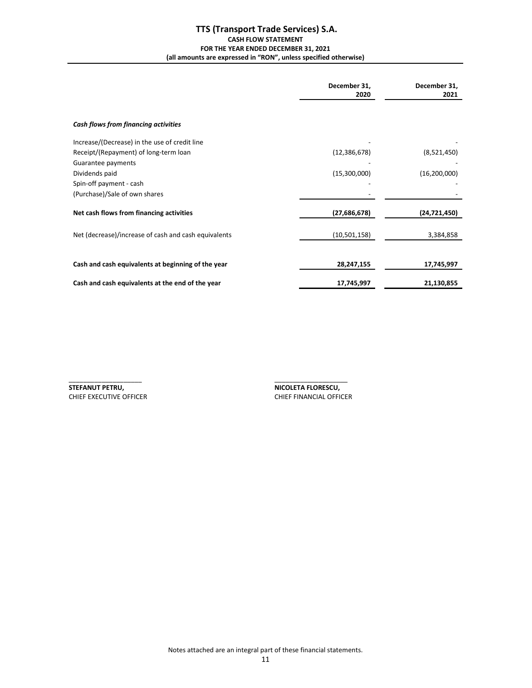# **TTS (Transport Trade Services) S.A. CASH FLOW STATEMENT FOR THE YEAR ENDED DECEMBER 31, 2021 (all amounts are expressed in "RON", unless specified otherwise)**

|                                                      | December 31,<br>2020 | December 31,<br>2021 |
|------------------------------------------------------|----------------------|----------------------|
| Cash flows from financing activities                 |                      |                      |
| Increase/(Decrease) in the use of credit line        |                      |                      |
| Receipt/(Repayment) of long-term loan                | (12, 386, 678)       | (8,521,450)          |
| Guarantee payments                                   |                      |                      |
| Dividends paid                                       | (15,300,000)         | (16, 200, 000)       |
| Spin-off payment - cash                              |                      |                      |
| (Purchase)/Sale of own shares                        |                      |                      |
| Net cash flows from financing activities             | (27,686,678)         | (24, 721, 450)       |
| Net (decrease)/increase of cash and cash equivalents | (10,501,158)         | 3,384,858            |
| Cash and cash equivalents at beginning of the year   | 28,247,155           | 17,745,997           |
| Cash and cash equivalents at the end of the year     | 17,745,997           | 21,130,855           |

 $\overline{\phantom{a}}$  , and the contract of the contract of the contract of the contract of the contract of the contract of the contract of the contract of the contract of the contract of the contract of the contract of the contrac **STEFANUT PETRU, COLETA FLORESCU,** CHIEF EXECUTIVE OFFICER CHIEF FINANCIAL OFFICER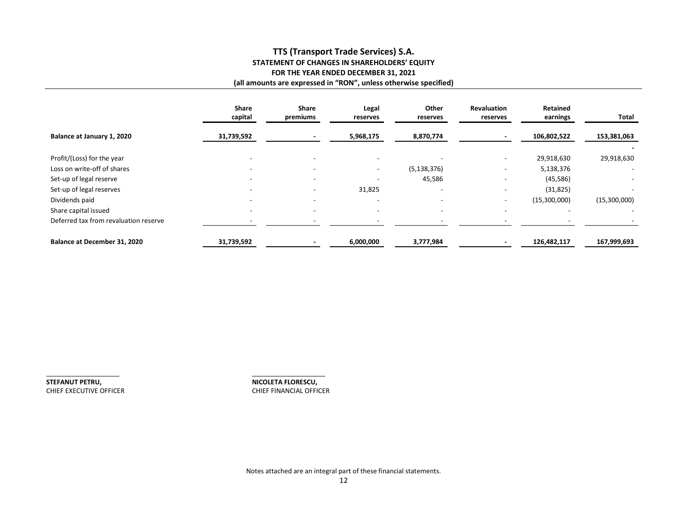# **TTS (Transport Trade Services) S.A. STATEMENT OF CHANGES IN SHAREHOLDERS' EQUITY FOR THE YEAR ENDED DECEMBER 31, 2021 (all amounts are expressed in "RON", unless otherwise specified)**

|                                       | <b>Share</b><br>capital  | <b>Share</b><br>premiums | Legal<br>reserves        | Other<br>reserves        | <b>Revaluation</b><br>reserves | Retained<br>earnings     | Total                    |
|---------------------------------------|--------------------------|--------------------------|--------------------------|--------------------------|--------------------------------|--------------------------|--------------------------|
| Balance at January 1, 2020            | 31,739,592               |                          | 5,968,175                | 8,870,774                |                                | 106,802,522              | 153,381,063              |
| Profit/(Loss) for the year            |                          | $\overline{\phantom{0}}$ |                          |                          |                                | 29,918,630               | 29,918,630               |
| Loss on write-off of shares           |                          | $\overline{\phantom{0}}$ |                          | (5, 138, 376)            |                                | 5,138,376                |                          |
| Set-up of legal reserve               |                          |                          |                          | 45,586                   |                                | (45, 586)                | $\overline{\phantom{a}}$ |
| Set-up of legal reserves              | $\overline{\phantom{0}}$ | $\overline{\phantom{0}}$ | 31,825                   | $\overline{\phantom{a}}$ |                                | (31, 825)                |                          |
| Dividends paid                        |                          |                          |                          | $\overline{\phantom{a}}$ |                                | (15,300,000)             | (15,300,000)             |
| Share capital issued                  |                          | $\overline{\phantom{0}}$ | $\overline{\phantom{a}}$ | $\overline{\phantom{0}}$ | $\overline{\phantom{a}}$       | $\overline{\phantom{a}}$ | $\overline{\phantom{0}}$ |
| Deferred tax from revaluation reserve |                          |                          |                          |                          |                                |                          |                          |
| Balance at December 31, 2020          | 31,739,592               |                          | 6,000,000                | 3,777,984                |                                | 126,482,117              | 167,999,693              |

STEFANUT PETRU, **NICOLETA FLORESCU,** CHIEF EXECUTIVE OFFICER CHIEF FINANCIAL OFFICER

 $\overline{\phantom{a}}$  , and an approximately define the contribution of  $\overline{\phantom{a}}$  ,  $\overline{\phantom{a}}$  ,  $\overline{\phantom{a}}$  ,  $\overline{\phantom{a}}$  ,  $\overline{\phantom{a}}$  ,  $\overline{\phantom{a}}$  ,  $\overline{\phantom{a}}$  ,  $\overline{\phantom{a}}$  ,  $\overline{\phantom{a}}$  ,  $\overline{\phantom{a}}$  ,  $\overline{\phantom{a}}$  ,  $\overline{\$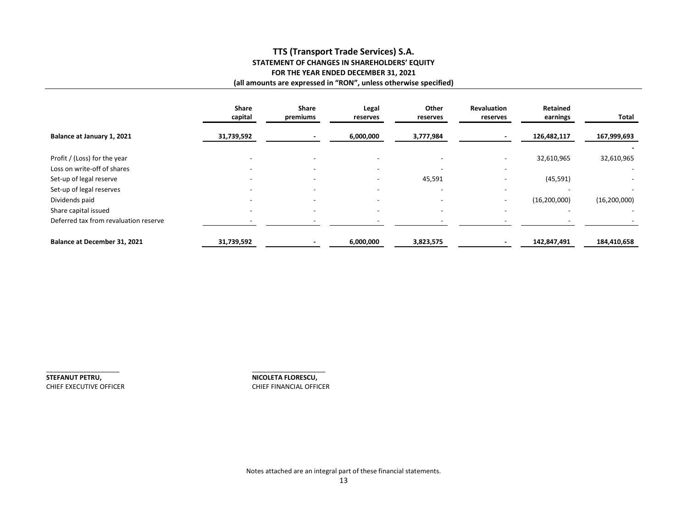# **TTS (Transport Trade Services) S.A. STATEMENT OF CHANGES IN SHAREHOLDERS' EQUITY FOR THE YEAR ENDED DECEMBER 31, 2021 (all amounts are expressed in "RON", unless otherwise specified)**

|                                       | Share<br>capital         | <b>Share</b><br>premiums | Legal<br>reserves        | Other<br>reserves        | <b>Revaluation</b><br>reserves | <b>Retained</b><br>earnings | Total          |
|---------------------------------------|--------------------------|--------------------------|--------------------------|--------------------------|--------------------------------|-----------------------------|----------------|
| Balance at January 1, 2021            | 31,739,592               |                          | 6,000,000                | 3,777,984                |                                | 126,482,117                 | 167,999,693    |
| Profit / (Loss) for the year          |                          |                          |                          |                          |                                | 32,610,965                  | 32,610,965     |
| Loss on write-off of shares           |                          | $\overline{\phantom{0}}$ |                          |                          |                                |                             |                |
| Set-up of legal reserve               |                          |                          |                          | 45,591                   |                                | (45, 591)                   |                |
| Set-up of legal reserves              | $\overline{\phantom{0}}$ | $\overline{\phantom{0}}$ | $\overline{\phantom{a}}$ | $\overline{\phantom{a}}$ | $\overline{\phantom{a}}$       |                             |                |
| Dividends paid                        |                          | $\overline{\phantom{0}}$ |                          | $\overline{\phantom{0}}$ |                                | (16, 200, 000)              | (16, 200, 000) |
| Share capital issued                  | $\overline{\phantom{0}}$ | $\overline{\phantom{0}}$ | $\overline{\phantom{a}}$ | $\overline{\phantom{a}}$ | $\overline{\phantom{a}}$       | $\overline{\phantom{a}}$    |                |
| Deferred tax from revaluation reserve |                          |                          |                          |                          |                                |                             |                |
| Balance at December 31, 2021          | 31,739,592               |                          | 6,000,000                | 3,823,575                |                                | 142,847,491                 | 184,410,658    |

**STEFANUT PETRU, COLETA FLORESCU, ANICOLETA FLORESCU,** CHIEF EXECUTIVE OFFICER CHIEF FINANCIAL OFFICER

\_\_\_\_\_\_\_\_\_\_\_\_\_\_\_\_\_\_\_\_ \_\_\_\_\_\_\_\_\_\_\_\_\_\_\_\_\_\_\_\_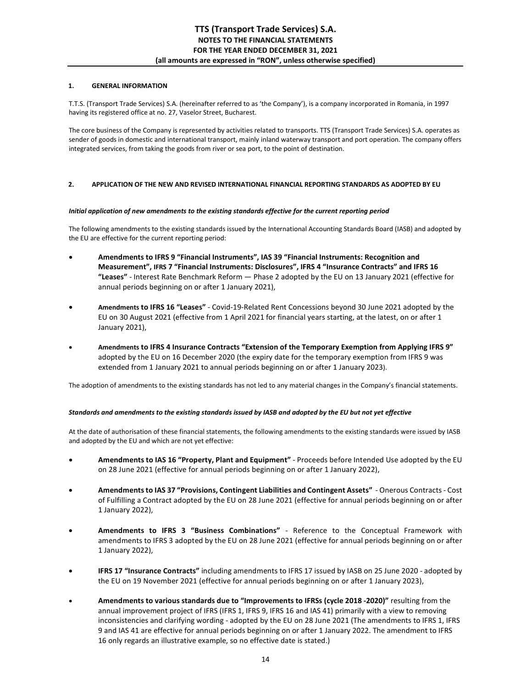# **1. GENERAL INFORMATION**

T.T.S. (Transport Trade Services) S.A. (hereinafter referred to as 'the Company'), is a company incorporated in Romania, in 1997 having its registered office at no. 27, Vaselor Street, Bucharest.

The core business of the Company is represented by activities related to transports. TTS (Transport Trade Services) S.A. operates as sender of goods in domestic and international transport, mainly inland waterway transport and port operation. The company offers integrated services, from taking the goods from river or sea port, to the point of destination.

# **2. APPLICATION OF THE NEW AND REVISED INTERNATIONAL FINANCIAL REPORTING STANDARDS AS ADOPTED BY EU**

# *Initial application of new amendments to the existing standards effective for the current reporting period*

The following amendments to the existing standards issued by the International Accounting Standards Board (IASB) and adopted by the EU are effective for the current reporting period:

- **Amendments to IFRS 9 "Financial Instruments", IAS 39 "Financial Instruments: Recognition and Measurement", IFRS 7 "Financial Instruments: Disclosures", IFRS 4 "Insurance Contracts" and IFRS 16 "Leases"** - Interest Rate Benchmark Reform — Phase 2 adopted by the EU on 13 January 2021 (effective for annual periods beginning on or after 1 January 2021),
- **Amendments to IFRS 16 "Leases"** Covid-19-Related Rent Concessions beyond 30 June 2021 adopted by the EU on 30 August 2021 (effective from 1 April 2021 for financial years starting, at the latest, on or after 1 January 2021),
- **Amendments to IFRS 4 Insurance Contracts "Extension of the Temporary Exemption from Applying IFRS 9"** adopted by the EU on 16 December 2020 (the expiry date for the temporary exemption from IFRS 9 was extended from 1 January 2021 to annual periods beginning on or after 1 January 2023).

The adoption of amendments to the existing standards has not led to any material changes in the Company's financial statements.

## *Standards and amendments to the existing standards issued by IASB and adopted by the EU but not yet effective*

At the date of authorisation of these financial statements, the following amendments to the existing standards were issued by IASB and adopted by the EU and which are not yet effective:

- **Amendments to IAS 16 "Property, Plant and Equipment"** Proceeds before Intended Use adopted by the EU on 28 June 2021 (effective for annual periods beginning on or after 1 January 2022),
- **Amendments to IAS 37 "Provisions, Contingent Liabilities and Contingent Assets"** Onerous Contracts Cost of Fulfilling a Contract adopted by the EU on 28 June 2021 (effective for annual periods beginning on or after 1 January 2022),
- **Amendments to IFRS 3 "Business Combinations"** Reference to the Conceptual Framework with amendments to IFRS 3 adopted by the EU on 28 June 2021 (effective for annual periods beginning on or after 1 January 2022),
- **IFRS 17 "Insurance Contracts"** including amendments to IFRS 17 issued by IASB on 25 June 2020 adopted by the EU on 19 November 2021 (effective for annual periods beginning on or after 1 January 2023),
- **Amendments to various standards due to "Improvements to IFRSs (cycle 2018 -2020)"** resulting from the annual improvement project of IFRS (IFRS 1, IFRS 9, IFRS 16 and IAS 41) primarily with a view to removing inconsistencies and clarifying wording - adopted by the EU on 28 June 2021 (The amendments to IFRS 1, IFRS 9 and IAS 41 are effective for annual periods beginning on or after 1 January 2022. The amendment to IFRS 16 only regards an illustrative example, so no effective date is stated.)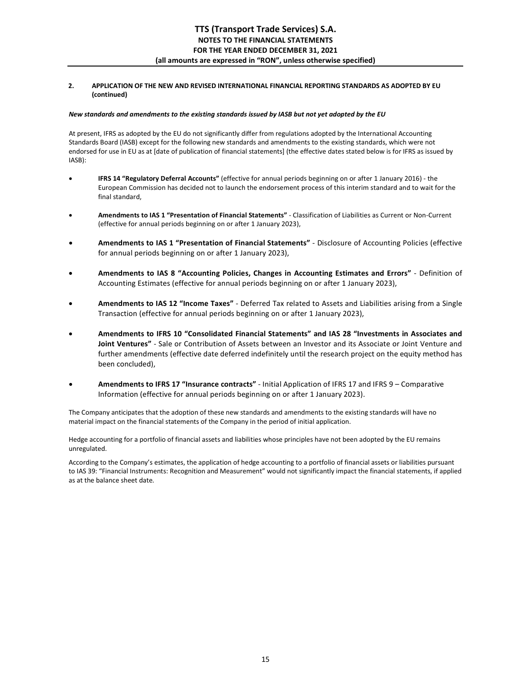# **2. APPLICATION OF THE NEW AND REVISED INTERNATIONAL FINANCIAL REPORTING STANDARDS AS ADOPTED BY EU (continued)**

#### *New standards and amendments to the existing standards issued by IASB but not yet adopted by the EU*

At present, IFRS as adopted by the EU do not significantly differ from regulations adopted by the International Accounting Standards Board (IASB) except for the following new standards and amendments to the existing standards, which were not endorsed for use in EU as at [date of publication of financial statements] (the effective dates stated below is for IFRS as issued by IASB):

- **IFRS 14 "Regulatory Deferral Accounts"** (effective for annual periods beginning on or after 1 January 2016) the European Commission has decided not to launch the endorsement process of this interim standard and to wait for the final standard,
- **Amendments to IAS 1 "Presentation of Financial Statements"** Classification of Liabilities as Current or Non-Current (effective for annual periods beginning on or after 1 January 2023),
- **Amendments to IAS 1 "Presentation of Financial Statements"** Disclosure of Accounting Policies (effective for annual periods beginning on or after 1 January 2023),
- **Amendments to IAS 8 "Accounting Policies, Changes in Accounting Estimates and Errors"** Definition of Accounting Estimates (effective for annual periods beginning on or after 1 January 2023),
- **Amendments to IAS 12 "Income Taxes"** Deferred Tax related to Assets and Liabilities arising from a Single Transaction (effective for annual periods beginning on or after 1 January 2023),
- **Amendments to IFRS 10 "Consolidated Financial Statements" and IAS 28 "Investments in Associates and Joint Ventures"** - Sale or Contribution of Assets between an Investor and its Associate or Joint Venture and further amendments (effective date deferred indefinitely until the research project on the equity method has been concluded),
- **Amendments to IFRS 17 "Insurance contracts"**  Initial Application of IFRS 17 and IFRS 9 Comparative Information (effective for annual periods beginning on or after 1 January 2023).

The Company anticipates that the adoption of these new standards and amendments to the existing standards will have no material impact on the financial statements of the Company in the period of initial application.

Hedge accounting for a portfolio of financial assets and liabilities whose principles have not been adopted by the EU remains unregulated.

According to the Company's estimates, the application of hedge accounting to a portfolio of financial assets or liabilities pursuant to IAS 39: "Financial Instruments: Recognition and Measurement" would not significantly impact the financial statements, if applied as at the balance sheet date.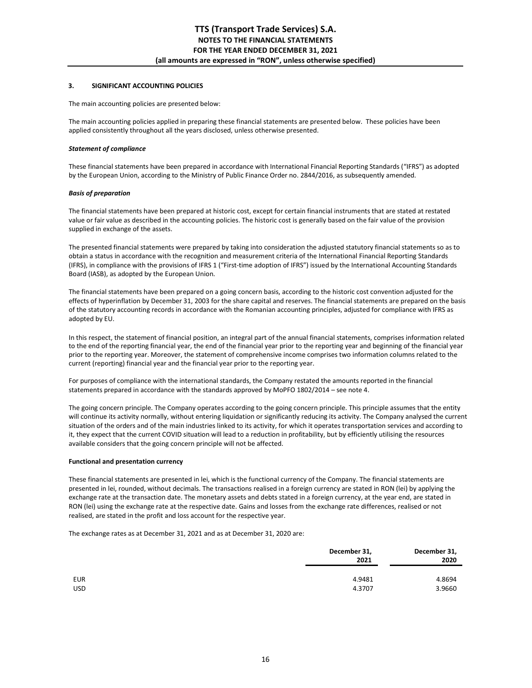#### **3. SIGNIFICANT ACCOUNTING POLICIES**

The main accounting policies are presented below:

The main accounting policies applied in preparing these financial statements are presented below. These policies have been applied consistently throughout all the years disclosed, unless otherwise presented.

#### *Statement of compliance*

These financial statements have been prepared in accordance with International Financial Reporting Standards ("IFRS") as adopted by the European Union, according to the Ministry of Public Finance Order no. 2844/2016, as subsequently amended.

#### *Basis of preparation*

The financial statements have been prepared at historic cost, except for certain financial instruments that are stated at restated value or fair value as described in the accounting policies. The historic cost is generally based on the fair value of the provision supplied in exchange of the assets.

The presented financial statements were prepared by taking into consideration the adjusted statutory financial statements so as to obtain a status in accordance with the recognition and measurement criteria of the International Financial Reporting Standards (IFRS), in compliance with the provisions of IFRS 1 ("First-time adoption of IFRS") issued by the International Accounting Standards Board (IASB), as adopted by the European Union.

The financial statements have been prepared on a going concern basis, according to the historic cost convention adjusted for the effects of hyperinflation by December 31, 2003 for the share capital and reserves. The financial statements are prepared on the basis of the statutory accounting records in accordance with the Romanian accounting principles, adjusted for compliance with IFRS as adopted by EU.

In this respect, the statement of financial position, an integral part of the annual financial statements, comprises information related to the end of the reporting financial year, the end of the financial year prior to the reporting year and beginning of the financial year prior to the reporting year. Moreover, the statement of comprehensive income comprises two information columns related to the current (reporting) financial year and the financial year prior to the reporting year.

For purposes of compliance with the international standards, the Company restated the amounts reported in the financial statements prepared in accordance with the standards approved by MoPFO 1802/2014 – see note 4.

The going concern principle. The Company operates according to the going concern principle. This principle assumes that the entity will continue its activity normally, without entering liquidation or significantly reducing its activity. The Company analysed the current situation of the orders and of the main industries linked to its activity, for which it operates transportation services and according to it, they expect that the current COVID situation will lead to a reduction in profitability, but by efficiently utilising the resources available considers that the going concern principle will not be affected.

#### **Functional and presentation currency**

These financial statements are presented in lei, which is the functional currency of the Company. The financial statements are presented in lei, rounded, without decimals. The transactions realised in a foreign currency are stated in RON (lei) by applying the exchange rate at the transaction date. The monetary assets and debts stated in a foreign currency, at the year end, are stated in RON (lei) using the exchange rate at the respective date. Gains and losses from the exchange rate differences, realised or not realised, are stated in the profit and loss account for the respective year.

The exchange rates as at December 31, 2021 and as at December 31, 2020 are:

|            | December 31,<br>2021 | December 31,<br>2020 |
|------------|----------------------|----------------------|
| <b>EUR</b> | 4.9481               | 4.8694               |
| <b>USD</b> | 4.3707               | 3.9660               |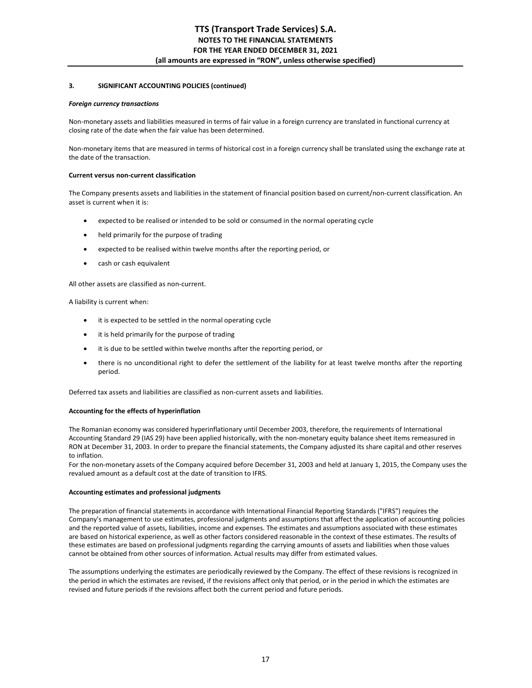#### *Foreign currency transactions*

Non-monetary assets and liabilities measured in terms of fair value in a foreign currency are translated in functional currency at closing rate of the date when the fair value has been determined.

Non-monetary items that are measured in terms of historical cost in a foreign currency shall be translated using the exchange rate at the date of the transaction.

#### **Current versus non-current classification**

The Company presents assets and liabilities in the statement of financial position based on current/non-current classification. An asset is current when it is:

- expected to be realised or intended to be sold or consumed in the normal operating cycle
- held primarily for the purpose of trading
- expected to be realised within twelve months after the reporting period, or
- cash or cash equivalent

All other assets are classified as non-current.

A liability is current when:

- it is expected to be settled in the normal operating cycle
- it is held primarily for the purpose of trading
- it is due to be settled within twelve months after the reporting period, or
- there is no unconditional right to defer the settlement of the liability for at least twelve months after the reporting period.

Deferred tax assets and liabilities are classified as non-current assets and liabilities.

## **Accounting for the effects of hyperinflation**

The Romanian economy was considered hyperinflationary until December 2003, therefore, the requirements of International Accounting Standard 29 (IAS 29) have been applied historically, with the non-monetary equity balance sheet items remeasured in RON at December 31, 2003. In order to prepare the financial statements, the Company adjusted its share capital and other reserves to inflation.

For the non-monetary assets of the Company acquired before December 31, 2003 and held at January 1, 2015, the Company uses the revalued amount as a default cost at the date of transition to IFRS.

#### **Accounting estimates and professional judgments**

The preparation of financial statements in accordance with International Financial Reporting Standards ("IFRS") requires the Company's management to use estimates, professional judgments and assumptions that affect the application of accounting policies and the reported value of assets, liabilities, income and expenses. The estimates and assumptions associated with these estimates are based on historical experience, as well as other factors considered reasonable in the context of these estimates. The results of these estimates are based on professional judgments regarding the carrying amounts of assets and liabilities when those values cannot be obtained from other sources of information. Actual results may differ from estimated values.

The assumptions underlying the estimates are periodically reviewed by the Company. The effect of these revisions is recognized in the period in which the estimates are revised, if the revisions affect only that period, or in the period in which the estimates are revised and future periods if the revisions affect both the current period and future periods.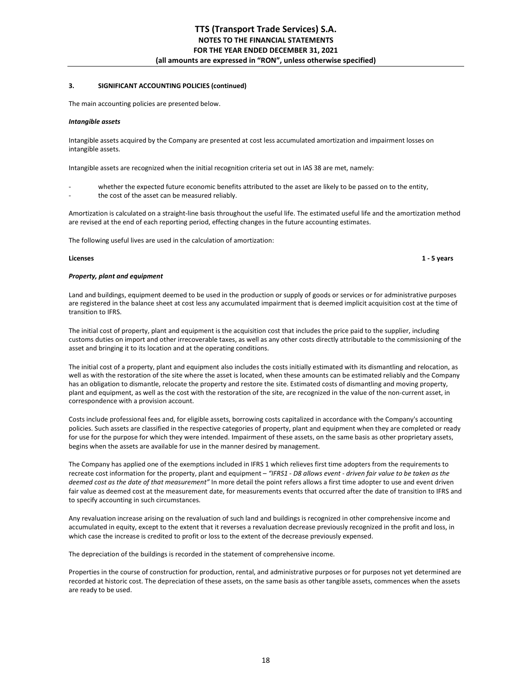The main accounting policies are presented below.

#### *Intangible assets*

Intangible assets acquired by the Company are presented at cost less accumulated amortization and impairment losses on intangible assets.

Intangible assets are recognized when the initial recognition criteria set out in IAS 38 are met, namely:

- whether the expected future economic benefits attributed to the asset are likely to be passed on to the entity,
- the cost of the asset can be measured reliably.

Amortization is calculated on a straight-line basis throughout the useful life. The estimated useful life and the amortization method are revised at the end of each reporting period, effecting changes in the future accounting estimates.

The following useful lives are used in the calculation of amortization:

**Licenses 1 - 5 years** 

#### *Property, plant and equipment*

Land and buildings, equipment deemed to be used in the production or supply of goods or services or for administrative purposes are registered in the balance sheet at cost less any accumulated impairment that is deemed implicit acquisition cost at the time of transition to IFRS.

The initial cost of property, plant and equipment is the acquisition cost that includes the price paid to the supplier, including customs duties on import and other irrecoverable taxes, as well as any other costs directly attributable to the commissioning of the asset and bringing it to its location and at the operating conditions.

The initial cost of a property, plant and equipment also includes the costs initially estimated with its dismantling and relocation, as well as with the restoration of the site where the asset is located, when these amounts can be estimated reliably and the Company has an obligation to dismantle, relocate the property and restore the site. Estimated costs of dismantling and moving property, plant and equipment, as well as the cost with the restoration of the site, are recognized in the value of the non-current asset, in correspondence with a provision account.

Costs include professional fees and, for eligible assets, borrowing costs capitalized in accordance with the Company's accounting policies. Such assets are classified in the respective categories of property, plant and equipment when they are completed or ready for use for the purpose for which they were intended. Impairment of these assets, on the same basis as other proprietary assets, begins when the assets are available for use in the manner desired by management.

The Company has applied one of the exemptions included in IFRS 1 which relieves first time adopters from the requirements to recreate cost information for the property, plant and equipment – *"IFRS1 - D8 allows event - driven fair value to be taken as the deemed cost as the date of that measurement"* In more detail the point refers allows a first time adopter to use and event driven fair value as deemed cost at the measurement date, for measurements events that occurred after the date of transition to IFRS and to specify accounting in such circumstances.

Any revaluation increase arising on the revaluation of such land and buildings is recognized in other comprehensive income and accumulated in equity, except to the extent that it reverses a revaluation decrease previously recognized in the profit and loss, in which case the increase is credited to profit or loss to the extent of the decrease previously expensed.

The depreciation of the buildings is recorded in the statement of comprehensive income.

Properties in the course of construction for production, rental, and administrative purposes or for purposes not yet determined are recorded at historic cost. The depreciation of these assets, on the same basis as other tangible assets, commences when the assets are ready to be used.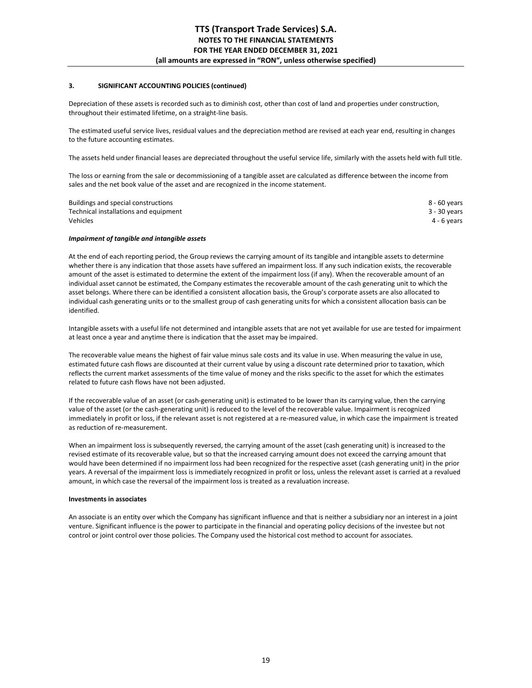Depreciation of these assets is recorded such as to diminish cost, other than cost of land and properties under construction, throughout their estimated lifetime, on a straight-line basis.

The estimated useful service lives, residual values and the depreciation method are revised at each year end, resulting in changes to the future accounting estimates.

The assets held under financial leases are depreciated throughout the useful service life, similarly with the assets held with full title.

The loss or earning from the sale or decommissioning of a tangible asset are calculated as difference between the income from sales and the net book value of the asset and are recognized in the income statement.

| Buildings and special constructions   | 8 - 60 years |
|---------------------------------------|--------------|
| Technical installations and equipment | 3 - 30 years |
| Vehicles                              | 4 - 6 years  |

## *Impairment of tangible and intangible assets*

At the end of each reporting period, the Group reviews the carrying amount of its tangible and intangible assets to determine whether there is any indication that those assets have suffered an impairment loss. If any such indication exists, the recoverable amount of the asset is estimated to determine the extent of the impairment loss (if any). When the recoverable amount of an individual asset cannot be estimated, the Company estimates the recoverable amount of the cash generating unit to which the asset belongs. Where there can be identified a consistent allocation basis, the Group's corporate assets are also allocated to individual cash generating units or to the smallest group of cash generating units for which a consistent allocation basis can be identified.

Intangible assets with a useful life not determined and intangible assets that are not yet available for use are tested for impairment at least once a year and anytime there is indication that the asset may be impaired.

The recoverable value means the highest of fair value minus sale costs and its value in use. When measuring the value in use, estimated future cash flows are discounted at their current value by using a discount rate determined prior to taxation, which reflects the current market assessments of the time value of money and the risks specific to the asset for which the estimates related to future cash flows have not been adjusted.

If the recoverable value of an asset (or cash-generating unit) is estimated to be lower than its carrying value, then the carrying value of the asset (or the cash-generating unit) is reduced to the level of the recoverable value. Impairment is recognized immediately in profit or loss, if the relevant asset is not registered at a re-measured value, in which case the impairment is treated as reduction of re-measurement.

When an impairment loss is subsequently reversed, the carrying amount of the asset (cash generating unit) is increased to the revised estimate of its recoverable value, but so that the increased carrying amount does not exceed the carrying amount that would have been determined if no impairment loss had been recognized for the respective asset (cash generating unit) in the prior years. A reversal of the impairment loss is immediately recognized in profit or loss, unless the relevant asset is carried at a revalued amount, in which case the reversal of the impairment loss is treated as a revaluation increase.

#### **Investments in associates**

An associate is an entity over which the Company has significant influence and that is neither a subsidiary nor an interest in a joint venture. Significant influence is the power to participate in the financial and operating policy decisions of the investee but not control or joint control over those policies. The Company used the historical cost method to account for associates.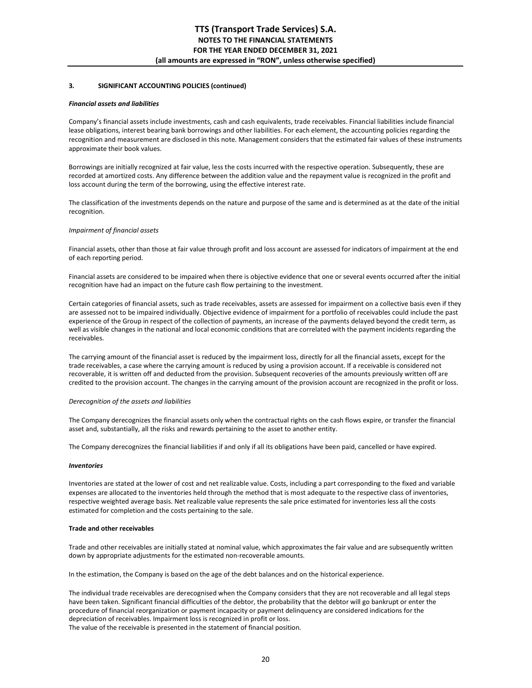#### *Financial assets and liabilities*

Company's financial assets include investments, cash and cash equivalents, trade receivables. Financial liabilities include financial lease obligations, interest bearing bank borrowings and other liabilities. For each element, the accounting policies regarding the recognition and measurement are disclosed in this note. Management considers that the estimated fair values of these instruments approximate their book values.

Borrowings are initially recognized at fair value, less the costs incurred with the respective operation. Subsequently, these are recorded at amortized costs. Any difference between the addition value and the repayment value is recognized in the profit and loss account during the term of the borrowing, using the effective interest rate.

The classification of the investments depends on the nature and purpose of the same and is determined as at the date of the initial recognition.

#### *Impairment of financial assets*

Financial assets, other than those at fair value through profit and loss account are assessed for indicators of impairment at the end of each reporting period.

Financial assets are considered to be impaired when there is objective evidence that one or several events occurred after the initial recognition have had an impact on the future cash flow pertaining to the investment.

Certain categories of financial assets, such as trade receivables, assets are assessed for impairment on a collective basis even if they are assessed not to be impaired individually. Objective evidence of impairment for a portfolio of receivables could include the past experience of the Group in respect of the collection of payments, an increase of the payments delayed beyond the credit term, as well as visible changes in the national and local economic conditions that are correlated with the payment incidents regarding the receivables.

The carrying amount of the financial asset is reduced by the impairment loss, directly for all the financial assets, except for the trade receivables, a case where the carrying amount is reduced by using a provision account. If a receivable is considered not recoverable, it is written off and deducted from the provision. Subsequent recoveries of the amounts previously written off are credited to the provision account. The changes in the carrying amount of the provision account are recognized in the profit or loss.

#### *Derecognition of the assets and liabilities*

The Company derecognizes the financial assets only when the contractual rights on the cash flows expire, or transfer the financial asset and, substantially, all the risks and rewards pertaining to the asset to another entity.

The Company derecognizes the financial liabilities if and only if all its obligations have been paid, cancelled or have expired.

#### *Inventories*

Inventories are stated at the lower of cost and net realizable value. Costs, including a part corresponding to the fixed and variable expenses are allocated to the inventories held through the method that is most adequate to the respective class of inventories, respective weighted average basis. Net realizable value represents the sale price estimated for inventories less all the costs estimated for completion and the costs pertaining to the sale.

#### **Trade and other receivables**

Trade and other receivables are initially stated at nominal value, which approximates the fair value and are subsequently written down by appropriate adjustments for the estimated non-recoverable amounts.

In the estimation, the Company is based on the age of the debt balances and on the historical experience.

The individual trade receivables are derecognised when the Company considers that they are not recoverable and all legal steps have been taken. Significant financial difficulties of the debtor, the probability that the debtor will go bankrupt or enter the procedure of financial reorganization or payment incapacity or payment delinquency are considered indications for the depreciation of receivables. Impairment loss is recognized in profit or loss. The value of the receivable is presented in the statement of financial position.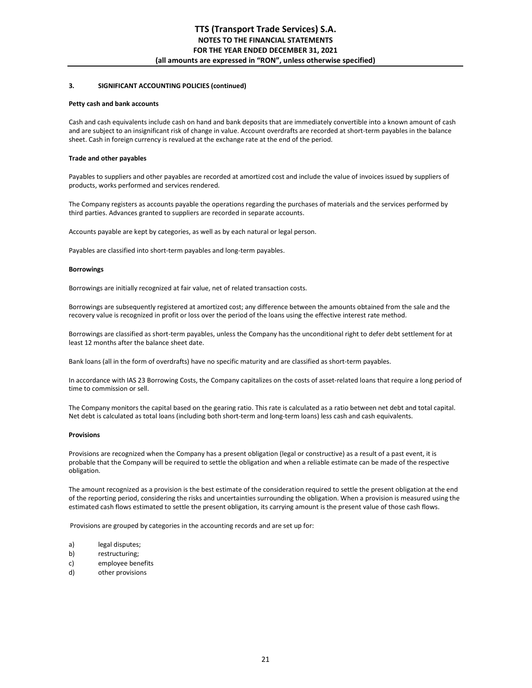#### **Petty cash and bank accounts**

Cash and cash equivalents include cash on hand and bank deposits that are immediately convertible into a known amount of cash and are subject to an insignificant risk of change in value. Account overdrafts are recorded at short-term payables in the balance sheet. Cash in foreign currency is revalued at the exchange rate at the end of the period.

#### **Trade and other payables**

Payables to suppliers and other payables are recorded at amortized cost and include the value of invoices issued by suppliers of products, works performed and services rendered.

The Company registers as accounts payable the operations regarding the purchases of materials and the services performed by third parties. Advances granted to suppliers are recorded in separate accounts.

Accounts payable are kept by categories, as well as by each natural or legal person.

Payables are classified into short-term payables and long-term payables.

#### **Borrowings**

Borrowings are initially recognized at fair value, net of related transaction costs.

Borrowings are subsequently registered at amortized cost; any difference between the amounts obtained from the sale and the recovery value is recognized in profit or loss over the period of the loans using the effective interest rate method.

Borrowings are classified as short-term payables, unless the Company has the unconditional right to defer debt settlement for at least 12 months after the balance sheet date.

Bank loans (all in the form of overdrafts) have no specific maturity and are classified as short-term payables.

In accordance with IAS 23 Borrowing Costs, the Company capitalizes on the costs of asset-related loans that require a long period of time to commission or sell.

The Company monitors the capital based on the gearing ratio. This rate is calculated as a ratio between net debt and total capital. Net debt is calculated as total loans (including both short-term and long-term loans) less cash and cash equivalents.

#### **Provisions**

Provisions are recognized when the Company has a present obligation (legal or constructive) as a result of a past event, it is probable that the Company will be required to settle the obligation and when a reliable estimate can be made of the respective obligation.

The amount recognized as a provision is the best estimate of the consideration required to settle the present obligation at the end of the reporting period, considering the risks and uncertainties surrounding the obligation. When a provision is measured using the estimated cash flows estimated to settle the present obligation, its carrying amount is the present value of those cash flows.

Provisions are grouped by categories in the accounting records and are set up for:

- a) legal disputes;
- b) restructuring;
- c) employee benefits
- d) other provisions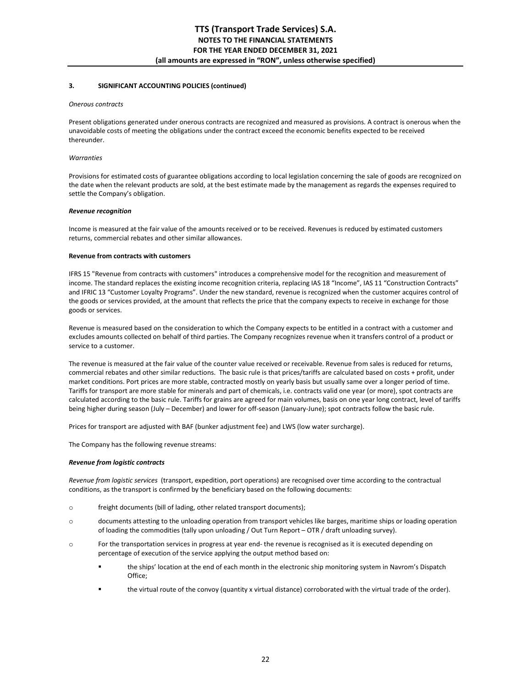#### *Onerous contracts*

Present obligations generated under onerous contracts are recognized and measured as provisions. A contract is onerous when the unavoidable costs of meeting the obligations under the contract exceed the economic benefits expected to be received thereunder.

#### *Warranties*

Provisions for estimated costs of guarantee obligations according to local legislation concerning the sale of goods are recognized on the date when the relevant products are sold, at the best estimate made by the management as regards the expenses required to settle the Company's obligation.

#### *Revenue recognition*

Income is measured at the fair value of the amounts received or to be received. Revenues is reduced by estimated customers returns, commercial rebates and other similar allowances.

#### **Revenue from contracts with customers**

IFRS 15 "Revenue from contracts with customers" introduces a comprehensive model for the recognition and measurement of income. The standard replaces the existing income recognition criteria, replacing IAS 18 "Income", IAS 11 "Construction Contracts" and IFRIC 13 "Customer Loyalty Programs". Under the new standard, revenue is recognized when the customer acquires control of the goods or services provided, at the amount that reflects the price that the company expects to receive in exchange for those goods or services.

Revenue is measured based on the consideration to which the Company expects to be entitled in a contract with a customer and excludes amounts collected on behalf of third parties. The Company recognizes revenue when it transfers control of a product or service to a customer.

The revenue is measured at the fair value of the counter value received or receivable. Revenue from sales is reduced for returns, commercial rebates and other similar reductions. The basic rule is that prices/tariffs are calculated based on costs + profit, under market conditions. Port prices are more stable, contracted mostly on yearly basis but usually same over a longer period of time. Tariffs for transport are more stable for minerals and part of chemicals, i.e. contracts valid one year (or more), spot contracts are calculated according to the basic rule. Tariffs for grains are agreed for main volumes, basis on one year long contract, level of tariffs being higher during season (July – December) and lower for off-season (January-June); spot contracts follow the basic rule.

Prices for transport are adjusted with BAF (bunker adjustment fee) and LWS (low water surcharge).

The Company has the following revenue streams:

## *Revenue from logistic contracts*

*Revenue from logistic services* (transport, expedition, port operations) are recognised over time according to the contractual conditions, as the transport is confirmed by the beneficiary based on the following documents:

- o freight documents (bill of lading, other related transport documents);
- o documents attesting to the unloading operation from transport vehicles like barges, maritime ships or loading operation of loading the commodities (tally upon unloading / Out Turn Report – OTR / draft unloading survey).
- o For the transportation services in progress at year end- the revenue is recognised as it is executed depending on percentage of execution of the service applying the output method based on:
	- the ships' location at the end of each month in the electronic ship monitoring system in Navrom's Dispatch Office;
	- the virtual route of the convoy (quantity x virtual distance) corroborated with the virtual trade of the order).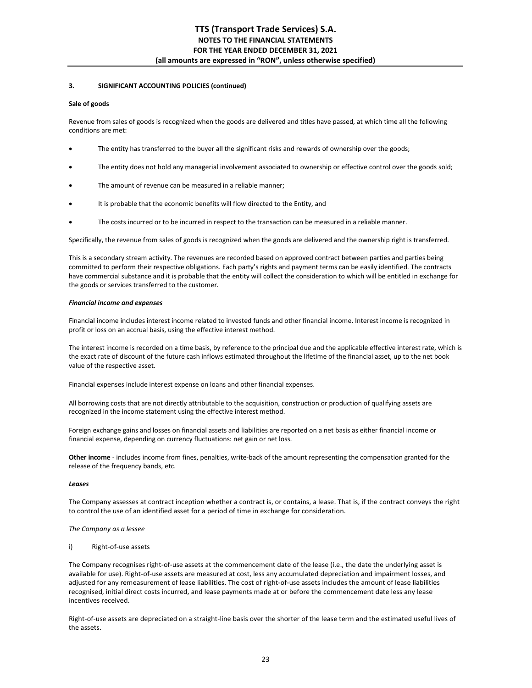## **Sale of goods**

Revenue from sales of goods is recognized when the goods are delivered and titles have passed, at which time all the following conditions are met:

- The entity has transferred to the buyer all the significant risks and rewards of ownership over the goods;
- The entity does not hold any managerial involvement associated to ownership or effective control over the goods sold;
- The amount of revenue can be measured in a reliable manner;
- It is probable that the economic benefits will flow directed to the Entity, and
- The costs incurred or to be incurred in respect to the transaction can be measured in a reliable manner.

Specifically, the revenue from sales of goods is recognized when the goods are delivered and the ownership right is transferred.

This is a secondary stream activity. The revenues are recorded based on approved contract between parties and parties being committed to perform their respective obligations. Each party's rights and payment terms can be easily identified. The contracts have commercial substance and it is probable that the entity will collect the consideration to which will be entitled in exchange for the goods or services transferred to the customer.

#### *Financial income and expenses*

Financial income includes interest income related to invested funds and other financial income. Interest income is recognized in profit or loss on an accrual basis, using the effective interest method.

The interest income is recorded on a time basis, by reference to the principal due and the applicable effective interest rate, which is the exact rate of discount of the future cash inflows estimated throughout the lifetime of the financial asset, up to the net book value of the respective asset.

Financial expenses include interest expense on loans and other financial expenses.

All borrowing costs that are not directly attributable to the acquisition, construction or production of qualifying assets are recognized in the income statement using the effective interest method.

Foreign exchange gains and losses on financial assets and liabilities are reported on a net basis as either financial income or financial expense, depending on currency fluctuations: net gain or net loss.

**Other income** - includes income from fines, penalties, write-back of the amount representing the compensation granted for the release of the frequency bands, etc.

## *Leases*

The Company assesses at contract inception whether a contract is, or contains, a lease. That is, if the contract conveys the right to control the use of an identified asset for a period of time in exchange for consideration.

## *The Company as a lessee*

i) Right-of-use assets

The Company recognises right-of-use assets at the commencement date of the lease (i.e., the date the underlying asset is available for use). Right-of-use assets are measured at cost, less any accumulated depreciation and impairment losses, and adjusted for any remeasurement of lease liabilities. The cost of right-of-use assets includes the amount of lease liabilities recognised, initial direct costs incurred, and lease payments made at or before the commencement date less any lease incentives received.

Right-of-use assets are depreciated on a straight-line basis over the shorter of the lease term and the estimated useful lives of the assets.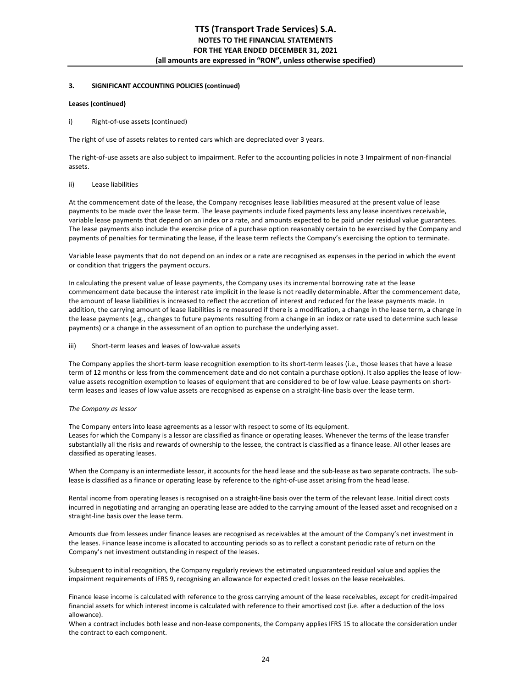## **Leases (continued)**

## i) Right-of-use assets (continued)

The right of use of assets relates to rented cars which are depreciated over 3 years.

The right-of-use assets are also subject to impairment. Refer to the accounting policies in note 3 Impairment of non-financial assets.

## ii) Lease liabilities

At the commencement date of the lease, the Company recognises lease liabilities measured at the present value of lease payments to be made over the lease term. The lease payments include fixed payments less any lease incentives receivable, variable lease payments that depend on an index or a rate, and amounts expected to be paid under residual value guarantees. The lease payments also include the exercise price of a purchase option reasonably certain to be exercised by the Company and payments of penalties for terminating the lease, if the lease term reflects the Company's exercising the option to terminate.

Variable lease payments that do not depend on an index or a rate are recognised as expenses in the period in which the event or condition that triggers the payment occurs.

In calculating the present value of lease payments, the Company uses its incremental borrowing rate at the lease commencement date because the interest rate implicit in the lease is not readily determinable. After the commencement date, the amount of lease liabilities is increased to reflect the accretion of interest and reduced for the lease payments made. In addition, the carrying amount of lease liabilities is re measured if there is a modification, a change in the lease term, a change in the lease payments (e.g., changes to future payments resulting from a change in an index or rate used to determine such lease payments) or a change in the assessment of an option to purchase the underlying asset.

#### iii) Short-term leases and leases of low-value assets

The Company applies the short-term lease recognition exemption to its short-term leases (i.e., those leases that have a lease term of 12 months or less from the commencement date and do not contain a purchase option). It also applies the lease of lowvalue assets recognition exemption to leases of equipment that are considered to be of low value. Lease payments on shortterm leases and leases of low value assets are recognised as expense on a straight-line basis over the lease term.

## *The Company as lessor*

The Company enters into lease agreements as a lessor with respect to some of its equipment. Leases for which the Company is a lessor are classified as finance or operating leases. Whenever the terms of the lease transfer substantially all the risks and rewards of ownership to the lessee, the contract is classified as a finance lease. All other leases are classified as operating leases.

When the Company is an intermediate lessor, it accounts for the head lease and the sub-lease as two separate contracts. The sublease is classified as a finance or operating lease by reference to the right-of-use asset arising from the head lease.

Rental income from operating leases is recognised on a straight-line basis over the term of the relevant lease. Initial direct costs incurred in negotiating and arranging an operating lease are added to the carrying amount of the leased asset and recognised on a straight-line basis over the lease term.

Amounts due from lessees under finance leases are recognised as receivables at the amount of the Company's net investment in the leases. Finance lease income is allocated to accounting periods so as to reflect a constant periodic rate of return on the Company's net investment outstanding in respect of the leases.

Subsequent to initial recognition, the Company regularly reviews the estimated unguaranteed residual value and applies the impairment requirements of IFRS 9, recognising an allowance for expected credit losses on the lease receivables.

Finance lease income is calculated with reference to the gross carrying amount of the lease receivables, except for credit-impaired financial assets for which interest income is calculated with reference to their amortised cost (i.e. after a deduction of the loss allowance).

When a contract includes both lease and non-lease components, the Company applies IFRS 15 to allocate the consideration under the contract to each component.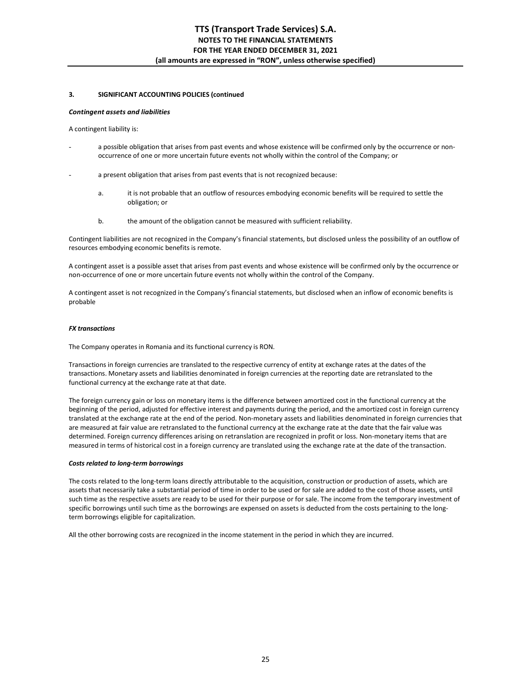#### *Contingent assets and liabilities*

A contingent liability is:

- a possible obligation that arises from past events and whose existence will be confirmed only by the occurrence or nonoccurrence of one or more uncertain future events not wholly within the control of the Company; or
- a present obligation that arises from past events that is not recognized because:
	- a. it is not probable that an outflow of resources embodying economic benefits will be required to settle the obligation; or
	- b. the amount of the obligation cannot be measured with sufficient reliability.

Contingent liabilities are not recognized in the Company's financial statements, but disclosed unless the possibility of an outflow of resources embodying economic benefits is remote.

A contingent asset is a possible asset that arises from past events and whose existence will be confirmed only by the occurrence or non-occurrence of one or more uncertain future events not wholly within the control of the Company.

A contingent asset is not recognized in the Company's financial statements, but disclosed when an inflow of economic benefits is probable

#### *FX transactions*

The Company operates in Romania and its functional currency is RON.

 Transactions in foreign currencies are translated to the respective currency of entity at exchange rates at the dates of the transactions. Monetary assets and liabilities denominated in foreign currencies at the reporting date are retranslated to the functional currency at the exchange rate at that date.

The foreign currency gain or loss on monetary items is the difference between amortized cost in the functional currency at the beginning of the period, adjusted for effective interest and payments during the period, and the amortized cost in foreign currency translated at the exchange rate at the end of the period. Non-monetary assets and liabilities denominated in foreign currencies that are measured at fair value are retranslated to the functional currency at the exchange rate at the date that the fair value was determined. Foreign currency differences arising on retranslation are recognized in profit or loss. Non-monetary items that are measured in terms of historical cost in a foreign currency are translated using the exchange rate at the date of the transaction.

#### *Costs related to long-term borrowings*

The costs related to the long-term loans directly attributable to the acquisition, construction or production of assets, which are assets that necessarily take a substantial period of time in order to be used or for sale are added to the cost of those assets, until such time as the respective assets are ready to be used for their purpose or for sale. The income from the temporary investment of specific borrowings until such time as the borrowings are expensed on assets is deducted from the costs pertaining to the longterm borrowings eligible for capitalization.

All the other borrowing costs are recognized in the income statement in the period in which they are incurred.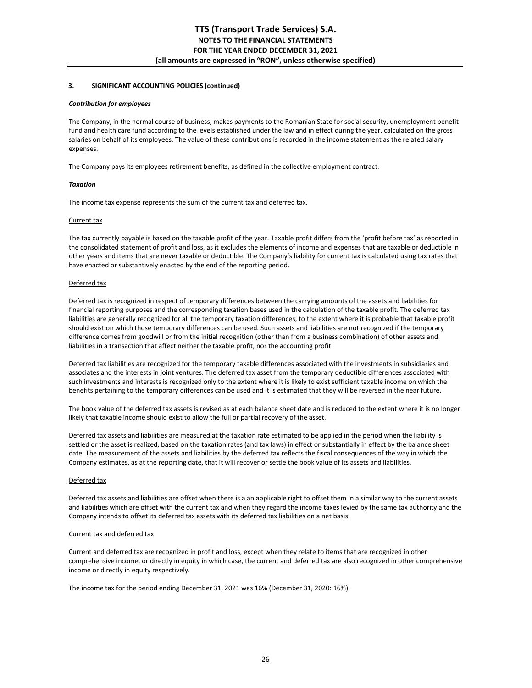## *Contribution for employees*

The Company, in the normal course of business, makes payments to the Romanian State for social security, unemployment benefit fund and health care fund according to the levels established under the law and in effect during the year, calculated on the gross salaries on behalf of its employees. The value of these contributions is recorded in the income statement as the related salary expenses.

The Company pays its employees retirement benefits, as defined in the collective employment contract.

# *Taxation*

The income tax expense represents the sum of the current tax and deferred tax.

# Current tax

The tax currently payable is based on the taxable profit of the year. Taxable profit differs from the 'profit before tax' as reported in the consolidated statement of profit and loss, as it excludes the elements of income and expenses that are taxable or deductible in other years and items that are never taxable or deductible. The Company's liability for current tax is calculated using tax rates that have enacted or substantively enacted by the end of the reporting period.

# Deferred tax

Deferred tax is recognized in respect of temporary differences between the carrying amounts of the assets and liabilities for financial reporting purposes and the corresponding taxation bases used in the calculation of the taxable profit. The deferred tax liabilities are generally recognized for all the temporary taxation differences, to the extent where it is probable that taxable profit should exist on which those temporary differences can be used. Such assets and liabilities are not recognized if the temporary difference comes from goodwill or from the initial recognition (other than from a business combination) of other assets and liabilities in a transaction that affect neither the taxable profit, nor the accounting profit.

Deferred tax liabilities are recognized for the temporary taxable differences associated with the investments in subsidiaries and associates and the interests in joint ventures. The deferred tax asset from the temporary deductible differences associated with such investments and interests is recognized only to the extent where it is likely to exist sufficient taxable income on which the benefits pertaining to the temporary differences can be used and it is estimated that they will be reversed in the near future.

The book value of the deferred tax assets is revised as at each balance sheet date and is reduced to the extent where it is no longer likely that taxable income should exist to allow the full or partial recovery of the asset.

Deferred tax assets and liabilities are measured at the taxation rate estimated to be applied in the period when the liability is settled or the asset is realized, based on the taxation rates (and tax laws) in effect or substantially in effect by the balance sheet date. The measurement of the assets and liabilities by the deferred tax reflects the fiscal consequences of the way in which the Company estimates, as at the reporting date, that it will recover or settle the book value of its assets and liabilities.

# Deferred tax

Deferred tax assets and liabilities are offset when there is a an applicable right to offset them in a similar way to the current assets and liabilities which are offset with the current tax and when they regard the income taxes levied by the same tax authority and the Company intends to offset its deferred tax assets with its deferred tax liabilities on a net basis.

## Current tax and deferred tax

Current and deferred tax are recognized in profit and loss, except when they relate to items that are recognized in other comprehensive income, or directly in equity in which case, the current and deferred tax are also recognized in other comprehensive income or directly in equity respectively.

The income tax for the period ending December 31, 2021 was 16% (December 31, 2020: 16%).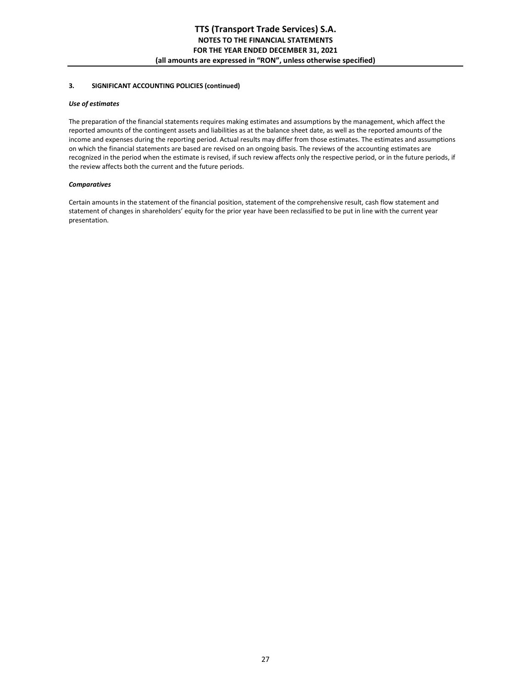## *Use of estimates*

The preparation of the financial statements requires making estimates and assumptions by the management, which affect the reported amounts of the contingent assets and liabilities as at the balance sheet date, as well as the reported amounts of the income and expenses during the reporting period. Actual results may differ from those estimates. The estimates and assumptions on which the financial statements are based are revised on an ongoing basis. The reviews of the accounting estimates are recognized in the period when the estimate is revised, if such review affects only the respective period, or in the future periods, if the review affects both the current and the future periods.

# *Comparatives*

Certain amounts in the statement of the financial position, statement of the comprehensive result, cash flow statement and statement of changes in shareholders' equity for the prior year have been reclassified to be put in line with the current year presentation.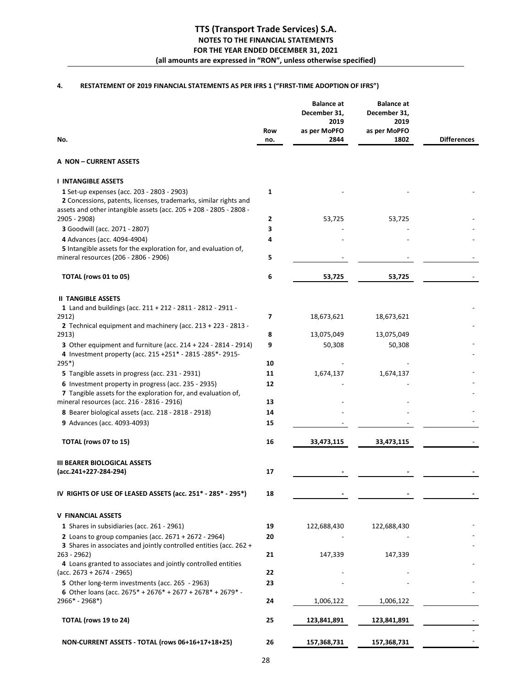# **4. RESTATEMENT OF 2019 FINANCIAL STATEMENTS AS PER IFRS 1 ("FIRST-TIME ADOPTION OF IFRS")**

|                                                                                                                                                                                      | Row      | <b>Balance</b> at<br>December 31,<br>2019<br>as per MoPFO | <b>Balance at</b><br>December 31,<br>2019<br>as per MoPFO |                    |
|--------------------------------------------------------------------------------------------------------------------------------------------------------------------------------------|----------|-----------------------------------------------------------|-----------------------------------------------------------|--------------------|
| No.                                                                                                                                                                                  | no.      | 2844                                                      | 1802                                                      | <b>Differences</b> |
| A NON-CURRENT ASSETS                                                                                                                                                                 |          |                                                           |                                                           |                    |
| <b>I INTANGIBLE ASSETS</b>                                                                                                                                                           |          |                                                           |                                                           |                    |
| 1 Set-up expenses (acc. 203 - 2803 - 2903)<br>2 Concessions, patents, licenses, trademarks, similar rights and<br>assets and other intangible assets (acc. 205 + 208 - 2805 - 2808 - | 1        |                                                           |                                                           |                    |
| 2905 - 2908)                                                                                                                                                                         | 2        | 53,725                                                    | 53,725                                                    |                    |
| 3 Goodwill (acc. 2071 - 2807)                                                                                                                                                        | 3        |                                                           |                                                           |                    |
| 4 Advances (acc. 4094-4904)                                                                                                                                                          | 4        |                                                           |                                                           |                    |
| 5 Intangible assets for the exploration for, and evaluation of,<br>mineral resources (206 - 2806 - 2906)                                                                             | 5        |                                                           |                                                           |                    |
| TOTAL (rows 01 to 05)                                                                                                                                                                | 6        | 53,725                                                    | 53,725                                                    |                    |
| <b>II TANGIBLE ASSETS</b>                                                                                                                                                            |          |                                                           |                                                           |                    |
| 1 Land and buildings (acc. 211 + 212 - 2811 - 2812 - 2911 -                                                                                                                          |          |                                                           |                                                           |                    |
| 2912)                                                                                                                                                                                | 7        | 18,673,621                                                | 18,673,621                                                |                    |
| 2 Technical equipment and machinery (acc. 213 + 223 - 2813 -<br>2913)                                                                                                                | 8        | 13,075,049                                                | 13,075,049                                                |                    |
| 3 Other equipment and furniture (acc. 214 + 224 - 2814 - 2914)<br>4 Investment property (acc. 215 +251* - 2815 -285*- 2915-                                                          | 9        | 50,308                                                    | 50,308                                                    |                    |
| $295*)$                                                                                                                                                                              | 10       |                                                           |                                                           |                    |
| 5 Tangible assets in progress (acc. 231 - 2931)                                                                                                                                      | 11       | 1,674,137                                                 | 1,674,137                                                 |                    |
| 6 Investment property in progress (acc. 235 - 2935)<br>7 Tangible assets for the exploration for, and evaluation of,                                                                 | 12       |                                                           |                                                           |                    |
| mineral resources (acc. 216 - 2816 - 2916)<br>8 Bearer biological assets (acc. 218 - 2818 - 2918)                                                                                    | 13<br>14 |                                                           |                                                           |                    |
| <b>9</b> Advances (acc. 4093-4093)                                                                                                                                                   | 15       |                                                           |                                                           |                    |
| TOTAL (rows 07 to 15)                                                                                                                                                                | 16       | 33,473,115                                                | 33,473,115                                                |                    |
| <b>III BEARER BIOLOGICAL ASSETS</b>                                                                                                                                                  |          |                                                           |                                                           |                    |
| (acc.241+227-284-294)                                                                                                                                                                | 17       |                                                           |                                                           |                    |
| IV RIGHTS OF USE OF LEASED ASSETS (acc. 251* - 285* - 295*)                                                                                                                          | 18       |                                                           |                                                           |                    |
| <b>V FINANCIAL ASSETS</b>                                                                                                                                                            |          |                                                           |                                                           |                    |
| 1 Shares in subsidiaries (acc. 261 - 2961)                                                                                                                                           | 19       | 122,688,430                                               | 122,688,430                                               |                    |
| 2 Loans to group companies (acc. 2671 + 2672 - 2964)<br>3 Shares in associates and jointly controlled entities (acc. 262 +                                                           | 20       |                                                           |                                                           |                    |
| $263 - 2962$                                                                                                                                                                         | 21       | 147,339                                                   | 147,339                                                   |                    |
| 4 Loans granted to associates and jointly controlled entities<br>$(acc. 2673 + 2674 - 2965)$                                                                                         | 22       |                                                           |                                                           |                    |
| 5 Other long-term investments (acc. 265 - 2963)                                                                                                                                      | 23       |                                                           |                                                           |                    |
| 6 Other loans (acc. $2675* + 2676* + 2677 + 2678* + 2679* -$<br>$2966* - 2968*)$                                                                                                     | 24       | 1,006,122                                                 | 1,006,122                                                 |                    |
|                                                                                                                                                                                      |          |                                                           |                                                           |                    |
| TOTAL (rows 19 to 24)                                                                                                                                                                | 25       | 123,841,891                                               | 123,841,891                                               |                    |
| NON-CURRENT ASSETS - TOTAL (rows 06+16+17+18+25)                                                                                                                                     | 26       | 157,368,731                                               | 157,368,731                                               |                    |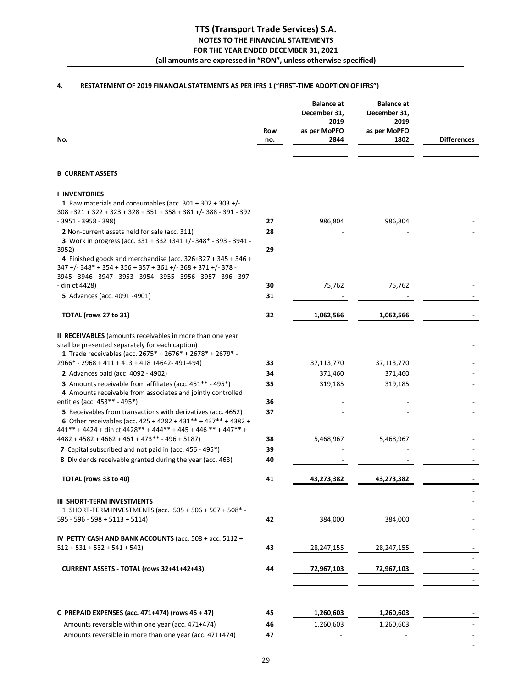# **4. RESTATEMENT OF 2019 FINANCIAL STATEMENTS AS PER IFRS 1 ("FIRST-TIME ADOPTION OF IFRS")**

|                                                                                                                                                                                                                                         | Row      | <b>Balance at</b><br>December 31,<br>2019<br>as per MoPFO | <b>Balance at</b><br>December 31,<br>2019<br>as per MoPFO |                    |
|-----------------------------------------------------------------------------------------------------------------------------------------------------------------------------------------------------------------------------------------|----------|-----------------------------------------------------------|-----------------------------------------------------------|--------------------|
| No.                                                                                                                                                                                                                                     | no.      | 2844                                                      | 1802                                                      | <b>Differences</b> |
| <b>B CURRENT ASSETS</b>                                                                                                                                                                                                                 |          |                                                           |                                                           |                    |
|                                                                                                                                                                                                                                         |          |                                                           |                                                           |                    |
| <b>I INVENTORIES</b><br>1 Raw materials and consumables (acc. $301 + 302 + 303 +$ /-<br>$308 + 321 + 322 + 323 + 328 + 351 + 358 + 381 + (-388 - 391 - 392$<br>$-3951 - 3958 - 398$                                                     | 27       | 986,804                                                   | 986,804                                                   |                    |
| 2 Non-current assets held for sale (acc. 311)<br>3 Work in progress (acc. 331 + 332 +341 +/- 348* - 393 - 3941 -                                                                                                                        | 28       |                                                           |                                                           |                    |
| 3952)<br>4 Finished goods and merchandise (acc. $326+327 + 345 + 346 +$<br>$347 + (-348* + 354 + 356 + 357 + 361 + (-368 + 371 + (-378 -$                                                                                               | 29       |                                                           |                                                           |                    |
| 3945 - 3946 - 3947 - 3953 - 3954 - 3955 - 3956 - 3957 - 396 - 397<br>- din ct 4428)                                                                                                                                                     | 30       | 75,762                                                    | 75,762                                                    |                    |
| 5 Advances (acc. 4091 -4901)                                                                                                                                                                                                            | 31       |                                                           |                                                           |                    |
| TOTAL (rows 27 to 31)                                                                                                                                                                                                                   | 32       | 1,062,566                                                 | 1,062,566                                                 |                    |
| <b>II RECEIVABLES</b> (amounts receivables in more than one year<br>shall be presented separately for each caption)<br>1 Trade receivables (acc. 2675* + 2676* + 2678* + 2679* -<br>$2966* - 2968 + 411 + 413 + 418 + 4642 - 491 - 494$ | 33       | 37,113,770                                                | 37,113,770                                                |                    |
| 2 Advances paid (acc. 4092 - 4902)                                                                                                                                                                                                      | 34       | 371,460                                                   | 371,460                                                   |                    |
| 3 Amounts receivable from affiliates (acc. 451** - 495*)<br>4 Amounts receivable from associates and jointly controlled                                                                                                                 | 35       | 319,185                                                   | 319,185                                                   |                    |
| entities (acc. 453** - 495*)                                                                                                                                                                                                            | 36       |                                                           |                                                           |                    |
| 5 Receivables from transactions with derivatives (acc. 4652)<br>6 Other receivables (acc. $425 + 4282 + 431** + 437** + 4382 +$<br>441** + 4424 + din ct 4428** + 444** + 445 + 446 ** + 447** +                                        | 37       |                                                           |                                                           |                    |
| $4482 + 4582 + 4662 + 461 + 473$ ** - 496 + 5187)                                                                                                                                                                                       | 38       | 5,468,967                                                 | 5,468,967                                                 |                    |
| 7 Capital subscribed and not paid in (acc. 456 - 495*)<br>8 Dividends receivable granted during the year (acc. 463)                                                                                                                     | 39<br>40 |                                                           |                                                           |                    |
|                                                                                                                                                                                                                                         |          |                                                           |                                                           |                    |
| TOTAL (rows 33 to 40)                                                                                                                                                                                                                   | 41       | 43,273,382                                                | 43,273,382                                                |                    |
| <b>III SHORT-TERM INVESTMENTS</b><br>1 SHORT-TERM INVESTMENTS (acc. 505 + 506 + 507 + 508* -<br>595 - 596 - 598 + 5113 + 5114)                                                                                                          | 42       | 384,000                                                   | 384,000                                                   |                    |
|                                                                                                                                                                                                                                         |          |                                                           |                                                           |                    |
| IV PETTY CASH AND BANK ACCOUNTS (acc. 508 + acc. 5112 +<br>$512 + 531 + 532 + 541 + 542$                                                                                                                                                | 43       | 28,247,155                                                | 28,247,155                                                |                    |
| CURRENT ASSETS - TOTAL (rows 32+41+42+43)                                                                                                                                                                                               | 44       | 72,967,103                                                | 72,967,103                                                |                    |
| C PREPAID EXPENSES (acc. 471+474) (rows 46 + 47)                                                                                                                                                                                        | 45       | 1,260,603                                                 | 1,260,603                                                 |                    |
| Amounts reversible within one year (acc. 471+474)                                                                                                                                                                                       | 46       | 1,260,603                                                 | 1,260,603                                                 |                    |
| Amounts reversible in more than one year (acc. 471+474)                                                                                                                                                                                 | 47       |                                                           |                                                           |                    |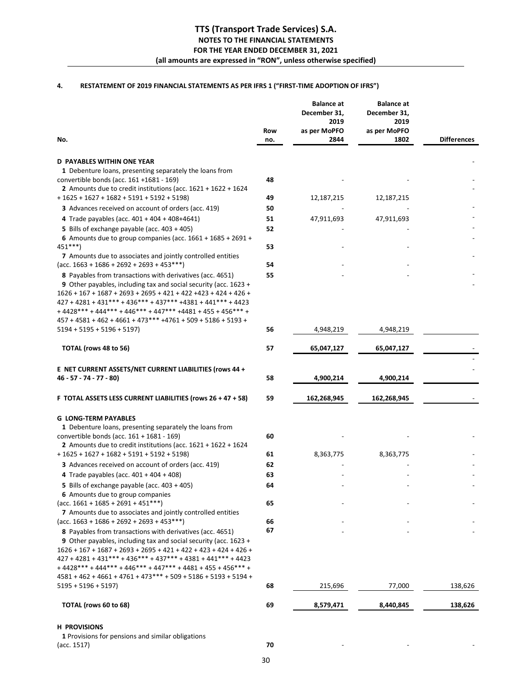# **4. RESTATEMENT OF 2019 FINANCIAL STATEMENTS AS PER IFRS 1 ("FIRST-TIME ADOPTION OF IFRS")**

|                                                                                                                                                                                                                                                             | Row      | <b>Balance at</b><br>December 31,<br>2019<br>as per MoPFO | <b>Balance at</b><br>December 31,<br>2019<br>as per MoPFO |                    |
|-------------------------------------------------------------------------------------------------------------------------------------------------------------------------------------------------------------------------------------------------------------|----------|-----------------------------------------------------------|-----------------------------------------------------------|--------------------|
| No.                                                                                                                                                                                                                                                         | no.      | 2844                                                      | 1802                                                      | <b>Differences</b> |
| <b>D PAYABLES WITHIN ONE YEAR</b>                                                                                                                                                                                                                           |          |                                                           |                                                           |                    |
| 1 Debenture loans, presenting separately the loans from                                                                                                                                                                                                     |          |                                                           |                                                           |                    |
| convertible bonds (acc. 161 +1681 - 169)                                                                                                                                                                                                                    | 48       |                                                           |                                                           |                    |
| 2 Amounts due to credit institutions (acc. $1621 + 1622 + 1624$<br>$+1625 + 1627 + 1682 + 5191 + 5192 + 5198$                                                                                                                                               | 49       | 12,187,215                                                | 12,187,215                                                |                    |
| 3 Advances received on account of orders (acc. 419)                                                                                                                                                                                                         | 50       |                                                           |                                                           |                    |
| 4 Trade payables (acc. 401 + 404 + 408+4641)                                                                                                                                                                                                                | 51       | 47,911,693                                                | 47,911,693                                                |                    |
| 5 Bills of exchange payable (acc. 403 + 405)                                                                                                                                                                                                                | 52       |                                                           |                                                           |                    |
| 6 Amounts due to group companies (acc. $1661 + 1685 + 2691 +$                                                                                                                                                                                               |          |                                                           |                                                           |                    |
| $451***$                                                                                                                                                                                                                                                    | 53       |                                                           |                                                           |                    |
| 7 Amounts due to associates and jointly controlled entities<br>$(\text{acc. } 1663 + 1686 + 2692 + 2693 + 453***)$                                                                                                                                          | 54       |                                                           |                                                           |                    |
| 8 Payables from transactions with derivatives (acc. 4651)                                                                                                                                                                                                   | 55       |                                                           |                                                           |                    |
| 9 Other payables, including tax and social security (acc. 1623 +<br>$1626 + 167 + 1687 + 2693 + 2695 + 421 + 422 + 423 + 424 + 426 +$<br>$427 + 4281 + 431*** + 436*** + 437*** + 4381 + 441*** + 4423$<br>$+4428***+444***+446***+447***+4481+455+456***+$ |          |                                                           |                                                           |                    |
| $457 + 4581 + 462 + 4661 + 473$ *** $+4761 + 509 + 5186 + 5193 +$<br>$5194 + 5195 + 5196 + 5197$                                                                                                                                                            | 56       |                                                           |                                                           |                    |
|                                                                                                                                                                                                                                                             |          | 4,948,219                                                 | 4,948,219                                                 |                    |
| TOTAL (rows 48 to 56)                                                                                                                                                                                                                                       | 57       | 65,047,127                                                | 65,047,127                                                |                    |
| E NET CURRENT ASSETS/NET CURRENT LIABILITIES (rows 44 +                                                                                                                                                                                                     |          |                                                           |                                                           |                    |
| 46 - 57 - 74 - 77 - 80)                                                                                                                                                                                                                                     | 58       | 4,900,214                                                 | 4,900,214                                                 |                    |
| F TOTAL ASSETS LESS CURRENT LIABILITIES (rows 26 + 47 + 58)                                                                                                                                                                                                 | 59       | 162,268,945                                               | 162,268,945                                               |                    |
| <b>G LONG-TERM PAYABLES</b>                                                                                                                                                                                                                                 |          |                                                           |                                                           |                    |
| 1 Debenture loans, presenting separately the loans from                                                                                                                                                                                                     |          |                                                           |                                                           |                    |
| convertible bonds (acc. $161 + 1681 - 169$ )                                                                                                                                                                                                                | 60       |                                                           |                                                           |                    |
| 2 Amounts due to credit institutions (acc. $1621 + 1622 + 1624$                                                                                                                                                                                             |          |                                                           |                                                           |                    |
| $+1625 + 1627 + 1682 + 5191 + 5192 + 5198$                                                                                                                                                                                                                  | 61       | 8,363,775                                                 | 8,363,775                                                 |                    |
| 3 Advances received on account of orders (acc. 419)<br>4 Trade payables (acc. $401 + 404 + 408$ )                                                                                                                                                           | 62<br>63 |                                                           |                                                           |                    |
| 5 Bills of exchange payable (acc. 403 + 405)                                                                                                                                                                                                                | 64       |                                                           |                                                           |                    |
| 6 Amounts due to group companies                                                                                                                                                                                                                            |          |                                                           |                                                           |                    |
| $(\text{acc. } 1661 + 1685 + 2691 + 451***)$                                                                                                                                                                                                                | 65       |                                                           |                                                           |                    |
| 7 Amounts due to associates and jointly controlled entities                                                                                                                                                                                                 |          |                                                           |                                                           |                    |
| $(\text{acc. } 1663 + 1686 + 2692 + 2693 + 453***)$                                                                                                                                                                                                         | 66       |                                                           |                                                           |                    |
| 8 Payables from transactions with derivatives (acc. 4651)<br>9 Other payables, including tax and social security (acc. 1623 +                                                                                                                               | 67       |                                                           |                                                           |                    |
| $1626 + 167 + 1687 + 2693 + 2695 + 421 + 422 + 423 + 424 + 426 +$                                                                                                                                                                                           |          |                                                           |                                                           |                    |
| $427 + 4281 + 431*** + 436*** + 437*** + 4381 + 441*** + 4423$                                                                                                                                                                                              |          |                                                           |                                                           |                    |
| $+4428***+444***+446***+447***+4481+455+456***+$                                                                                                                                                                                                            |          |                                                           |                                                           |                    |
| $4581 + 462 + 4661 + 4761 + 473*** + 509 + 5186 + 5193 + 5194 +$<br>$5195 + 5196 + 5197$                                                                                                                                                                    | 68       | 215,696                                                   | 77,000                                                    |                    |
|                                                                                                                                                                                                                                                             |          |                                                           |                                                           | 138,626            |
| TOTAL (rows 60 to 68)                                                                                                                                                                                                                                       | 69       | 8,579,471                                                 | 8,440,845                                                 | 138,626            |
| <b>H PROVISIONS</b>                                                                                                                                                                                                                                         |          |                                                           |                                                           |                    |
|                                                                                                                                                                                                                                                             |          |                                                           |                                                           |                    |

 **1** Provisions for pensions and similar obligations (acc. 1517) **70** 

- - -

30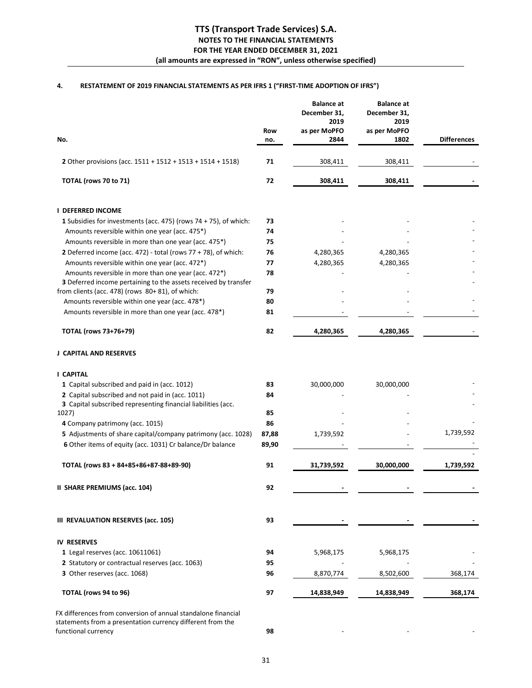# **4. RESTATEMENT OF 2019 FINANCIAL STATEMENTS AS PER IFRS 1 ("FIRST-TIME ADOPTION OF IFRS")**

| No.                                                                                                                         | Row<br>no.     | <b>Balance at</b><br>December 31,<br>2019<br>as per MoPFO<br>2844 | <b>Balance</b> at<br>December 31,<br>2019<br>as per MoPFO<br>1802 | <b>Differences</b> |
|-----------------------------------------------------------------------------------------------------------------------------|----------------|-------------------------------------------------------------------|-------------------------------------------------------------------|--------------------|
|                                                                                                                             |                |                                                                   |                                                                   |                    |
| 2 Other provisions (acc. $1511 + 1512 + 1513 + 1514 + 1518$ )                                                               | 71             | 308,411                                                           | 308,411                                                           |                    |
| TOTAL (rows 70 to 71)                                                                                                       | 72             | 308,411                                                           | 308,411                                                           |                    |
| <b>I DEFERRED INCOME</b>                                                                                                    |                |                                                                   |                                                                   |                    |
| 1 Subsidies for investments (acc. 475) (rows 74 + 75), of which:                                                            | 73             |                                                                   |                                                                   |                    |
| Amounts reversible within one year (acc. 475*)                                                                              | 74             |                                                                   |                                                                   |                    |
| Amounts reversible in more than one year (acc. 475*)                                                                        | 75             |                                                                   |                                                                   |                    |
| 2 Deferred income (acc. 472) - total (rows $77 + 78$ ), of which:                                                           | 76             | 4,280,365                                                         | 4,280,365                                                         |                    |
| Amounts reversible within one year (acc. 472*)                                                                              | 77             | 4,280,365                                                         | 4,280,365                                                         |                    |
|                                                                                                                             | 78             |                                                                   |                                                                   |                    |
| Amounts reversible in more than one year (acc. 472*)<br>3 Deferred income pertaining to the assets received by transfer     |                |                                                                   |                                                                   |                    |
| from clients (acc. 478) (rows 80+81), of which:                                                                             | 79             |                                                                   |                                                                   |                    |
| Amounts reversible within one year (acc. 478*)                                                                              | 80             |                                                                   |                                                                   |                    |
| Amounts reversible in more than one year (acc. 478*)                                                                        | 81             |                                                                   |                                                                   |                    |
| <b>TOTAL (rows 73+76+79)</b>                                                                                                | 82             | 4,280,365                                                         | 4,280,365                                                         |                    |
| J CAPITAL AND RESERVES                                                                                                      |                |                                                                   |                                                                   |                    |
| <b>I CAPITAL</b>                                                                                                            |                |                                                                   |                                                                   |                    |
|                                                                                                                             |                |                                                                   |                                                                   |                    |
| 1 Capital subscribed and paid in (acc. 1012)                                                                                | 83             | 30,000,000                                                        | 30,000,000                                                        |                    |
| 2 Capital subscribed and not paid in (acc. 1011)<br>3 Capital subscribed representing financial liabilities (acc.<br>1027)  | 84<br>85       |                                                                   |                                                                   |                    |
| 4 Company patrimony (acc. 1015)                                                                                             | 86             |                                                                   |                                                                   |                    |
|                                                                                                                             |                | 1,739,592                                                         |                                                                   | 1,739,592          |
| 5 Adjustments of share capital/company patrimony (acc. 1028)<br>6 Other items of equity (acc. 1031) Cr balance/Dr balance   | 87,88<br>89,90 |                                                                   |                                                                   |                    |
|                                                                                                                             |                |                                                                   |                                                                   |                    |
| TOTAL (rows 83 + 84+85+86+87-88+89-90)                                                                                      | 91             | 31,739,592                                                        | 30,000,000                                                        | 1,739,592          |
| II SHARE PREMIUMS (acc. 104)                                                                                                | 92             |                                                                   |                                                                   |                    |
| III REVALUATION RESERVES (acc. 105)                                                                                         | 93             |                                                                   |                                                                   |                    |
| <b>IV RESERVES</b>                                                                                                          |                |                                                                   |                                                                   |                    |
| 1 Legal reserves (acc. 10611061)                                                                                            | 94             | 5,968,175                                                         | 5,968,175                                                         |                    |
| 2 Statutory or contractual reserves (acc. 1063)                                                                             | 95             |                                                                   |                                                                   |                    |
| 3 Other reserves (acc. 1068)                                                                                                | 96             | 8,870,774                                                         | 8,502,600                                                         | 368,174            |
| TOTAL (rows 94 to 96)                                                                                                       | 97             | 14,838,949                                                        | 14,838,949                                                        | 368,174            |
|                                                                                                                             |                |                                                                   |                                                                   |                    |
| FX differences from conversion of annual standalone financial<br>statements from a presentation currency different from the |                |                                                                   |                                                                   |                    |
| functional currency                                                                                                         | 98             |                                                                   |                                                                   |                    |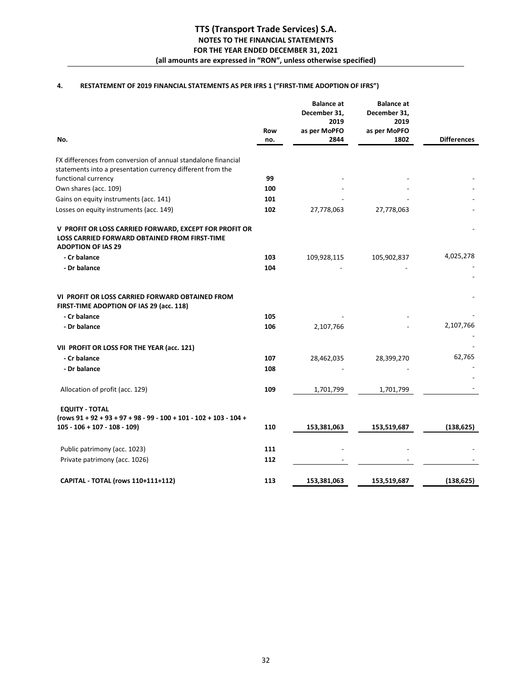# **4. RESTATEMENT OF 2019 FINANCIAL STATEMENTS AS PER IFRS 1 ("FIRST-TIME ADOPTION OF IFRS")**

|                                                                                                                                      | Row | <b>Balance at</b><br>December 31,<br>2019<br>as per MoPFO | <b>Balance</b> at<br>December 31,<br>2019<br>as per MoPFO |                    |
|--------------------------------------------------------------------------------------------------------------------------------------|-----|-----------------------------------------------------------|-----------------------------------------------------------|--------------------|
| No.                                                                                                                                  | no. | 2844                                                      | 1802                                                      | <b>Differences</b> |
| FX differences from conversion of annual standalone financial<br>statements into a presentation currency different from the          |     |                                                           |                                                           |                    |
| functional currency                                                                                                                  | 99  |                                                           |                                                           |                    |
| Own shares (acc. 109)                                                                                                                | 100 |                                                           |                                                           |                    |
| Gains on equity instruments (acc. 141)                                                                                               | 101 |                                                           |                                                           |                    |
| Losses on equity instruments (acc. 149)                                                                                              | 102 | 27,778,063                                                | 27,778,063                                                |                    |
| V PROFIT OR LOSS CARRIED FORWARD, EXCEPT FOR PROFIT OR<br>LOSS CARRIED FORWARD OBTAINED FROM FIRST-TIME<br><b>ADOPTION OF IAS 29</b> |     |                                                           |                                                           |                    |
| - Cr balance                                                                                                                         | 103 | 109,928,115                                               | 105,902,837                                               | 4,025,278          |
| - Dr balance                                                                                                                         | 104 |                                                           |                                                           |                    |
| VI PROFIT OR LOSS CARRIED FORWARD OBTAINED FROM<br>FIRST-TIME ADOPTION OF IAS 29 (acc. 118)                                          |     |                                                           |                                                           |                    |
| - Cr balance                                                                                                                         | 105 |                                                           |                                                           |                    |
| - Dr balance                                                                                                                         | 106 | 2,107,766                                                 |                                                           | 2,107,766          |
| VII PROFIT OR LOSS FOR THE YEAR (acc. 121)                                                                                           |     |                                                           |                                                           |                    |
| - Cr balance                                                                                                                         | 107 | 28,462,035                                                | 28,399,270                                                | 62,765             |
| - Dr balance                                                                                                                         | 108 |                                                           |                                                           |                    |
| Allocation of profit (acc. 129)                                                                                                      | 109 | 1,701,799                                                 | 1,701,799                                                 |                    |
| <b>EQUITY - TOTAL</b><br>$(rows 91 + 92 + 93 + 97 + 98 - 99 - 100 + 101 - 102 + 103 - 104 +$                                         |     |                                                           |                                                           |                    |
| $105 - 106 + 107 - 108 - 109$                                                                                                        | 110 | 153,381,063                                               | 153,519,687                                               | (138, 625)         |
| Public patrimony (acc. 1023)                                                                                                         | 111 |                                                           |                                                           |                    |
| Private patrimony (acc. 1026)                                                                                                        | 112 |                                                           |                                                           |                    |
| CAPITAL - TOTAL (rows 110+111+112)                                                                                                   | 113 | 153,381,063                                               | 153,519,687                                               | (138, 625)         |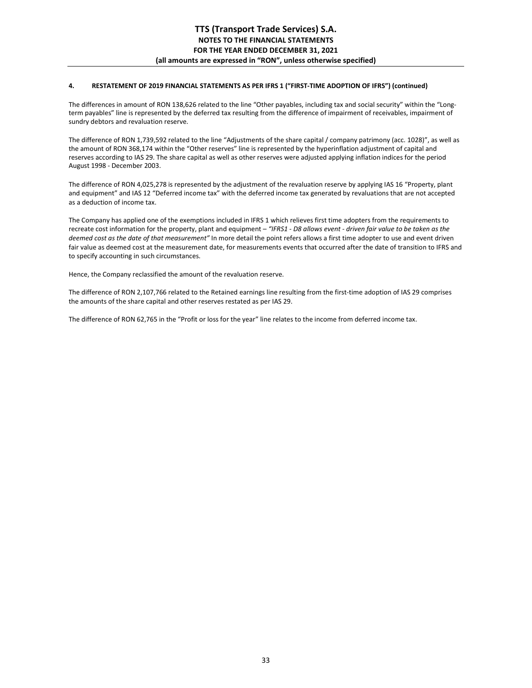## **4. RESTATEMENT OF 2019 FINANCIAL STATEMENTS AS PER IFRS 1 ("FIRST-TIME ADOPTION OF IFRS") (continued)**

The differences in amount of RON 138,626 related to the line "Other payables, including tax and social security" within the "Longterm payables" line is represented by the deferred tax resulting from the difference of impairment of receivables, impairment of sundry debtors and revaluation reserve.

The difference of RON 1,739,592 related to the line "Adjustments of the share capital / company patrimony (acc. 1028)", as well as the amount of RON 368,174 within the "Other reserves" line is represented by the hyperinflation adjustment of capital and reserves according to IAS 29. The share capital as well as other reserves were adjusted applying inflation indices for the period August 1998 - December 2003.

The difference of RON 4,025,278 is represented by the adjustment of the revaluation reserve by applying IAS 16 "Property, plant and equipment" and IAS 12 "Deferred income tax" with the deferred income tax generated by revaluations that are not accepted as a deduction of income tax.

The Company has applied one of the exemptions included in IFRS 1 which relieves first time adopters from the requirements to recreate cost information for the property, plant and equipment – *"IFRS1 - D8 allows event - driven fair value to be taken as the deemed cost as the date of that measurement"* In more detail the point refers allows a first time adopter to use and event driven fair value as deemed cost at the measurement date, for measurements events that occurred after the date of transition to IFRS and to specify accounting in such circumstances.

Hence, the Company reclassified the amount of the revaluation reserve.

The difference of RON 2,107,766 related to the Retained earnings line resulting from the first-time adoption of IAS 29 comprises the amounts of the share capital and other reserves restated as per IAS 29.

The difference of RON 62,765 in the "Profit or loss for the year" line relates to the income from deferred income tax.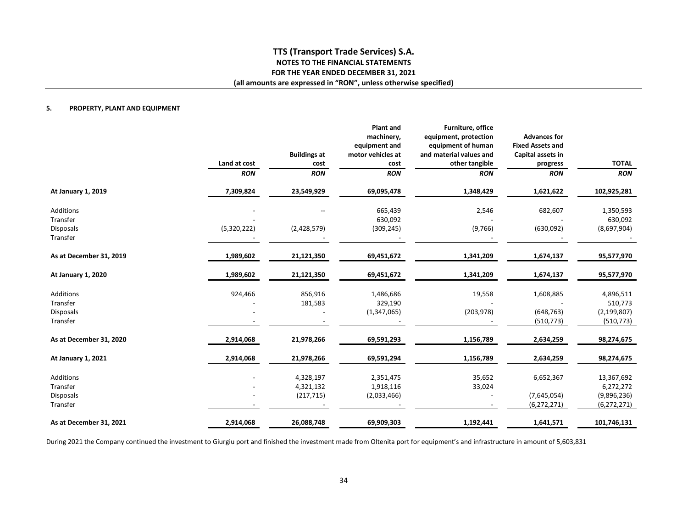#### **5.PROPERTY, PLANT AND EQUIPMENT**

|                         |              |                     | <b>Plant and</b>            | Furniture, office                           |                                                |               |
|-------------------------|--------------|---------------------|-----------------------------|---------------------------------------------|------------------------------------------------|---------------|
|                         |              |                     | machinery,<br>equipment and | equipment, protection<br>equipment of human | <b>Advances for</b><br><b>Fixed Assets and</b> |               |
|                         |              | <b>Buildings at</b> | motor vehicles at           | and material values and                     | Capital assets in                              |               |
|                         | Land at cost | cost                | cost                        | other tangible                              | progress                                       | <b>TOTAL</b>  |
|                         | <b>RON</b>   | <b>RON</b>          | <b>RON</b>                  | <b>RON</b>                                  | <b>RON</b>                                     | <b>RON</b>    |
| At January 1, 2019      | 7,309,824    | 23,549,929          | 69,095,478                  | 1,348,429                                   | 1,621,622                                      | 102,925,281   |
| Additions               |              | --                  | 665,439                     | 2,546                                       | 682,607                                        | 1,350,593     |
| Transfer                |              |                     | 630,092                     |                                             |                                                | 630,092       |
| <b>Disposals</b>        | (5,320,222)  | (2,428,579)         | (309, 245)                  | (9,766)                                     | (630,092)                                      | (8,697,904)   |
| Transfer                |              |                     |                             |                                             |                                                |               |
| As at December 31, 2019 | 1,989,602    | 21,121,350          | 69,451,672                  | 1,341,209                                   | 1,674,137                                      | 95,577,970    |
| At January 1, 2020      | 1,989,602    | 21,121,350          | 69,451,672                  | 1,341,209                                   | 1,674,137                                      | 95,577,970    |
| Additions               | 924,466      | 856,916             | 1,486,686                   | 19,558                                      | 1,608,885                                      | 4,896,511     |
| Transfer                |              | 181,583             | 329,190                     |                                             |                                                | 510,773       |
| <b>Disposals</b>        |              |                     | (1,347,065)                 | (203, 978)                                  | (648, 763)                                     | (2, 199, 807) |
| Transfer                |              |                     |                             |                                             | (510, 773)                                     | (510, 773)    |
| As at December 31, 2020 | 2,914,068    | 21,978,266          | 69,591,293                  | 1,156,789                                   | 2,634,259                                      | 98,274,675    |
| At January 1, 2021      | 2,914,068    | 21,978,266          | 69,591,294                  | 1,156,789                                   | 2,634,259                                      | 98,274,675    |
| Additions               |              | 4,328,197           | 2,351,475                   | 35,652                                      | 6,652,367                                      | 13,367,692    |
| Transfer                |              | 4,321,132           | 1,918,116                   | 33,024                                      |                                                | 6,272,272     |
| <b>Disposals</b>        |              | (217, 715)          | (2,033,466)                 |                                             | (7,645,054)                                    | (9,896,236)   |
| Transfer                |              |                     |                             |                                             | (6, 272, 271)                                  | (6, 272, 271) |
| As at December 31, 2021 | 2,914,068    | 26,088,748          | 69,909,303                  | 1,192,441                                   | 1,641,571                                      | 101,746,131   |

During 2021 the Company continued the investment to Giurgiu port and finished the investment made from Oltenita port for equipment's and infrastructure in amount of 5,603,831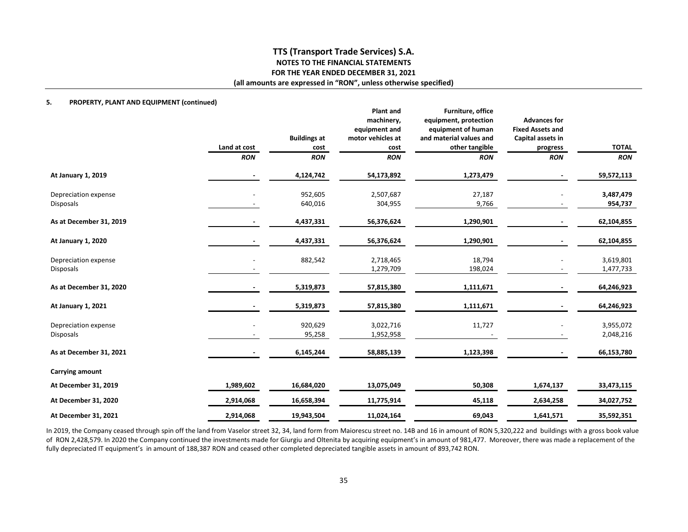#### **5. PROPERTY, PLANT AND EQUIPMENT (continued)**

|                                          | Land at cost | <b>Buildings at</b><br>cost | <b>Plant and</b><br>machinery,<br>equipment and<br>motor vehicles at<br>cost | Furniture, office<br>equipment, protection<br>equipment of human<br>and material values and<br>other tangible | <b>Advances for</b><br><b>Fixed Assets and</b><br>Capital assets in<br>progress | <b>TOTAL</b>           |
|------------------------------------------|--------------|-----------------------------|------------------------------------------------------------------------------|---------------------------------------------------------------------------------------------------------------|---------------------------------------------------------------------------------|------------------------|
|                                          | <b>RON</b>   | <b>RON</b>                  | <b>RON</b>                                                                   | <b>RON</b>                                                                                                    | <b>RON</b>                                                                      | <b>RON</b>             |
| At January 1, 2019                       |              | 4,124,742                   | 54,173,892                                                                   | 1,273,479                                                                                                     |                                                                                 | 59,572,113             |
| Depreciation expense                     |              | 952,605                     | 2,507,687                                                                    | 27,187                                                                                                        |                                                                                 | 3,487,479              |
| <b>Disposals</b>                         |              | 640,016                     | 304,955                                                                      | 9,766                                                                                                         |                                                                                 | 954,737                |
| As at December 31, 2019                  |              | 4,437,331                   | 56,376,624                                                                   | 1,290,901                                                                                                     |                                                                                 | 62,104,855             |
| At January 1, 2020                       |              | 4,437,331                   | 56,376,624                                                                   | 1,290,901                                                                                                     |                                                                                 | 62,104,855             |
| Depreciation expense<br><b>Disposals</b> |              | 882,542                     | 2,718,465<br>1,279,709                                                       | 18,794<br>198,024                                                                                             |                                                                                 | 3,619,801<br>1,477,733 |
| As at December 31, 2020                  |              | 5,319,873                   | 57,815,380                                                                   | 1,111,671                                                                                                     | $\overline{\phantom{a}}$                                                        | 64,246,923             |
| At January 1, 2021                       |              | 5,319,873                   | 57,815,380                                                                   | 1,111,671                                                                                                     |                                                                                 | 64,246,923             |
| Depreciation expense<br><b>Disposals</b> |              | 920,629<br>95,258           | 3,022,716<br>1,952,958                                                       | 11,727                                                                                                        |                                                                                 | 3,955,072<br>2,048,216 |
| As at December 31, 2021                  |              | 6,145,244                   | 58,885,139                                                                   | 1,123,398                                                                                                     |                                                                                 | 66,153,780             |
| <b>Carrying amount</b>                   |              |                             |                                                                              |                                                                                                               |                                                                                 |                        |
| At December 31, 2019                     | 1,989,602    | 16,684,020                  | 13,075,049                                                                   | 50,308                                                                                                        | 1,674,137                                                                       | 33,473,115             |
| At December 31, 2020                     | 2,914,068    | 16,658,394                  | 11,775,914                                                                   | 45,118                                                                                                        | 2,634,258                                                                       | 34,027,752             |
| At December 31, 2021                     | 2,914,068    | 19,943,504                  | 11,024,164                                                                   | 69,043                                                                                                        | 1,641,571                                                                       | 35,592,351             |

In 2019, the Company ceased through spin off the land from Vaselor street 32, 34, land form from Maiorescu street no. 14B and 16 in amount of RON 5,320,222 and buildings with a gross book value of RON 2,428,579. In 2020 the Company continued the investments made for Giurgiu and Oltenita by acquiring equipment's in amount of 981,477. Moreover, there was made a replacement of the fully depreciated IT equipment's in amount of 188,387 RON and ceased other completed depreciated tangible assets in amount of 893,742 RON.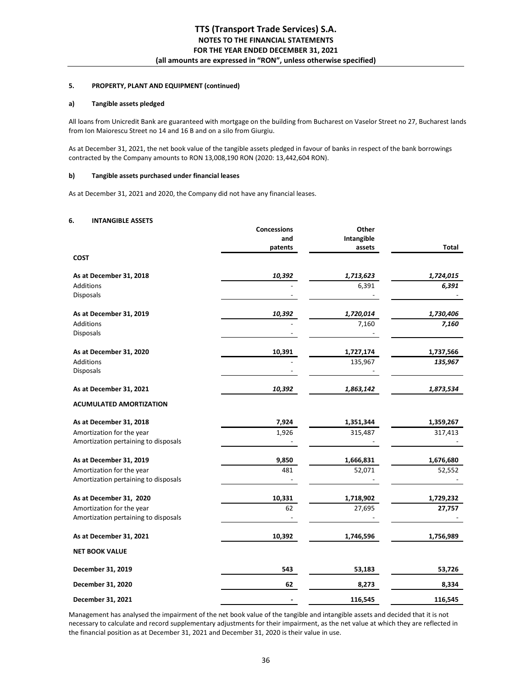# **5. PROPERTY, PLANT AND EQUIPMENT (continued)**

#### **a) Tangible assets pledged**

All loans from Unicredit Bank are guaranteed with mortgage on the building from Bucharest on Vaselor Street no 27, Bucharest lands from Ion Maiorescu Street no 14 and 16 B and on a silo from Giurgiu.

As at December 31, 2021, the net book value of the tangible assets pledged in favour of banks in respect of the bank borrowings contracted by the Company amounts to RON 13,008,190 RON (2020: 13,442,604 RON).

#### **b) Tangible assets purchased under financial leases**

As at December 31, 2021 and 2020, the Company did not have any financial leases.

#### **6. INTANGIBLE ASSETS**

|                                      | <b>Concessions</b> | Other      |           |
|--------------------------------------|--------------------|------------|-----------|
|                                      | and                | Intangible |           |
|                                      | patents            | assets     | Total     |
| <b>COST</b>                          |                    |            |           |
| As at December 31, 2018              | 10,392             | 1,713,623  | 1,724,015 |
| Additions                            |                    | 6,391      | 6,391     |
| <b>Disposals</b>                     |                    |            |           |
| As at December 31, 2019              | 10,392             | 1,720,014  | 1,730,406 |
| <b>Additions</b>                     |                    | 7,160      | 7,160     |
| <b>Disposals</b>                     |                    |            |           |
| As at December 31, 2020              | 10,391             | 1,727,174  | 1,737,566 |
| Additions                            |                    | 135,967    | 135,967   |
| <b>Disposals</b>                     |                    |            |           |
| As at December 31, 2021              | 10,392             | 1,863,142  | 1,873,534 |
| <b>ACUMULATED AMORTIZATION</b>       |                    |            |           |
| As at December 31, 2018              | 7,924              | 1,351,344  | 1,359,267 |
| Amortization for the year            | 1,926              | 315,487    | 317,413   |
| Amortization pertaining to disposals |                    |            |           |
| As at December 31, 2019              | 9,850              | 1,666,831  | 1,676,680 |
| Amortization for the year            | 481                | 52,071     | 52,552    |
| Amortization pertaining to disposals |                    |            |           |
| As at December 31, 2020              | 10,331             | 1,718,902  | 1,729,232 |
| Amortization for the year            | 62                 | 27,695     | 27,757    |
| Amortization pertaining to disposals |                    |            |           |
| As at December 31, 2021              | 10,392             | 1,746,596  | 1,756,989 |
| <b>NET BOOK VALUE</b>                |                    |            |           |
| December 31, 2019                    | 543                | 53,183     | 53,726    |
| December 31, 2020                    | 62                 | 8,273      | 8,334     |
| December 31, 2021                    |                    | 116,545    | 116,545   |

Management has analysed the impairment of the net book value of the tangible and intangible assets and decided that it is not necessary to calculate and record supplementary adjustments for their impairment, as the net value at which they are reflected in the financial position as at December 31, 2021 and December 31, 2020 is their value in use.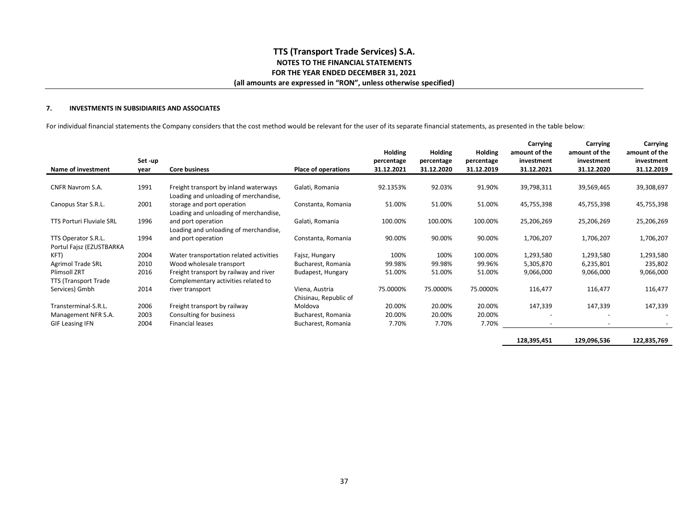#### **7.INVESTMENTS IN SUBSIDIARIES AND ASSOCIATES**

For individual financial statements the Company considers that the cost method would be relevant for the user of its separate financial statements, as presented in the table below:

|                          | Set -up |                                         |                            | Holding<br>percentage | Holding<br>percentage | Holding<br>percentage | Carrying<br>amount of the<br>investment | Carrying<br>amount of the<br>investment | Carrying<br>amount of the<br>investment |
|--------------------------|---------|-----------------------------------------|----------------------------|-----------------------|-----------------------|-----------------------|-----------------------------------------|-----------------------------------------|-----------------------------------------|
| Name of investment       | year    | <b>Core business</b>                    | <b>Place of operations</b> | 31.12.2021            | 31.12.2020            | 31.12.2019            | 31.12.2021                              | 31.12.2020                              | 31.12.2019                              |
|                          |         |                                         |                            |                       |                       |                       |                                         |                                         |                                         |
| <b>CNFR Navrom S.A.</b>  | 1991    | Freight transport by inland waterways   | Galati, Romania            | 92.1353%              | 92.03%                | 91.90%                | 39,798,311                              | 39,569,465                              | 39,308,697                              |
|                          |         | Loading and unloading of merchandise,   |                            |                       |                       |                       |                                         |                                         |                                         |
| Canopus Star S.R.L.      | 2001    | storage and port operation              | Constanta, Romania         | 51.00%                | 51.00%                | 51.00%                | 45,755,398                              | 45,755,398                              | 45,755,398                              |
|                          |         | Loading and unloading of merchandise,   |                            |                       |                       |                       |                                         |                                         |                                         |
| TTS Porturi Fluviale SRL | 1996    | and port operation                      | Galati, Romania            | 100.00%               | 100.00%               | 100.00%               | 25,206,269                              | 25,206,269                              | 25,206,269                              |
|                          |         | Loading and unloading of merchandise,   |                            |                       |                       |                       |                                         |                                         |                                         |
| TTS Operator S.R.L.      | 1994    | and port operation                      | Constanta, Romania         | 90.00%                | 90.00%                | 90.00%                | 1,706,207                               | 1,706,207                               | 1,706,207                               |
| Portul Fajsz (EZUSTBARKA |         |                                         |                            |                       |                       |                       |                                         |                                         |                                         |
| KFT)                     | 2004    | Water transportation related activities | Fajsz, Hungary             | 100%                  | 100%                  | 100.00%               | 1,293,580                               | 1,293,580                               | 1,293,580                               |
| Agrimol Trade SRL        | 2010    | Wood wholesale transport                | Bucharest, Romania         | 99.98%                | 99.98%                | 99.96%                | 5,305,870                               | 6,235,801                               | 235,802                                 |
| <b>Plimsoll ZRT</b>      | 2016    | Freight transport by railway and river  | Budapest, Hungary          | 51.00%                | 51.00%                | 51.00%                | 9,066,000                               | 9,066,000                               | 9,066,000                               |
| TTS (Transport Trade     |         | Complementary activities related to     |                            |                       |                       |                       |                                         |                                         |                                         |
| Services) Gmbh           | 2014    | river transport                         | Viena, Austria             | 75.0000%              | 75.0000%              | 75.0000%              | 116,477                                 | 116,477                                 | 116,477                                 |
|                          |         |                                         | Chisinau, Republic of      |                       |                       |                       |                                         |                                         |                                         |
| Transterminal-S.R.L.     | 2006    | Freight transport by railway            | Moldova                    | 20.00%                | 20.00%                | 20.00%                | 147,339                                 | 147,339                                 | 147,339                                 |
| Management NFR S.A.      | 2003    | Consulting for business                 | Bucharest, Romania         | 20.00%                | 20.00%                | 20.00%                |                                         |                                         |                                         |
| <b>GIF Leasing IFN</b>   | 2004    | <b>Financial leases</b>                 | Bucharest, Romania         | 7.70%                 | 7.70%                 | 7.70%                 | $\overline{\phantom{a}}$                |                                         |                                         |
|                          |         |                                         |                            |                       |                       |                       |                                         |                                         |                                         |

 **128,395,451 129,096,536 122,835,769**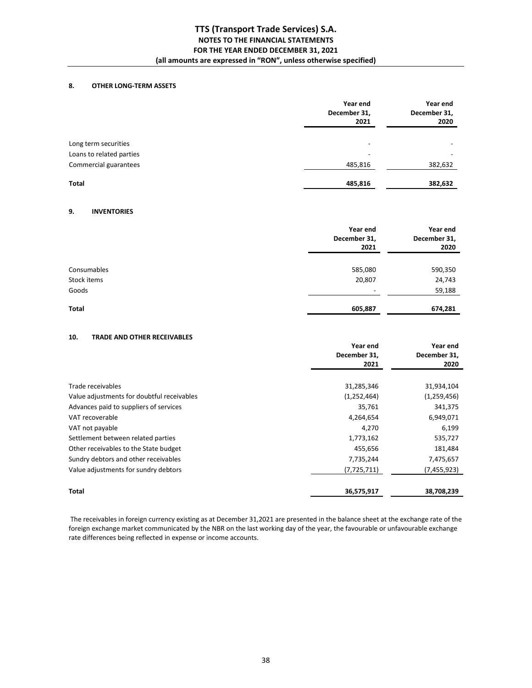# **8. OTHER LONG-TERM ASSETS**

|                          | Year end<br>December 31,<br>2021 | Year end<br>December 31,<br>2020 |
|--------------------------|----------------------------------|----------------------------------|
| Long term securities     | $\overline{\phantom{a}}$         |                                  |
| Loans to related parties | -                                | $\overline{\phantom{0}}$         |
| Commercial guarantees    | 485,816                          | 382,632                          |
| Total                    | 485,816                          | 382,632                          |

# **9. INVENTORIES**

|             | Year end<br>December 31,<br>2021 | Year end<br>December 31,<br>2020 |
|-------------|----------------------------------|----------------------------------|
|             |                                  |                                  |
| Consumables | 585,080                          | 590,350                          |
| Stock items | 20,807                           | 24,743                           |
| Goods       | $\overline{\phantom{a}}$         | 59,188                           |
| Total       | 605,887                          | 674,281                          |

#### **10. TRADE AND OTHER RECEIVABLES**

| 31,285,346           |                             |
|----------------------|-----------------------------|
| (1, 252, 464)        | 31,934,104<br>(1, 259, 456) |
| 35,761               | 341,375                     |
| 4,264,654<br>4,270   | 6,949,071<br>6,199          |
| 1,773,162<br>455,656 | 535,727<br>181,484          |
| 7,735,244            | 7,475,657<br>(7, 455, 923)  |
|                      | 38,708,239                  |
|                      | (7, 725, 711)<br>36,575,917 |

 The receivables in foreign currency existing as at December 31,2021 are presented in the balance sheet at the exchange rate of the foreign exchange market communicated by the NBR on the last working day of the year, the favourable or unfavourable exchange rate differences being reflected in expense or income accounts.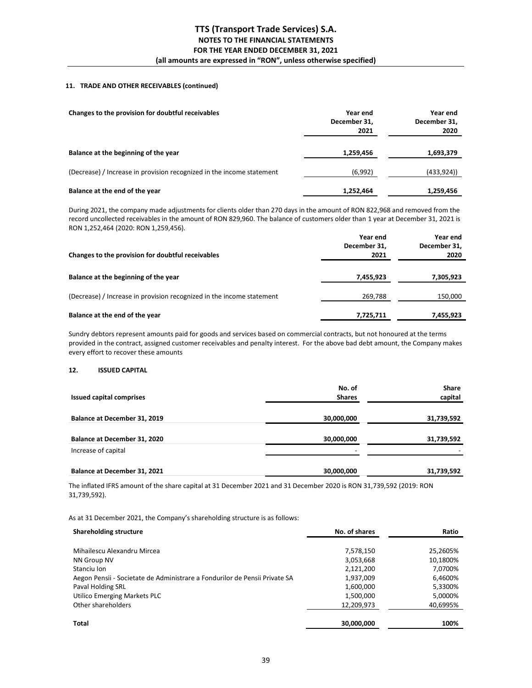# **11. TRADE AND OTHER RECEIVABLES (continued)**

| Changes to the provision for doubtful receivables                     | Year end<br>December 31,<br>2021 | Year end<br>December 31,<br>2020 |
|-----------------------------------------------------------------------|----------------------------------|----------------------------------|
| Balance at the beginning of the year                                  | 1,259,456                        | 1,693,379                        |
| (Decrease) / Increase in provision recognized in the income statement | (6,992)                          | (433, 924)                       |
| Balance at the end of the year                                        | 1,252,464                        | 1,259,456                        |

During 2021, the company made adjustments for clients older than 270 days in the amount of RON 822,968 and removed from the record uncollected receivables in the amount of RON 829,960. The balance of customers older than 1 year at December 31, 2021 is RON 1,252,464 (2020: RON 1,259,456).

| Changes to the provision for doubtful receivables                     | Year end<br>December 31,<br>2021 | Year end<br>December 31,<br>2020 |
|-----------------------------------------------------------------------|----------------------------------|----------------------------------|
| Balance at the beginning of the year                                  | 7,455,923                        | 7,305,923                        |
| (Decrease) / Increase in provision recognized in the income statement | 269,788                          | 150,000                          |
| Balance at the end of the year                                        | 7,725,711                        | 7,455,923                        |

Sundry debtors represent amounts paid for goods and services based on commercial contracts, but not honoured at the terms provided in the contract, assigned customer receivables and penalty interest. For the above bad debt amount, the Company makes every effort to recover these amounts

#### **12. ISSUED CAPITAL**

| <b>Issued capital comprises</b>                     | No. of<br><b>Shares</b> | <b>Share</b><br>capital |
|-----------------------------------------------------|-------------------------|-------------------------|
| Balance at December 31, 2019                        | 30,000,000              | 31,739,592              |
| Balance at December 31, 2020<br>Increase of capital | 30,000,000              | 31,739,592              |
| Balance at December 31, 2021                        | 30,000,000              | 31,739,592              |

The inflated IFRS amount of the share capital at 31 December 2021 and 31 December 2020 is RON 31,739,592 (2019: RON 31,739,592).

As at 31 December 2021, the Company's shareholding structure is as follows:

| <b>Shareholding structure</b>                                              | No. of shares | Ratio    |
|----------------------------------------------------------------------------|---------------|----------|
| Mihailescu Alexandru Mircea                                                | 7,578,150     | 25,2605% |
| NN Group NV                                                                | 3,053,668     | 10,1800% |
| Stanciu Ion                                                                | 2,121,200     | 7,0700%  |
| Aegon Pensii - Societate de Administrare a Fondurilor de Pensii Private SA | 1,937,009     | 6,4600%  |
| Paval Holding SRL                                                          | 1,600,000     | 5,3300%  |
| Utilico Emerging Markets PLC                                               | 1,500,000     | 5,0000%  |
| Other shareholders                                                         | 12,209,973    | 40,6995% |
| Total                                                                      | 30,000,000    | 100%     |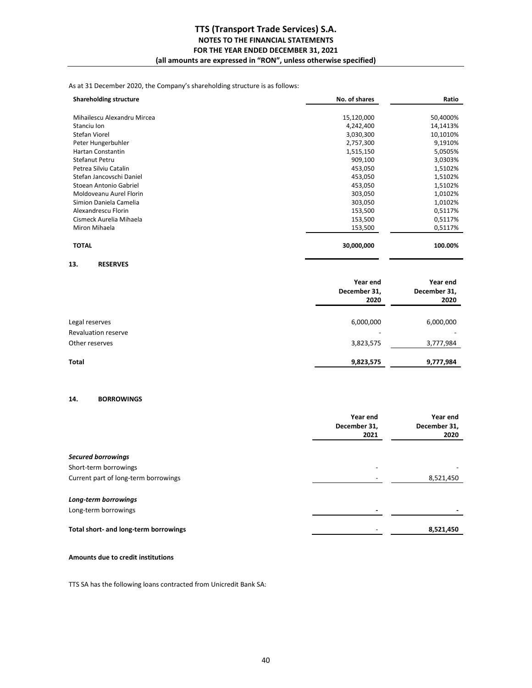As at 31 December 2020, the Company's shareholding structure is as follows:

| <b>Shareholding structure</b> | No. of shares | Ratio    |
|-------------------------------|---------------|----------|
| Mihailescu Alexandru Mircea   | 15,120,000    | 50,4000% |
| Stanciu Ion                   | 4,242,400     | 14,1413% |
| Stefan Viorel                 | 3,030,300     | 10,1010% |
| Peter Hungerbuhler            | 2,757,300     | 9,1910%  |
| Hartan Constantin             | 1,515,150     | 5,0505%  |
| Stefanut Petru                | 909,100       | 3,0303%  |
| Petrea Silviu Catalin         | 453,050       | 1,5102%  |
| Stefan Jancovschi Daniel      | 453,050       | 1,5102%  |
| Stoean Antonio Gabriel        | 453,050       | 1,5102%  |
| Moldoveanu Aurel Florin       | 303,050       | 1,0102%  |
| Simion Daniela Camelia        | 303,050       | 1,0102%  |
| Alexandrescu Florin           | 153,500       | 0,5117%  |
| Cismeck Aurelia Mihaela       | 153,500       | 0,5117%  |
| Miron Mihaela                 | 153,500       | 0,5117%  |
| <b>TOTAL</b>                  | 30,000,000    | 100.00%  |

**Year end December 31, 2020 Year end December 31, 2020**  Legal reserves 6,000,000 6,000,000 Revaluation reserve Other reserves 3,823,575 3,777,984 **Total 9,823,575 9,777,984** 

#### **14. BORROWINGS**

**13. RESERVES**

|                                       | Year end<br>December 31,<br>2021 | Year end<br>December 31,<br>2020 |
|---------------------------------------|----------------------------------|----------------------------------|
|                                       |                                  |                                  |
| <b>Secured borrowings</b>             |                                  |                                  |
| Short-term borrowings                 | $\overline{\phantom{0}}$         |                                  |
| Current part of long-term borrowings  |                                  | 8,521,450                        |
| Long-term borrowings                  |                                  |                                  |
| Long-term borrowings                  | $\overline{\phantom{0}}$         |                                  |
| Total short- and long-term borrowings |                                  | 8,521,450                        |
|                                       |                                  |                                  |

#### **Amounts due to credit institutions**

TTS SA has the following loans contracted from Unicredit Bank SA: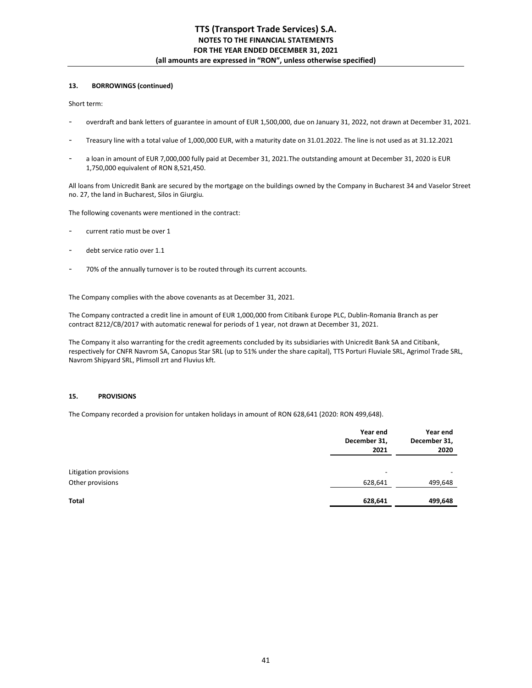# **13. BORROWINGS (continued)**

Short term:

- overdraft and bank letters of guarantee in amount of EUR 1,500,000, due on January 31, 2022, not drawn at December 31, 2021.
- Treasury line with a total value of 1,000,000 EUR, with a maturity date on 31.01.2022. The line is not used as at 31.12.2021
- a loan in amount of EUR 7,000,000 fully paid at December 31, 2021. The outstanding amount at December 31, 2020 is EUR 1,750,000 equivalent of RON 8,521,450.

All loans from Unicredit Bank are secured by the mortgage on the buildings owned by the Company in Bucharest 34 and Vaselor Street no. 27, the land in Bucharest, Silos in Giurgiu.

The following covenants were mentioned in the contract:

- current ratio must be over 1
- debt service ratio over 1.1
- 70% of the annually turnover is to be routed through its current accounts.

The Company complies with the above covenants as at December 31, 2021.

The Company contracted a credit line in amount of EUR 1,000,000 from Citibank Europe PLC, Dublin-Romania Branch as per contract 8212/CB/2017 with automatic renewal for periods of 1 year, not drawn at December 31, 2021.

The Company it also warranting for the credit agreements concluded by its subsidiaries with Unicredit Bank SA and Citibank, respectively for CNFR Navrom SA, Canopus Star SRL (up to 51% under the share capital), TTS Porturi Fluviale SRL, Agrimol Trade SRL, Navrom Shipyard SRL, Plimsoll zrt and Fluvius kft.

#### **15. PROVISIONS**

The Company recorded a provision for untaken holidays in amount of RON 628,641 (2020: RON 499,648).

|                       | Year end<br>December 31,<br>2021 | Year end<br>December 31,<br>2020 |
|-----------------------|----------------------------------|----------------------------------|
| Litigation provisions | $\overline{\phantom{a}}$         | $\overline{\phantom{a}}$         |
| Other provisions      | 628,641                          | 499,648                          |
| <b>Total</b>          | 628,641                          | 499,648                          |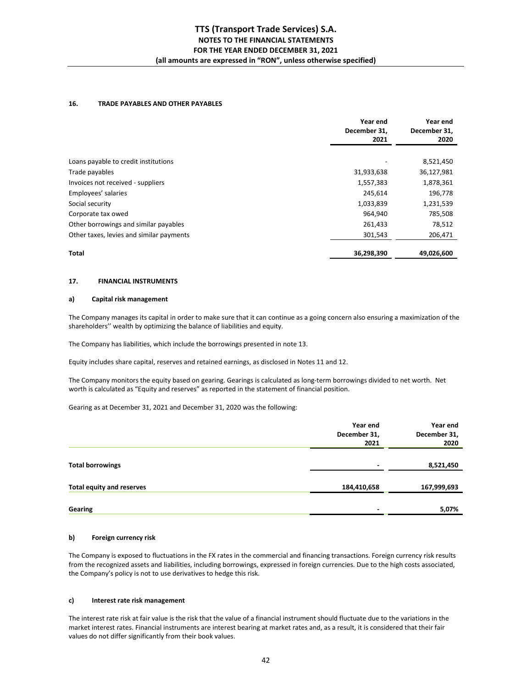# **16. TRADE PAYABLES AND OTHER PAYABLES**

|                                          | Year end<br>December 31,<br>2021 | Year end<br>December 31,<br>2020 |
|------------------------------------------|----------------------------------|----------------------------------|
|                                          |                                  |                                  |
| Loans payable to credit institutions     |                                  | 8,521,450                        |
| Trade payables                           | 31,933,638                       | 36,127,981                       |
| Invoices not received - suppliers        | 1,557,383                        | 1,878,361                        |
| Employees' salaries                      | 245,614                          | 196,778                          |
| Social security                          | 1,033,839                        | 1,231,539                        |
| Corporate tax owed                       | 964,940                          | 785,508                          |
| Other borrowings and similar payables    | 261,433                          | 78,512                           |
| Other taxes, levies and similar payments | 301.543                          | 206,471                          |
| <b>Total</b>                             | 36,298,390                       | 49,026,600                       |

## **17. FINANCIAL INSTRUMENTS**

## **a) Capital risk management**

The Company manages its capital in order to make sure that it can continue as a going concern also ensuring a maximization of the shareholders'' wealth by optimizing the balance of liabilities and equity.

The Company has liabilities, which include the borrowings presented in note 13.

Equity includes share capital, reserves and retained earnings, as disclosed in Notes 11 and 12.

The Company monitors the equity based on gearing. Gearings is calculated as long-term borrowings divided to net worth. Net worth is calculated as "Equity and reserves" as reported in the statement of financial position.

Gearing as at December 31, 2021 and December 31, 2020 was the following:

|                                  | Year end<br>December 31,<br>2021 | Year end<br>December 31,<br>2020 |
|----------------------------------|----------------------------------|----------------------------------|
| <b>Total borrowings</b>          | $\overline{\phantom{0}}$         | 8,521,450                        |
| <b>Total equity and reserves</b> | 184,410,658                      | 167,999,693                      |
| Gearing                          | $\overline{\phantom{0}}$         | 5,07%                            |

## **b) Foreign currency risk**

The Company is exposed to fluctuations in the FX rates in the commercial and financing transactions. Foreign currency risk results from the recognized assets and liabilities, including borrowings, expressed in foreign currencies. Due to the high costs associated, the Company's policy is not to use derivatives to hedge this risk.

## **c) Interest rate risk management**

The interest rate risk at fair value is the risk that the value of a financial instrument should fluctuate due to the variations in the market interest rates. Financial instruments are interest bearing at market rates and, as a result, it is considered that their fair values do not differ significantly from their book values.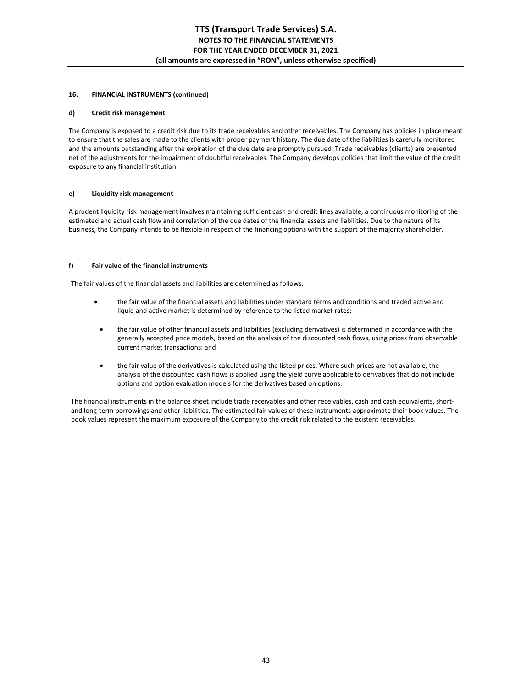# **16. FINANCIAL INSTRUMENTS (continued)**

## **d) Credit risk management**

The Company is exposed to a credit risk due to its trade receivables and other receivables. The Company has policies in place meant to ensure that the sales are made to the clients with proper payment history. The due date of the liabilities is carefully monitored and the amounts outstanding after the expiration of the due date are promptly pursued. Trade receivables (clients) are presented net of the adjustments for the impairment of doubtful receivables. The Company develops policies that limit the value of the credit exposure to any financial institution.

# **e) Liquidity risk management**

A prudent liquidity risk management involves maintaining sufficient cash and credit lines available, a continuous monitoring of the estimated and actual cash flow and correlation of the due dates of the financial assets and liabilities. Due to the nature of its business, the Company intends to be flexible in respect of the financing options with the support of the majority shareholder.

# **f) Fair value of the financial instruments**

The fair values of the financial assets and liabilities are determined as follows:

- the fair value of the financial assets and liabilities under standard terms and conditions and traded active and liquid and active market is determined by reference to the listed market rates;
	- the fair value of other financial assets and liabilities (excluding derivatives) is determined in accordance with the generally accepted price models, based on the analysis of the discounted cash flows, using prices from observable current market transactions; and
	- the fair value of the derivatives is calculated using the listed prices. Where such prices are not available, the analysis of the discounted cash flows is applied using the yield curve applicable to derivatives that do not include options and option evaluation models for the derivatives based on options.

The financial instruments in the balance sheet include trade receivables and other receivables, cash and cash equivalents, shortand long-term borrowings and other liabilities. The estimated fair values of these instruments approximate their book values. The book values represent the maximum exposure of the Company to the credit risk related to the existent receivables.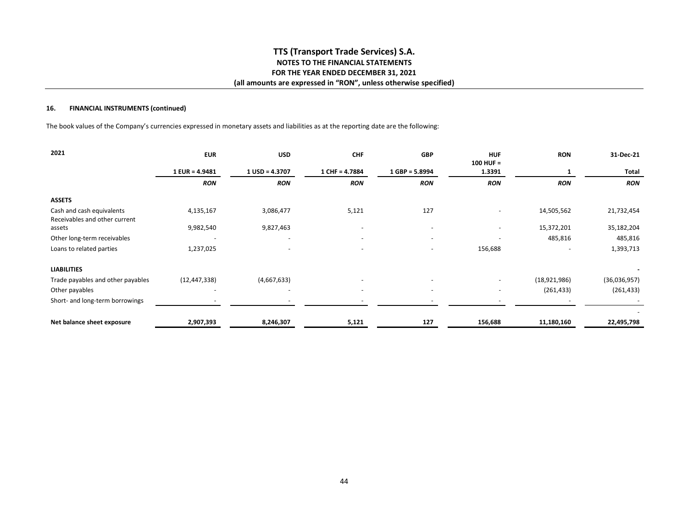# **16. FINANCIAL INSTRUMENTS (continued)**

The book values of the Company's currencies expressed in monetary assets and liabilities as at the reporting date are the following:

| 2021                                                       | <b>EUR</b>       | <b>USD</b>       | <b>CHF</b>               | <b>GBP</b>               | <b>HUF</b><br>$100 HUF =$ | <b>RON</b>   | 31-Dec-21    |
|------------------------------------------------------------|------------------|------------------|--------------------------|--------------------------|---------------------------|--------------|--------------|
|                                                            | $1$ EUR = 4.9481 | $1$ USD = 4.3707 | $1$ CHF = 4.7884         | $1$ GBP = 5.8994         | 1.3391                    |              | Total        |
|                                                            | <b>RON</b>       | <b>RON</b>       | <b>RON</b>               | <b>RON</b>               | <b>RON</b>                | <b>RON</b>   | <b>RON</b>   |
| <b>ASSETS</b>                                              |                  |                  |                          |                          |                           |              |              |
| Cash and cash equivalents<br>Receivables and other current | 4,135,167        | 3,086,477        | 5,121                    | 127                      | $\overline{\phantom{a}}$  | 14,505,562   | 21,732,454   |
| assets                                                     | 9,982,540        | 9,827,463        | $\overline{\phantom{a}}$ | $\overline{\phantom{a}}$ | $\overline{\phantom{a}}$  | 15,372,201   | 35,182,204   |
| Other long-term receivables                                |                  |                  | $\overline{\phantom{0}}$ | $\overline{\phantom{a}}$ |                           | 485,816      | 485,816      |
| Loans to related parties                                   | 1,237,025        |                  | $\overline{\phantom{a}}$ | $\overline{\phantom{a}}$ | 156,688                   |              | 1,393,713    |
| <b>LIABILITIES</b>                                         |                  |                  |                          |                          |                           |              |              |
| Trade payables and other payables                          | (12, 447, 338)   | (4,667,633)      | $\overline{\phantom{a}}$ |                          |                           | (18,921,986) | (36,036,957) |
| Other payables                                             |                  |                  | $\overline{\phantom{a}}$ | $\overline{\phantom{a}}$ | $\overline{\phantom{a}}$  | (261, 433)   | (261, 433)   |
| Short- and long-term borrowings                            |                  |                  |                          |                          |                           |              |              |
| Net balance sheet exposure                                 | 2,907,393        | 8,246,307        | 5,121                    | 127                      | 156,688                   | 11,180,160   | 22,495,798   |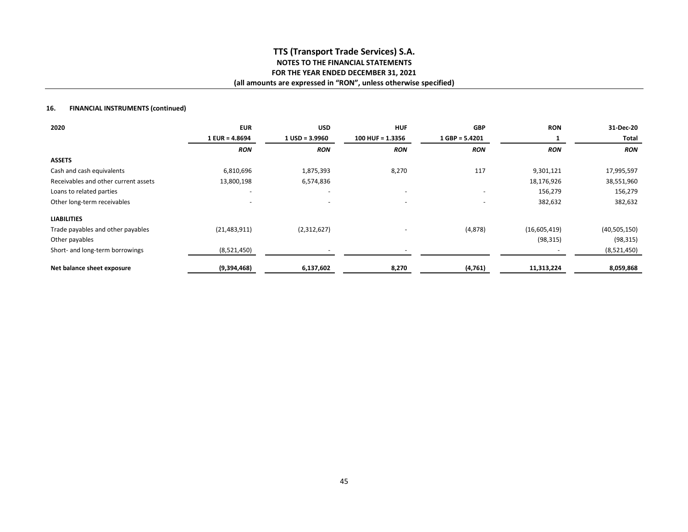# **16. FINANCIAL INSTRUMENTS (continued)**

| 2020                                 | <b>EUR</b>               | <b>USD</b>               | <b>HUF</b>         | <b>GBP</b>               | <b>RON</b>   | 31-Dec-20      |
|--------------------------------------|--------------------------|--------------------------|--------------------|--------------------------|--------------|----------------|
|                                      | $1$ EUR = 4.8694         | $1$ USD = 3.9960         | $100$ HUF = 1.3356 | $1$ GBP = 5.4201         |              | Total          |
|                                      | <b>RON</b>               | <b>RON</b>               | <b>RON</b>         | <b>RON</b>               | <b>RON</b>   | <b>RON</b>     |
| <b>ASSETS</b>                        |                          |                          |                    |                          |              |                |
| Cash and cash equivalents            | 6,810,696                | 1,875,393                | 8,270              | 117                      | 9,301,121    | 17,995,597     |
| Receivables and other current assets | 13,800,198               | 6,574,836                |                    |                          | 18,176,926   | 38,551,960     |
| Loans to related parties             | $\overline{\phantom{0}}$ | $\overline{\phantom{a}}$ |                    |                          | 156,279      | 156,279        |
| Other long-term receivables          | $\overline{\phantom{0}}$ | $\overline{\phantom{0}}$ |                    | $\overline{\phantom{a}}$ | 382,632      | 382,632        |
| <b>LIABILITIES</b>                   |                          |                          |                    |                          |              |                |
| Trade payables and other payables    | (21, 483, 911)           | (2,312,627)              |                    | (4,878)                  | (16,605,419) | (40, 505, 150) |
| Other payables                       |                          |                          |                    |                          | (98, 315)    | (98, 315)      |
| Short- and long-term borrowings      | (8,521,450)              |                          |                    |                          |              | (8,521,450)    |
| Net balance sheet exposure           | (9,394,468)              | 6,137,602                | 8,270              | (4, 761)                 | 11,313,224   | 8,059,868      |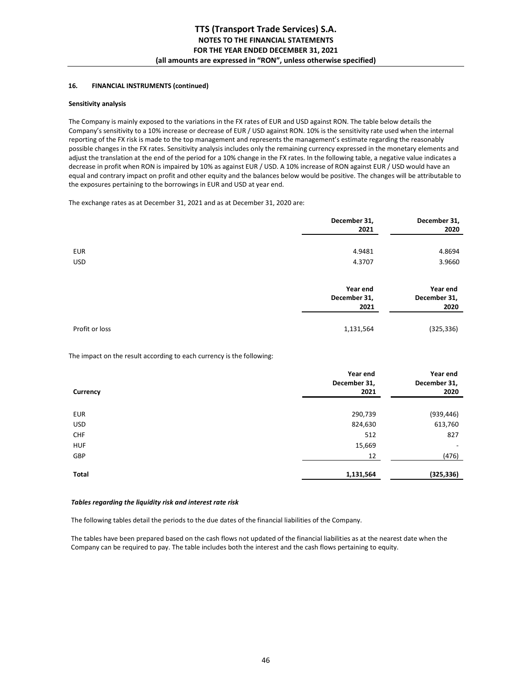## **16. FINANCIAL INSTRUMENTS (continued)**

## **Sensitivity analysis**

The Company is mainly exposed to the variations in the FX rates of EUR and USD against RON. The table below details the Company's sensitivity to a 10% increase or decrease of EUR / USD against RON. 10% is the sensitivity rate used when the internal reporting of the FX risk is made to the top management and represents the management's estimate regarding the reasonably possible changes in the FX rates. Sensitivity analysis includes only the remaining currency expressed in the monetary elements and adjust the translation at the end of the period for a 10% change in the FX rates. In the following table, a negative value indicates a decrease in profit when RON is impaired by 10% as against EUR / USD. A 10% increase of RON against EUR / USD would have an equal and contrary impact on profit and other equity and the balances below would be positive. The changes will be attributable to the exposures pertaining to the borrowings in EUR and USD at year end.

The exchange rates as at December 31, 2021 and as at December 31, 2020 are:

|            | December 31,<br>2021 | December 31,<br>2020 |
|------------|----------------------|----------------------|
| <b>EUR</b> | 4.9481               | 4.8694               |
| <b>USD</b> | 4.3707               | 3.9660               |
|            | Year end             | Year end             |
|            | December 31,<br>2021 | December 31,<br>2020 |

Profit or loss 1,131,564 (325,336)

The impact on the result according to each currency is the following:

| Currency   | Year end<br>December 31,<br>2021 | Year end<br>December 31,<br>2020 |
|------------|----------------------------------|----------------------------------|
| <b>EUR</b> | 290,739                          | (939, 446)                       |
| <b>USD</b> | 824,630                          | 613,760                          |
| <b>CHF</b> | 512                              | 827                              |
| <b>HUF</b> | 15,669                           | $\overline{\phantom{a}}$         |
| GBP        | 12                               | (476)                            |
| Total      | 1,131,564                        | (325, 336)                       |

## *Tables regarding the liquidity risk and interest rate risk*

The following tables detail the periods to the due dates of the financial liabilities of the Company.

The tables have been prepared based on the cash flows not updated of the financial liabilities as at the nearest date when the Company can be required to pay. The table includes both the interest and the cash flows pertaining to equity.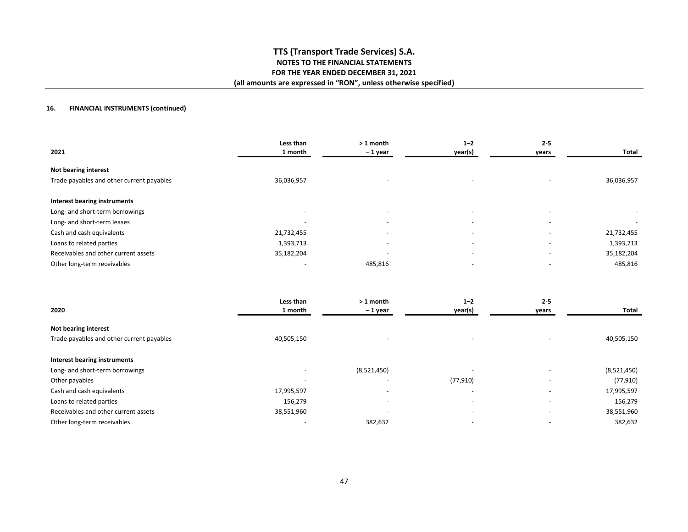# **16. FINANCIAL INSTRUMENTS (continued)**

| 2021                                      | Less than<br>1 month     | $>1$ month<br>-1 year    | $1 - 2$<br>year(s)       | $2 - 5$<br>years         | Total                    |
|-------------------------------------------|--------------------------|--------------------------|--------------------------|--------------------------|--------------------------|
| Not bearing interest                      |                          |                          |                          |                          |                          |
| Trade payables and other current payables | 36,036,957               | $\overline{\phantom{a}}$ | $\overline{\phantom{a}}$ |                          | 36,036,957               |
| Interest bearing instruments              |                          |                          |                          |                          |                          |
| Long- and short-term borrowings           | $\overline{\phantom{a}}$ | $\overline{\phantom{a}}$ | $\overline{\phantom{a}}$ |                          | $\sim$                   |
| Long- and short-term leases               | $\overline{\phantom{a}}$ | $\overline{\phantom{0}}$ | $\overline{\phantom{0}}$ |                          | $\overline{\phantom{a}}$ |
| Cash and cash equivalents                 | 21,732,455               | $\overline{\phantom{a}}$ | $\overline{\phantom{a}}$ |                          | 21,732,455               |
| Loans to related parties                  | 1,393,713                | $\overline{\phantom{a}}$ | $\overline{\phantom{a}}$ | $\overline{\phantom{0}}$ | 1,393,713                |
| Receivables and other current assets      | 35,182,204               | $\overline{\phantom{0}}$ | $\overline{\phantom{a}}$ | -                        | 35,182,204               |
| Other long-term receivables               | $\overline{\phantom{a}}$ | 485,816                  | $\overline{\phantom{a}}$ | $\overline{\phantom{0}}$ | 485,816                  |

|                                           | Less than                | > 1 month                | $1 - 2$                  | $2 - 5$                  |             |
|-------------------------------------------|--------------------------|--------------------------|--------------------------|--------------------------|-------------|
| 2020                                      | 1 month                  | -1 year                  | year(s)                  | years                    | Total       |
| Not bearing interest                      |                          |                          |                          |                          |             |
| Trade payables and other current payables | 40,505,150               | $\overline{\phantom{a}}$ | $\overline{\phantom{a}}$ | $\overline{\phantom{a}}$ | 40,505,150  |
| Interest bearing instruments              |                          |                          |                          |                          |             |
| Long- and short-term borrowings           | $\overline{\phantom{a}}$ | (8,521,450)              | $\overline{\phantom{a}}$ | $\overline{\phantom{0}}$ | (8,521,450) |
| Other payables                            | $\overline{\phantom{a}}$ | $\overline{\phantom{a}}$ | (77, 910)                | $\overline{\phantom{a}}$ | (77, 910)   |
| Cash and cash equivalents                 | 17,995,597               | $\overline{\phantom{a}}$ | $\overline{\phantom{a}}$ | $\overline{\phantom{0}}$ | 17,995,597  |
| Loans to related parties                  | 156,279                  | $\overline{\phantom{a}}$ | $\overline{\phantom{a}}$ | $\overline{\phantom{a}}$ | 156,279     |
| Receivables and other current assets      | 38,551,960               | $\overline{\phantom{a}}$ | $\overline{\phantom{0}}$ | $\overline{\phantom{a}}$ | 38,551,960  |
| Other long-term receivables               | $\overline{\phantom{0}}$ | 382,632                  | $\overline{\phantom{0}}$ | $\overline{\phantom{0}}$ | 382,632     |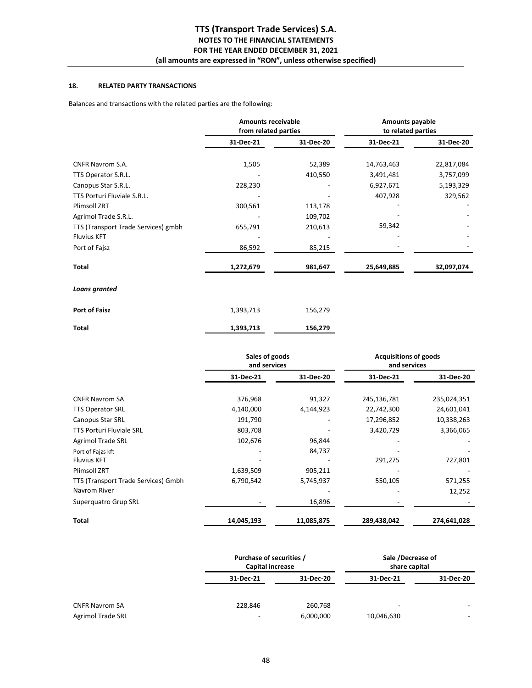# **18. RELATED PARTY TRANSACTIONS**

Balances and transactions with the related parties are the following:

|                                     | <b>Amounts receivable</b><br>from related parties |           | Amounts payable<br>to related parties |            |
|-------------------------------------|---------------------------------------------------|-----------|---------------------------------------|------------|
|                                     | 31-Dec-21                                         | 31-Dec-20 | 31-Dec-21                             | 31-Dec-20  |
| CNFR Navrom S.A.                    | 1,505                                             | 52,389    | 14,763,463                            | 22,817,084 |
| TTS Operator S.R.L.                 |                                                   | 410,550   | 3,491,481                             | 3,757,099  |
| Canopus Star S.R.L.                 | 228,230                                           |           | 6,927,671                             | 5,193,329  |
| TTS Porturi Fluviale S.R.L.         |                                                   |           | 407,928                               | 329,562    |
| Plimsoll ZRT                        | 300,561                                           | 113,178   |                                       |            |
| Agrimol Trade S.R.L.                |                                                   | 109,702   |                                       |            |
| TTS (Transport Trade Services) gmbh | 655,791                                           | 210,613   | 59,342                                |            |
| <b>Fluvius KFT</b>                  |                                                   |           |                                       |            |
| Port of Fajsz                       | 86,592                                            | 85,215    |                                       |            |
| Total                               | 1,272,679                                         | 981,647   | 25,649,885                            | 32,097,074 |
| Loans granted                       |                                                   |           |                                       |            |
| Port of Faisz                       | 1,393,713                                         | 156,279   |                                       |            |
| Total                               | 1,393,713                                         | 156,279   |                                       |            |

|                                     | Sales of goods<br>and services |            | <b>Acquisitions of goods</b><br>and services |             |
|-------------------------------------|--------------------------------|------------|----------------------------------------------|-------------|
|                                     | 31-Dec-21                      | 31-Dec-20  | 31-Dec-21                                    | 31-Dec-20   |
| <b>CNFR Navrom SA</b>               |                                |            |                                              |             |
|                                     | 376,968                        | 91,327     | 245,136,781                                  | 235,024,351 |
| <b>TTS Operator SRL</b>             | 4,140,000                      | 4,144,923  | 22,742,300                                   | 24,601,041  |
| Canopus Star SRL                    | 191,790                        |            | 17,296,852                                   | 10,338,263  |
| <b>TTS Porturi Fluviale SRL</b>     | 803,708                        |            | 3,420,729                                    | 3,366,065   |
| <b>Agrimol Trade SRL</b>            | 102,676                        | 96,844     |                                              |             |
| Port of Fajzs kft                   |                                | 84,737     |                                              |             |
| <b>Fluvius KFT</b>                  |                                |            | 291,275                                      | 727,801     |
| Plimsoll ZRT                        | 1,639,509                      | 905,211    |                                              |             |
| TTS (Transport Trade Services) Gmbh | 6,790,542                      | 5,745,937  | 550,105                                      | 571,255     |
| Navrom River                        |                                |            |                                              | 12,252      |
| Superquatro Grup SRL                |                                | 16,896     |                                              |             |
| Total                               | 14,045,193                     | 11,085,875 | 289,438,042                                  | 274,641,028 |

|                          |                          | Purchase of securities /<br>Capital increase |            | Sale /Decrease of<br>share capital |
|--------------------------|--------------------------|----------------------------------------------|------------|------------------------------------|
|                          | 31-Dec-21                | 31-Dec-20                                    | 31-Dec-21  | 31-Dec-20                          |
| <b>CNFR Navrom SA</b>    | 228,846                  | 260,768                                      | -          | $\overline{\phantom{a}}$           |
| <b>Agrimol Trade SRL</b> | $\overline{\phantom{a}}$ | 6,000,000                                    | 10,046,630 | $\overline{\phantom{a}}$           |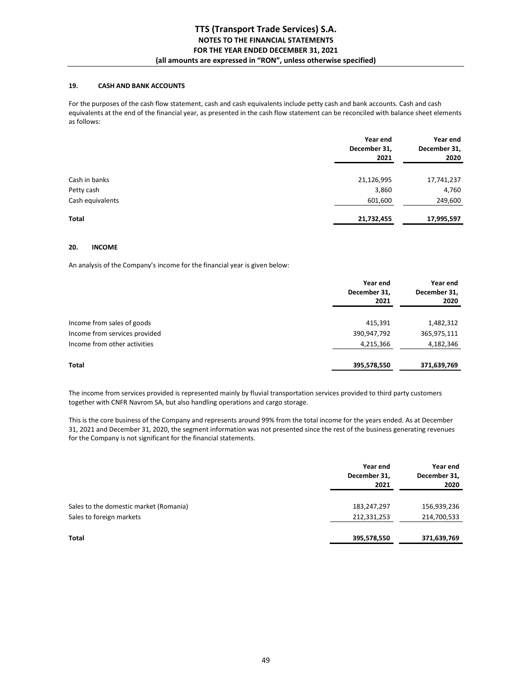# **19. CASH AND BANK ACCOUNTS**

For the purposes of the cash flow statement, cash and cash equivalents include petty cash and bank accounts. Cash and cash equivalents at the end of the financial year, as presented in the cash flow statement can be reconciled with balance sheet elements as follows:

|                  | Year end<br>December 31,<br>2021 | Year end<br>December 31,<br>2020 |
|------------------|----------------------------------|----------------------------------|
| Cash in banks    | 21,126,995                       | 17,741,237                       |
| Petty cash       | 3,860                            | 4,760                            |
| Cash equivalents | 601,600                          | 249,600                          |
| Total            | 21,732,455                       | 17,995,597                       |

## **20. INCOME**

An analysis of the Company's income for the financial year is given below:

|                               | Year end<br>December 31,<br>2021 | Year end<br>December 31,<br>2020 |
|-------------------------------|----------------------------------|----------------------------------|
| Income from sales of goods    | 415,391                          | 1,482,312                        |
| Income from services provided | 390,947,792                      | 365,975,111                      |
| Income from other activities  | 4,215,366                        | 4,182,346                        |
| Total                         | 395,578,550                      | 371,639,769                      |

The income from services provided is represented mainly by fluvial transportation services provided to third party customers together with CNFR Navrom SA, but also handling operations and cargo storage.

This is the core business of the Company and represents around 99% from the total income for the years ended. As at December 31, 2021 and December 31, 2020, the segment information was not presented since the rest of the business generating revenues for the Company is not significant for the financial statements.

|                                        | Year end<br>December 31,<br>2021 | Year end<br>December 31,<br>2020 |
|----------------------------------------|----------------------------------|----------------------------------|
| Sales to the domestic market (Romania) | 183,247,297                      | 156,939,236                      |
| Sales to foreign markets               | 212,331,253                      | 214,700,533                      |
| Total                                  | 395,578,550                      | 371,639,769                      |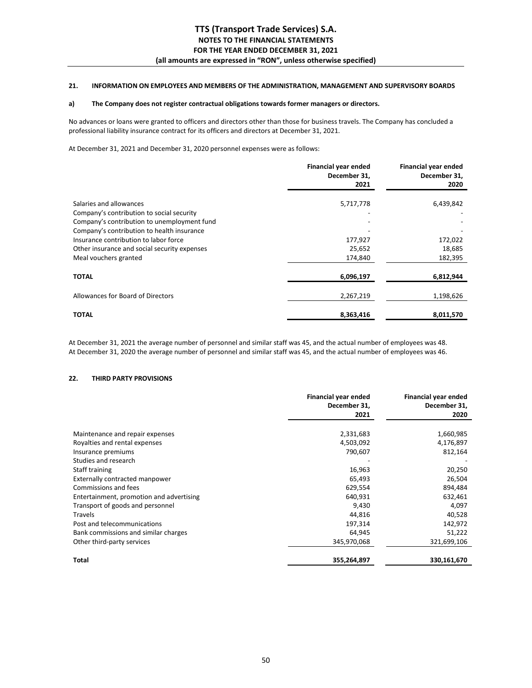# **21. INFORMATION ON EMPLOYEES AND MEMBERS OF THE ADMINISTRATION, MANAGEMENT AND SUPERVISORY BOARDS**

# **a) The Company does not register contractual obligations towards former managers or directors.**

No advances or loans were granted to officers and directors other than those for business travels. The Company has concluded a professional liability insurance contract for its officers and directors at December 31, 2021.

At December 31, 2021 and December 31, 2020 personnel expenses were as follows:

|                                              | <b>Financial year ended</b><br>December 31,<br>2021 | <b>Financial year ended</b><br>December 31,<br>2020 |
|----------------------------------------------|-----------------------------------------------------|-----------------------------------------------------|
| Salaries and allowances                      | 5,717,778                                           | 6,439,842                                           |
| Company's contribution to social security    |                                                     |                                                     |
| Company's contribution to unemployment fund  |                                                     |                                                     |
| Company's contribution to health insurance   |                                                     |                                                     |
| Insurance contribution to labor force        | 177,927                                             | 172,022                                             |
| Other insurance and social security expenses | 25,652                                              | 18,685                                              |
| Meal vouchers granted                        | 174,840                                             | 182,395                                             |
| <b>TOTAL</b>                                 | 6,096,197                                           | 6,812,944                                           |
| Allowances for Board of Directors            | 2,267,219                                           | 1,198,626                                           |
| <b>TOTAL</b>                                 | 8,363,416                                           | 8,011,570                                           |

At December 31, 2021 the average number of personnel and similar staff was 45, and the actual number of employees was 48. At December 31, 2020 the average number of personnel and similar staff was 45, and the actual number of employees was 46.

## **22. THIRD PARTY PROVISIONS**

|                                          | Financial year ended<br>December 31,<br>2021 | <b>Financial year ended</b><br>December 31,<br>2020 |
|------------------------------------------|----------------------------------------------|-----------------------------------------------------|
|                                          |                                              |                                                     |
| Maintenance and repair expenses          | 2,331,683                                    | 1,660,985                                           |
| Royalties and rental expenses            | 4,503,092                                    | 4,176,897                                           |
| Insurance premiums                       | 790,607                                      | 812,164                                             |
| Studies and research                     |                                              |                                                     |
| Staff training                           | 16,963                                       | 20,250                                              |
| Externally contracted manpower           | 65,493                                       | 26,504                                              |
| Commissions and fees                     | 629,554                                      | 894,484                                             |
| Entertainment, promotion and advertising | 640,931                                      | 632,461                                             |
| Transport of goods and personnel         | 9,430                                        | 4,097                                               |
| Travels                                  | 44,816                                       | 40,528                                              |
| Post and telecommunications              | 197,314                                      | 142,972                                             |
| Bank commissions and similar charges     | 64,945                                       | 51,222                                              |
| Other third-party services               | 345,970,068                                  | 321,699,106                                         |
| Total                                    | 355,264,897                                  | 330,161,670                                         |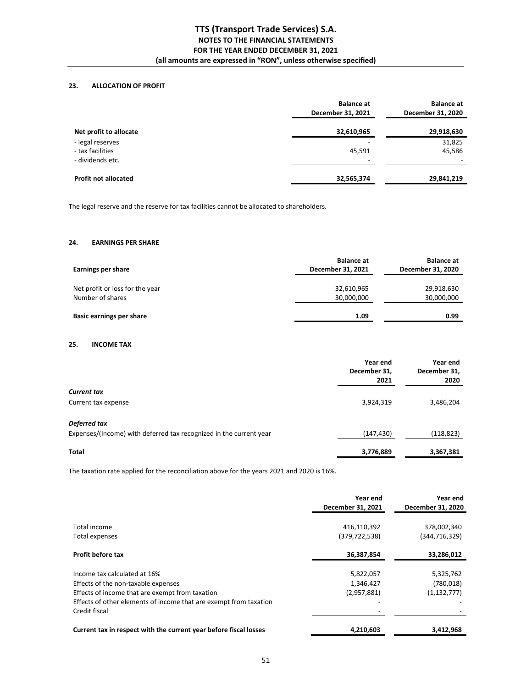# **23. ALLOCATION OF PROFIT**

|                                                          | <b>Balance at</b><br>December 31, 2021 | <b>Balance at</b><br>December 31, 2020 |
|----------------------------------------------------------|----------------------------------------|----------------------------------------|
| Net profit to allocate                                   | 32,610,965                             | 29,918,630                             |
| - legal reserves<br>- tax facilities<br>- dividends etc. | 45,591                                 | 31,825<br>45,586                       |
| <b>Profit not allocated</b>                              | 32,565,374                             | 29,841,219                             |

The legal reserve and the reserve for tax facilities cannot be allocated to shareholders.

## **24. EARNINGS PER SHARE**

| Earnings per share                                  | <b>Balance at</b><br>December 31, 2021 | <b>Balance at</b><br>December 31, 2020 |
|-----------------------------------------------------|----------------------------------------|----------------------------------------|
| Net profit or loss for the year<br>Number of shares | 32,610,965<br>30,000,000               | 29,918,630<br>30,000,000               |
| Basic earnings per share                            | 1.09                                   | 0.99                                   |

## **25. INCOME TAX**

|                                                                    | Year end<br>December 31,<br>2021 | Year end<br>December 31,<br>2020 |
|--------------------------------------------------------------------|----------------------------------|----------------------------------|
| <b>Current tax</b>                                                 |                                  |                                  |
| Current tax expense                                                | 3,924,319                        | 3,486,204                        |
| Deferred tax                                                       |                                  |                                  |
| Expenses/(Income) with deferred tax recognized in the current year | (147, 430)                       | (118, 823)                       |
| Total                                                              | 3,776,889                        | 3,367,381                        |

The taxation rate applied for the reconciliation above for the years 2021 and 2020 is 16%.

|                                                                                                                                                                                                              | Year end<br>December 31, 2021         | Year end<br>December 31, 2020           |
|--------------------------------------------------------------------------------------------------------------------------------------------------------------------------------------------------------------|---------------------------------------|-----------------------------------------|
| Total income<br>Total expenses                                                                                                                                                                               | 416,110,392<br>(379, 722, 538)        | 378,002,340<br>(344, 716, 329)          |
| Profit before tax                                                                                                                                                                                            | 36,387,854                            | 33,286,012                              |
| Income tax calculated at 16%<br>Effects of the non-taxable expenses<br>Effects of income that are exempt from taxation<br>Effects of other elements of income that are exempt from taxation<br>Credit fiscal | 5,822,057<br>1,346,427<br>(2,957,881) | 5,325,762<br>(780,018)<br>(1, 132, 777) |
| Current tax in respect with the current year before fiscal losses                                                                                                                                            | 4,210,603                             | 3,412,968                               |